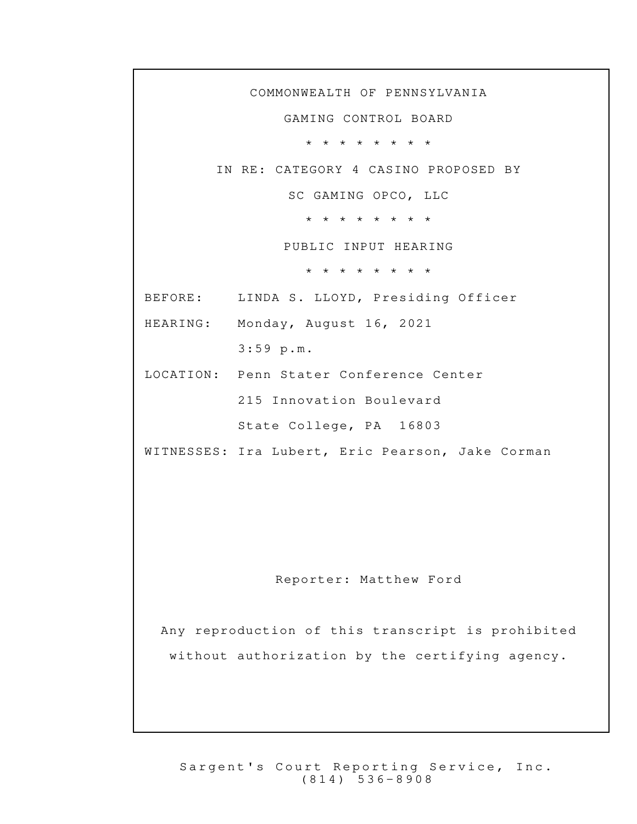COMMONWEALTH OF PENNSYLVANIA GAMING CONTROL BOARD \* \* \* \* \* \* \* \* IN RE: CATEGORY 4 CASINO PROPOSED BY SC GAMING OPCO, LLC \* \* \* \* \* \* \* \* PUBLIC INPUT HEARING \* \* \* \* \* \* \* \* BEFORE: LINDA S. LLOYD, Presiding Officer HEARING: Monday, August 16, 2021 3:59 p.m. LOCATION: Penn Stater Conference Center 215 Innovation Boulevard State College, PA 16803 WITNESSES: Ira Lubert, Eric Pearson, Jake Corman Reporter: Matthew Ford Any reproduction of this transcript is prohibited without authorization by the certifying agency.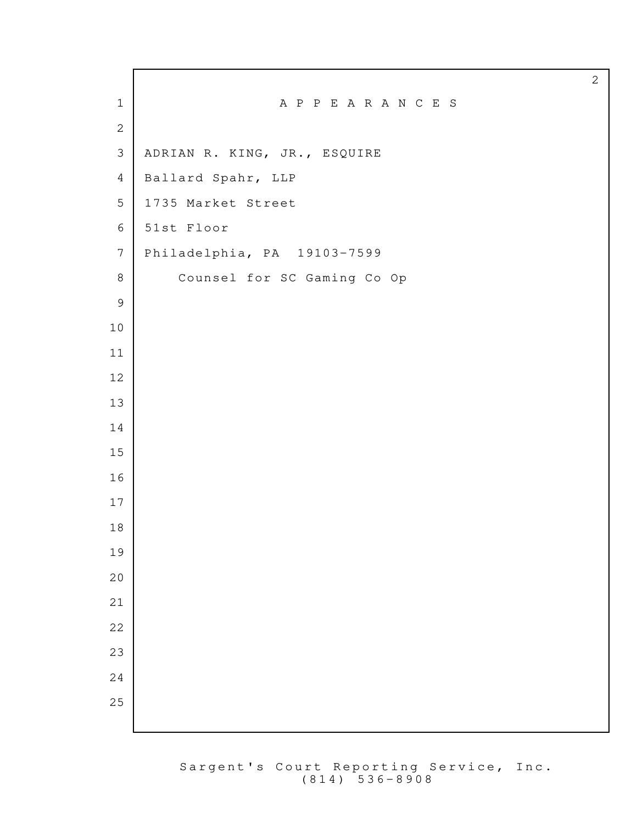|                | $\sqrt{2}$                   |
|----------------|------------------------------|
| $\mathbf{1}$   | A P P E A R A N C E S        |
| $\mathbf{2}$   |                              |
| $\mathfrak{Z}$ | ADRIAN R. KING, JR., ESQUIRE |
| $\overline{4}$ | Ballard Spahr, LLP           |
| 5              | 1735 Market Street           |
| $6\,$          | 51st Floor                   |
| $\overline{7}$ | Philadelphia, PA 19103-7599  |
| 8              | Counsel for SC Gaming Co Op  |
| $\mathsf 9$    |                              |
| $10$           |                              |
| 11             |                              |
| 12             |                              |
| 13             |                              |
| 14             |                              |
| 15             |                              |
| 16             |                              |
| 17             |                              |
| 18             |                              |
| 19             |                              |
| 20<br>21       |                              |
| 22             |                              |
| 23             |                              |
| 24             |                              |
| 25             |                              |
|                |                              |

Г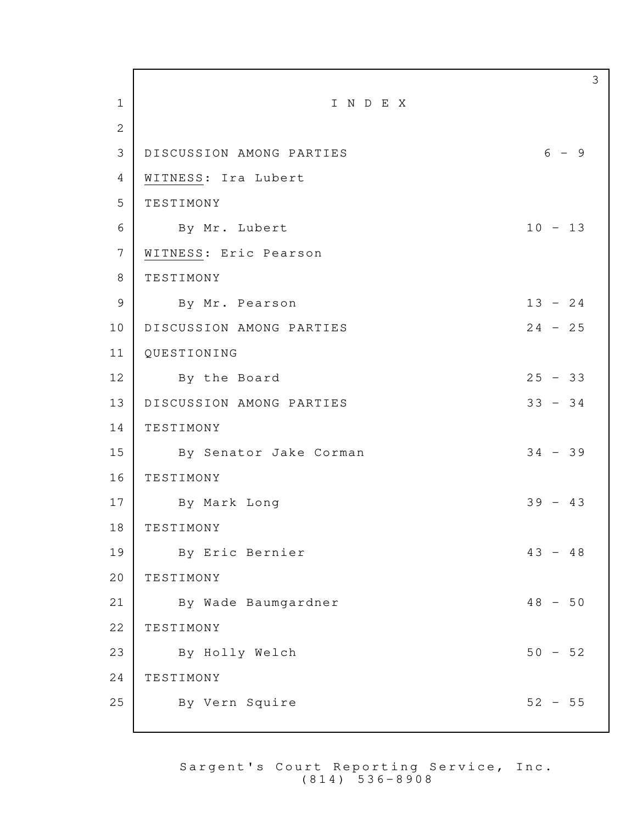3 1 I N D E X 2 3 | DISCUSSION AMONG PARTIES 6 - 9 4 WITNESS: Ira Lubert 5 TESTIMONY 6 By Mr. Lubert 10 - 13 7 WITNESS: Eric Pearson 8 TESTIMONY 9 By Mr. Pearson 13 - 24 10 DISCUSSION AMONG PARTIES 24 - 25 11 QUESTIONING 12 By the Board 25 - 33 13 DISCUSSION AMONG PARTIES 33 - 34 14 TESTIMONY 15 By Senator Jake Corman 34 - 39 16 TESTIMONY 17 By Mark Long 39 - 43 18 TESTIMONY 19 By Eric Bernier 19 and 43 - 48 20 TESTIMONY 21 By Wade Baumgardner 18 and 48 - 50 22 TESTIMONY 23 By Holly Welch 50 - 52 24 TESTIMONY 25 By Vern Squire 52 - 55

> Sargent's Court Reporting Service, Inc.  $(814) 536 - 8908$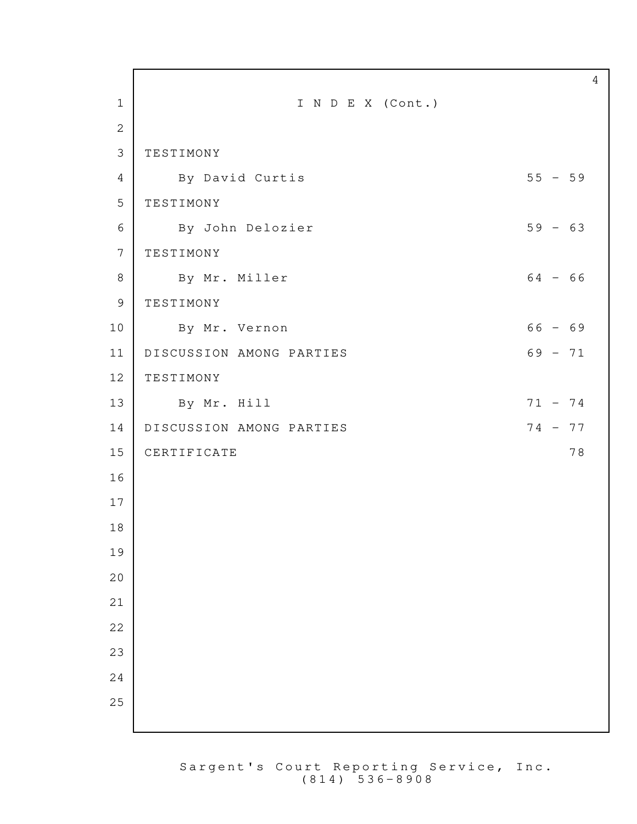| $\mathbf{1}$<br>$\mathbf{2}$ | I N D E X (Cont.)        |           |
|------------------------------|--------------------------|-----------|
| $\mathfrak{Z}$               | TESTIMONY                |           |
|                              |                          |           |
| 4                            | By David Curtis          | $55 - 59$ |
| 5                            | TESTIMONY                |           |
| 6                            | By John Delozier         | $59 - 63$ |
| $\overline{7}$               | TESTIMONY                |           |
| 8                            | By Mr. Miller            | $64 - 66$ |
| 9                            | TESTIMONY                |           |
| 10                           | By Mr. Vernon            | $66 - 69$ |
| 11                           | DISCUSSION AMONG PARTIES | $69 - 71$ |
| 12                           | TESTIMONY                |           |
| 13                           | By Mr. Hill              | $71 - 74$ |
| 14                           | DISCUSSION AMONG PARTIES | $74 - 77$ |
| 15                           | CERTIFICATE              | 78        |
| 16                           |                          |           |
| 17                           |                          |           |
| 18                           |                          |           |
| 19                           |                          |           |
| 20                           |                          |           |
| 21                           |                          |           |
| 22                           |                          |           |
| 23                           |                          |           |
| 24                           |                          |           |
| 25                           |                          |           |
|                              |                          |           |

Г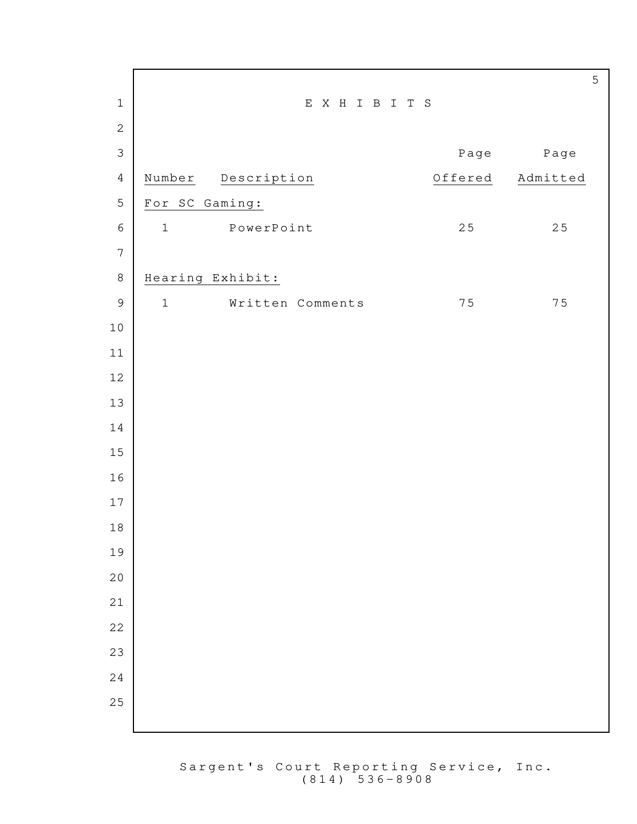| $\,1\,$          | EXHIBITS                        |         |          |
|------------------|---------------------------------|---------|----------|
| $\mathbf{2}$     |                                 |         |          |
| $\mathfrak{Z}$   |                                 | Page    | Page     |
| $\overline{4}$   | Number<br>Description           | Offered | Admitted |
| $\mathbf 5$      | For SC Gaming:                  |         |          |
| $\epsilon$       | PowerPoint<br>$\mathbf 1$       | $2\,5$  | $2\,5$   |
| $\boldsymbol{7}$ |                                 |         |          |
| $\,8\,$          | Hearing Exhibit:                |         |          |
| $\overline{9}$   | $\mathbf 1$<br>Written Comments | 75      | 75       |
| $1\,0$           |                                 |         |          |
| 11               |                                 |         |          |
| 12               |                                 |         |          |
| 13               |                                 |         |          |
| 14               |                                 |         |          |
| 15               |                                 |         |          |
| 16               |                                 |         |          |
| 17               |                                 |         |          |
| $1\,8$           |                                 |         |          |
| 19               |                                 |         |          |
| 20               |                                 |         |          |
| 21               |                                 |         |          |
| 22               |                                 |         |          |
| 23               |                                 |         |          |
| 24               |                                 |         |          |
| 25               |                                 |         |          |
|                  |                                 |         |          |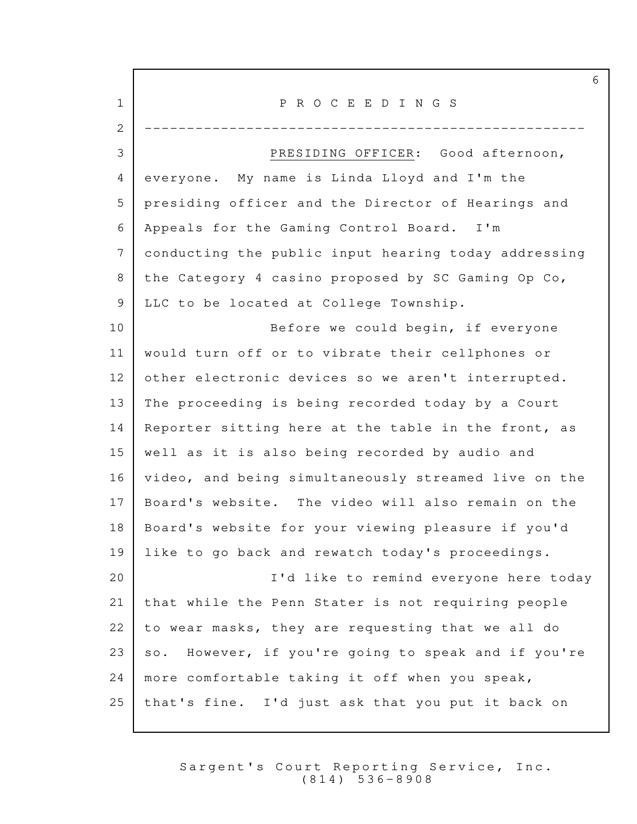|             | 6                                                      |
|-------------|--------------------------------------------------------|
| $\mathbf 1$ | P R O C E E D I N G S                                  |
| 2           |                                                        |
| 3           | PRESIDING OFFICER: Good afternoon,                     |
| 4           | everyone. My name is Linda Lloyd and I'm the           |
| 5           | presiding officer and the Director of Hearings and     |
| 6           | Appeals for the Gaming Control Board. I'm              |
| 7           | conducting the public input hearing today addressing   |
| 8           | the Category 4 casino proposed by SC Gaming Op Co,     |
| 9           | LLC to be located at College Township.                 |
| 10          | Before we could begin, if everyone                     |
| 11          | would turn off or to vibrate their cellphones or       |
| 12          | other electronic devices so we aren't interrupted.     |
| 13          | The proceeding is being recorded today by a Court      |
| 14          | Reporter sitting here at the table in the front, as    |
| 15          | well as it is also being recorded by audio and         |
| 16          | video, and being simultaneously streamed live on the   |
| 17          | Board's website. The video will also remain on the     |
| 18          | Board's website for your viewing pleasure if you'd     |
| 19          | like to go back and rewatch today's proceedings.       |
| 20          | I'd like to remind everyone here today                 |
| 21          | that while the Penn Stater is not requiring people     |
| 22          | to wear masks, they are requesting that we all do      |
| 23          | However, if you're going to speak and if you're<br>SO. |
| 24          | more comfortable taking it off when you speak,         |
| 25          | that's fine. I'd just ask that you put it back on      |

Г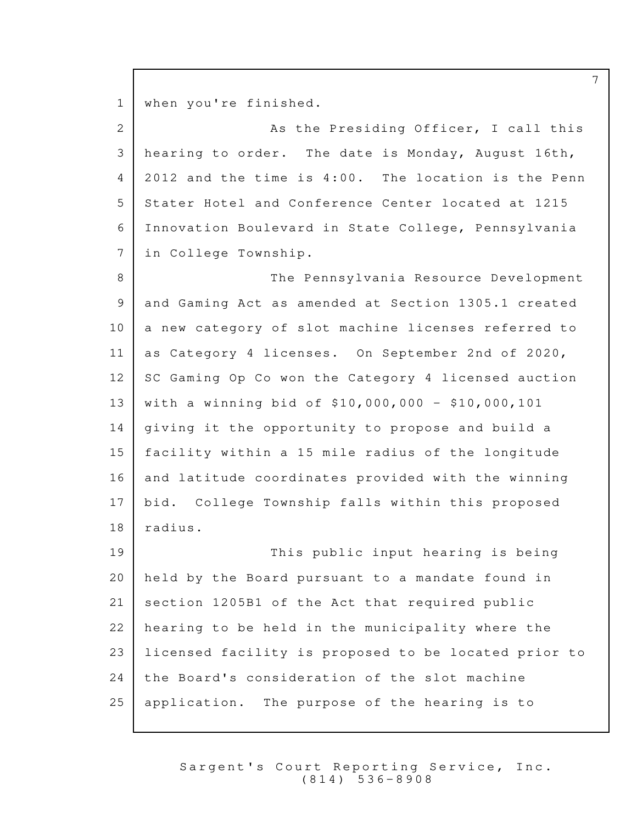1 | when you're finished.

2 As the Presiding Officer, I call this 3 | hearing to order. The date is Monday, August 16th,  $4 \mid 2012$  and the time is  $4:00$ . The location is the Penn 5 Stater Hotel and Conference Center located at 1215 Innovation Boulevard in State College, Pennsylvania 6 7 in College Township.

8 The Pennsylvania Resource Development 9 and Gaming Act as amended at Section 1305.1 created  $10$  a new category of slot machine licenses referred to 11 as Category 4 licenses. On September 2nd of 2020,  $12$  SC Gaming Op Co won the Category 4 licensed auction 13 | with a winning bid of  $$10,000,000 - $10,000,101$  $14$  giving it the opportunity to propose and build a 15 facility within a 15 mile radius of the longitude 16 and latitude coordinates provided with the winning 17 | bid. College Township falls within this proposed 18 | radius.

19 This public input hearing is being  $20$  held by the Board pursuant to a mandate found in 21 section 1205B1 of the Act that required public  $22$  hearing to be held in the municipality where the 23 | licensed facility is proposed to be located prior to  $24$  the Board's consideration of the slot machine  $25$  application. The purpose of the hearing is to

> Sargent's Court Reporting Service, Inc. ( 8 1 4 ) 5 3 6 - 8 9 0 8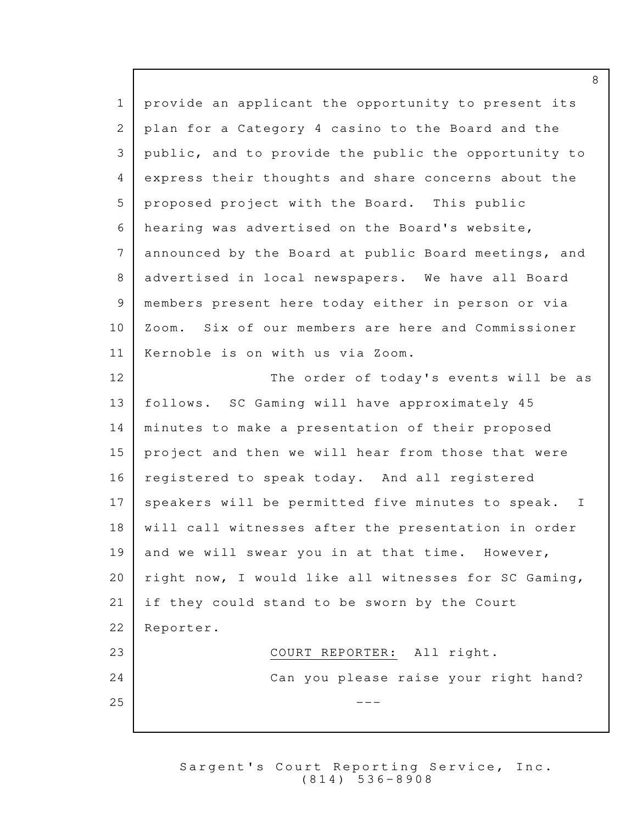$1$  provide an applicant the opportunity to present its 2 plan for a Category 4 casino to the Board and the 3 public, and to provide the public the opportunity to 4 express their thoughts and share concerns about the 5 proposed project with the Board. This public 6 hearing was advertised on the Board's website, 7 announced by the Board at public Board meetings, and 8 advertised in local newspapers. We have all Board 9 members present here today either in person or via  $10\,$   $\,$  Zoom. Six of our members are here and Commissioner 11 | Kernoble is on with us via Zoom. 12 The order of today's events will be as 13 | follows. SC Gaming will have approximately 45 14 | minutes to make a presentation of their proposed 15 project and then we will hear from those that were 16  $|$  registered to speak today. And all registered 17 | speakers will be permitted five minutes to speak. I  $18$  | will call witnesses after the presentation in order 19 and we will swear you in at that time. However, 20 | right now, I would like all witnesses for SC Gaming, 21 | if they could stand to be sworn by the Court 22 Reporter. 23 COURT REPORTER: All right. 24 Can you please raise your right hand?  $25$   $-$ 

> Sargent's Court Reporting Service, Inc. ( 8 1 4 ) 5 3 6 - 8 9 0 8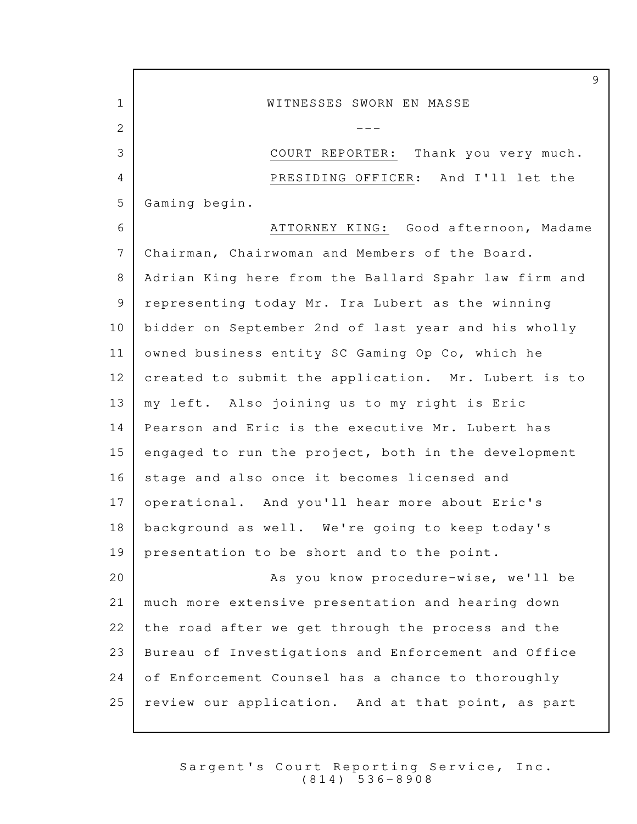9 1 WITNESSES SWORN EN MASSE 2  $-$ 3 COURT REPORTER: Thank you very much. 4 PRESIDING OFFICER: And I'll let the 5 Gaming begin. 6 ATTORNEY KING: Good afternoon, Madame 7 Chairman, Chairwoman and Members of the Board. 8 | Adrian King here from the Ballard Spahr law firm and 9 representing today Mr. Ira Lubert as the winning 10 bidder on September 2nd of last year and his wholly 11 owned business entity SC Gaming Op Co, which he 12  $|$  created to submit the application. Mr. Lubert is to 13 | my left. Also joining us to my right is Eric 14 | Pearson and Eric is the executive Mr. Lubert has 15  $\vert$  engaged to run the project, both in the development 16 stage and also once it becomes licensed and 17 | operational. And you'll hear more about Eric's 18 | background as well. We're going to keep today's 19 | presentation to be short and to the point. As you know procedure-wise, we'll be 20 21 | much more extensive presentation and hearing down  $22$  the road after we get through the process and the 23 | Bureau of Investigations and Enforcement and Office 24 of Enforcement Counsel has a chance to thoroughly  $25$  review our application. And at that point, as part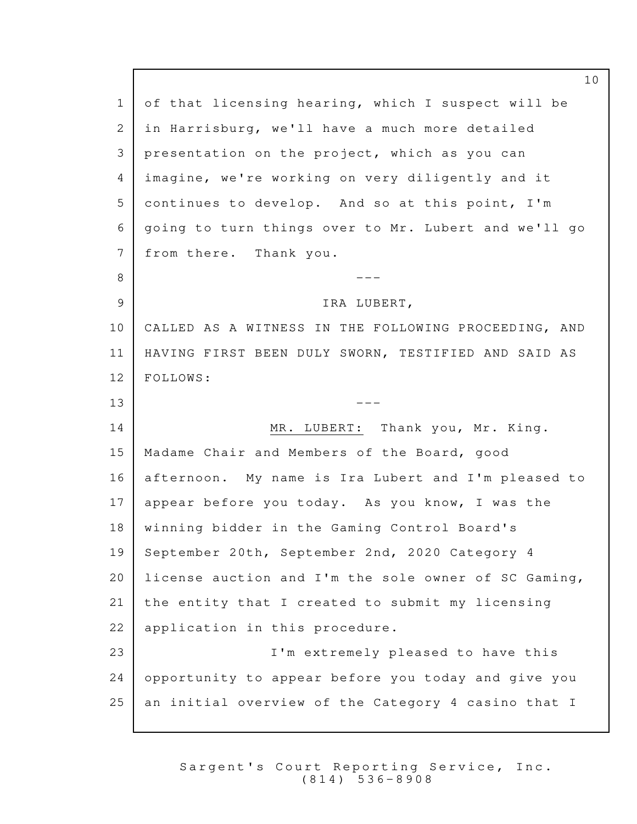1 of that licensing hearing, which I suspect will be in Harrisburg, we'll have a much more detailed 2 3 presentation on the project, which as you can imagine, we're working on very diligently and it 4  $5$  continues to develop. And so at this point, I'm going to turn things over to Mr. Lubert and we'll go 6 7 from there. Thank you. --- 8 9 STRA LUBERT, 10 | CALLED AS A WITNESS IN THE FOLLOWING PROCEEDING, AND 11 | HAVING FIRST BEEN DULY SWORN, TESTIFIED AND SAID AS 12 FOLLOWS:  $13$   $---$ 14 MR. LUBERT: Thank you, Mr. King. 15 | Madame Chair and Members of the Board, good 16 | afternoon. My name is Ira Lubert and I'm pleased to  $17$  appear before you today. As you know, I was the 18 | winning bidder in the Gaming Control Board's 19 September 20th, September 2nd, 2020 Category 4 20 | license auction and I'm the sole owner of SC Gaming,  $21$  the entity that I created to submit my licensing 22 | application in this procedure. 23 | I'm extremely pleased to have this 24 opportunity to appear before you today and give you  $25$  an initial overview of the Category 4 casino that I

> Sargent's Court Reporting Service, Inc. ( 8 1 4 ) 5 3 6 - 8 9 0 8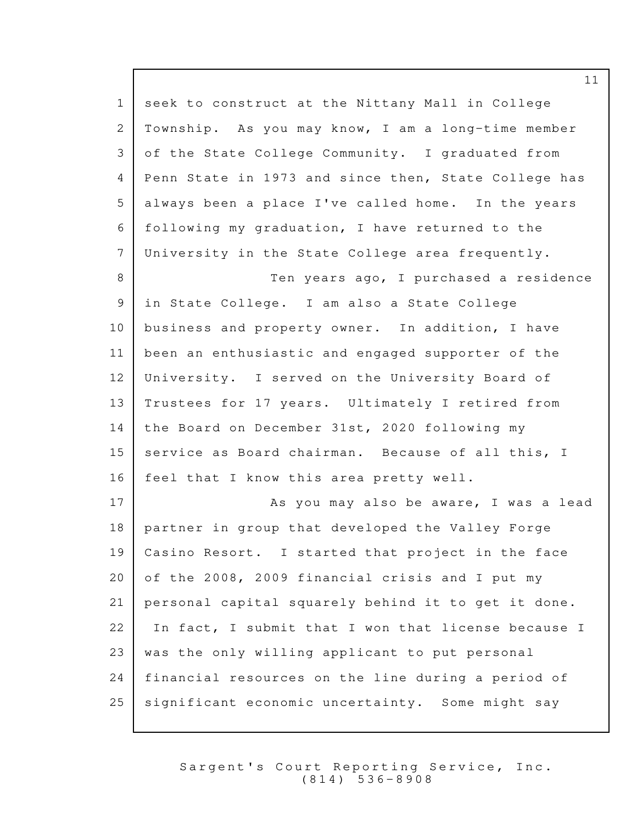| $\mathbf{1}$   | seek to construct at the Nittany Mall in College     |
|----------------|------------------------------------------------------|
| $\overline{c}$ | Township. As you may know, I am a long-time member   |
| 3              | of the State College Community. I graduated from     |
| $\overline{4}$ | Penn State in 1973 and since then, State College has |
| 5              | always been a place I've called home. In the years   |
| 6              | following my graduation, I have returned to the      |
| $7\phantom{.}$ | University in the State College area frequently.     |
| 8              | Ten years ago, I purchased a residence               |
| 9              | in State College. I am also a State College          |
| 10             | business and property owner. In addition, I have     |
| 11             | been an enthusiastic and engaged supporter of the    |
| 12             | University. I served on the University Board of      |
| 13             | Trustees for 17 years. Ultimately I retired from     |
| 14             | the Board on December 31st, 2020 following my        |
| 15             | service as Board chairman. Because of all this, I    |
| 16             | feel that I know this area pretty well.              |
| 17             | As you may also be aware, I was a lead               |
| 18             | partner in group that developed the Valley Forge     |
| 19             | Casino Resort. I started that project in the face    |
| 20             | of the 2008, 2009 financial crisis and I put my      |
| 21             | personal capital squarely behind it to get it done.  |
| 22             | In fact, I submit that I won that license because I  |
| 23             | was the only willing applicant to put personal       |
| 24             | financial resources on the line during a period of   |
| 25             | significant economic uncertainty. Some might say     |

Sargent's Court Reporting Service, Inc. ( 8 1 4 ) 5 3 6 - 8 9 0 8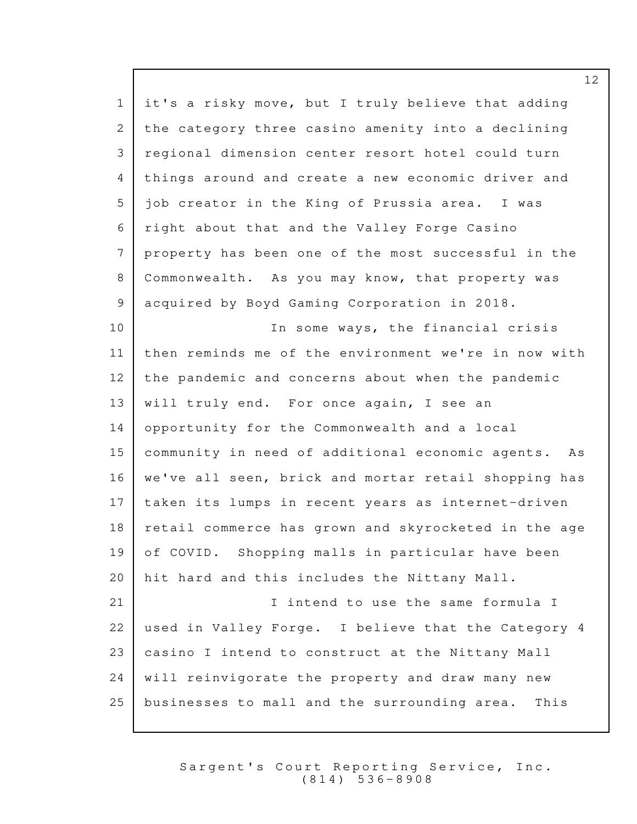1 it's a risky move, but I truly believe that adding 2 the category three casino amenity into a declining 3 | regional dimension center resort hotel could turn 4 things around and create a new economic driver and  $5$  | job creator in the King of Prussia area. I was 6 | right about that and the Valley Forge Casino  $7$  property has been one of the most successful in the 8 Commonwealth. As you may know, that property was 9 acquired by Boyd Gaming Corporation in 2018. 10 | The some ways, the financial crisis 11 then reminds me of the environment we're in now with  $12$  the pandemic and concerns about when the pandemic 13 | will truly end. For once again, I see an 14 opportunity for the Commonwealth and a local 15 community in need of additional economic agents. As 16 | we've all seen, brick and mortar retail shopping has 17 taken its lumps in recent years as internet-driven 18 | retail commerce has grown and skyrocketed in the age 19 of COVID. Shopping malls in particular have been 20 | hit hard and this includes the Nittany Mall. 21 **I** intend to use the same formula I 22 | used in Valley Forge. I believe that the Category  $4$ 23 | casino I intend to construct at the Nittany Mall  $24$   $\mid$  will reinvigorate the property and draw many new 25 businesses to mall and the surrounding area. This

> Sargent's Court Reporting Service, Inc.  $(814) 536 - 8908$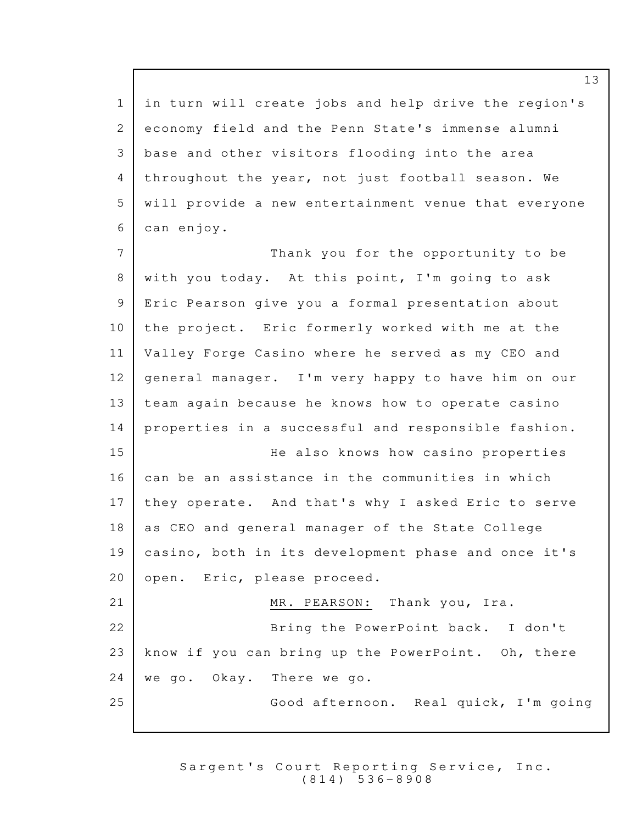$1$  in turn will create jobs and help drive the region's 2 economy field and the Penn State's immense alumni 3 | base and other visitors flooding into the area 4 throughout the year, not just football season. We 5 | will provide a new entertainment venue that everyone can enjoy. 6

7 Thank you for the opportunity to be 8 | with you today. At this point, I'm going to ask 9 Eric Pearson give you a formal presentation about  $10$  the project. Eric formerly worked with me at the 11 | Valley Forge Casino where he served as my CEO and 12 | general manager. I'm very happy to have him on our 13 team again because he knows how to operate casino  $14$  properties in a successful and responsible fashion. 15 He also knows how casino properties  $16$  can be an assistance in the communities in which 17 | they operate. And that's why I asked Eric to serve 18 as CEO and general manager of the State College 19 casino, both in its development phase and once it's 20 | open. Eric, please proceed. 21 MR. PEARSON: Thank you, Ira. 22 Bring the PowerPoint back. I don't 23 | know if you can bring up the PowerPoint. Oh, there  $24$  we go. Okay. There we go. 25 | Good afternoon. Real quick, I'm going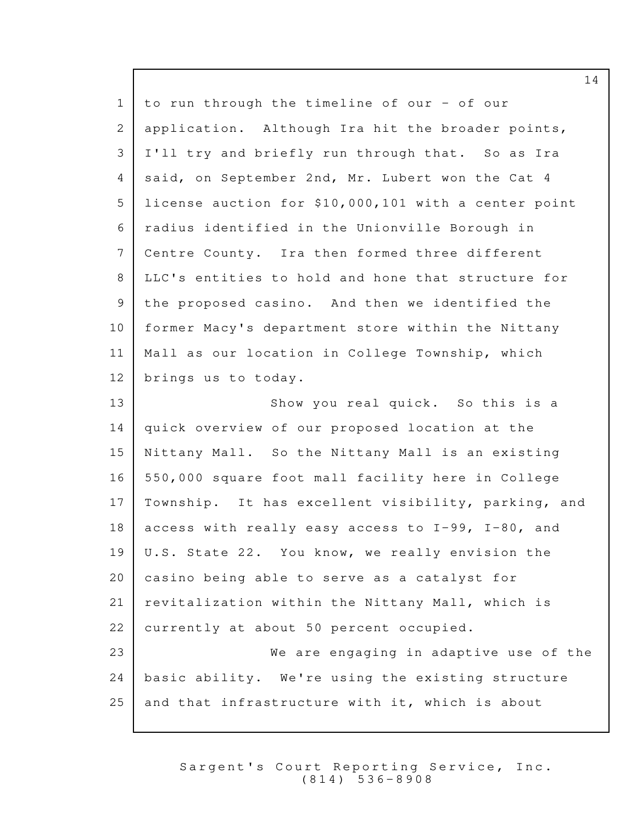| $\mathbf 1$  | to run through the timeline of our - of our          |
|--------------|------------------------------------------------------|
| $\mathbf{2}$ | application. Although Ira hit the broader points,    |
| 3            | I'll try and briefly run through that. So as Ira     |
| 4            | said, on September 2nd, Mr. Lubert won the Cat 4     |
| 5            | license auction for \$10,000,101 with a center point |
| 6            | radius identified in the Unionville Borough in       |
| 7            | Centre County. Ira then formed three different       |
| 8            | LLC's entities to hold and hone that structure for   |
| 9            | the proposed casino. And then we identified the      |
| 10           | former Macy's department store within the Nittany    |
| 11           | Mall as our location in College Township, which      |
| 12           | brings us to today.                                  |
| 13           | Show you real quick. So this is a                    |
| 14           | quick overview of our proposed location at the       |
| 15           | Nittany Mall. So the Nittany Mall is an existing     |
| 16           | 550,000 square foot mall facility here in College    |
| 17           | Township. It has excellent visibility, parking, and  |
| 18           | access with really easy access to I-99, I-80, and    |
| 19           | U.S. State 22. You know, we really envision the      |
| 20           | casino being able to serve as a catalyst for         |
| 21           | revitalization within the Nittany Mall, which is     |
| 22           | currently at about 50 percent occupied.              |
| 23           | We are engaging in adaptive use of the               |
| 24           | basic ability. We're using the existing structure    |
| 25           | and that infrastructure with it, which is about      |

Sargent's Court Reporting Service, Inc. ( 8 1 4 ) 5 3 6 - 8 9 0 8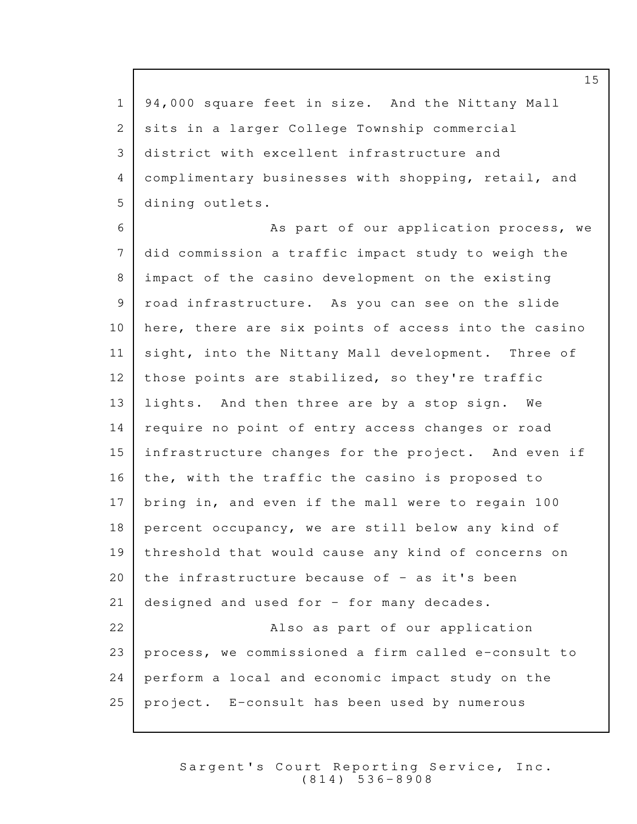1 | 94,000 square feet in size. And the Nittany Mall 2 | sits in a larger College Township commercial 3 district with excellent infrastructure and complimentary businesses with shopping, retail, and 4 5 dining outlets. 6 As part of our application process, we 7 did commission a traffic impact study to weigh the 8 impact of the casino development on the existing 9 | road infrastructure. As you can see on the slide 10 | here, there are six points of access into the casino 11 | sight, into the Nittany Mall development. Three of 12 | those points are stabilized, so they're traffic 13 | lights. And then three are by a stop sign. We 14 | require no point of entry access changes or road  $15$  infrastructure changes for the project. And even if  $16$  the, with the traffic the casino is proposed to 17 | bring in, and even if the mall were to regain 100  $18$  percent occupancy, we are still below any kind of 19 threshold that would cause any kind of concerns on 20 | the infrastructure because of  $-$  as it's been 21 designed and used for  $-$  for many decades. 22 **Also as part of our application**  $23$  process, we commissioned a firm called e-consult to  $24$  perform a local and economic impact study on the 25 | project.  $E$ -consult has been used by numerous

> Sargent's Court Reporting Service, Inc. ( 8 1 4 ) 5 3 6 - 8 9 0 8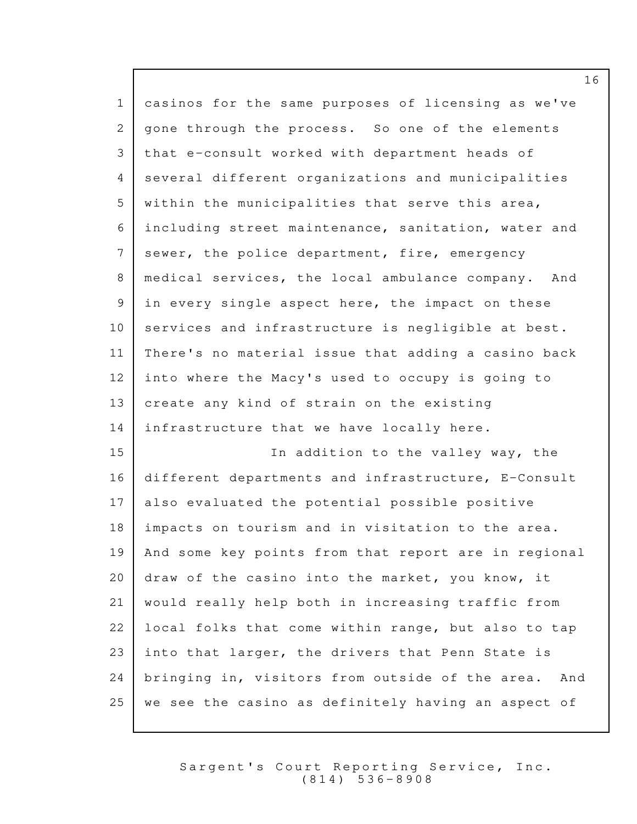| $\mathbf 1$    | casinos for the same purposes of licensing as we've    |
|----------------|--------------------------------------------------------|
| 2              | gone through the process. So one of the elements       |
| 3              | that e-consult worked with department heads of         |
| $\overline{4}$ | several different organizations and municipalities     |
| 5              | within the municipalities that serve this area,        |
| 6              | including street maintenance, sanitation, water and    |
| $7\phantom{.}$ | sewer, the police department, fire, emergency          |
| 8              | medical services, the local ambulance company. And     |
| 9              | in every single aspect here, the impact on these       |
| 10             | services and infrastructure is negligible at best.     |
| 11             | There's no material issue that adding a casino back    |
| 12             | into where the Macy's used to occupy is going to       |
| 13             | create any kind of strain on the existing              |
| 14             | infrastructure that we have locally here.              |
| 15             | In addition to the valley way, the                     |
| 16             | different departments and infrastructure, E-Consult    |
| 17             | also evaluated the potential possible positive         |
| 18             | impacts on tourism and in visitation to the area.      |
| 19             | And some key points from that report are in regional   |
| 20             | draw of the casino into the market, you know, it       |
| 21             | would really help both in increasing traffic from      |
| 22             | local folks that come within range, but also to tap    |
| 23             | into that larger, the drivers that Penn State is       |
| 24             | bringing in, visitors from outside of the area.<br>And |
| 25             | we see the casino as definitely having an aspect of    |

Sargent's Court Reporting Service, Inc. ( 8 1 4 ) 5 3 6 - 8 9 0 8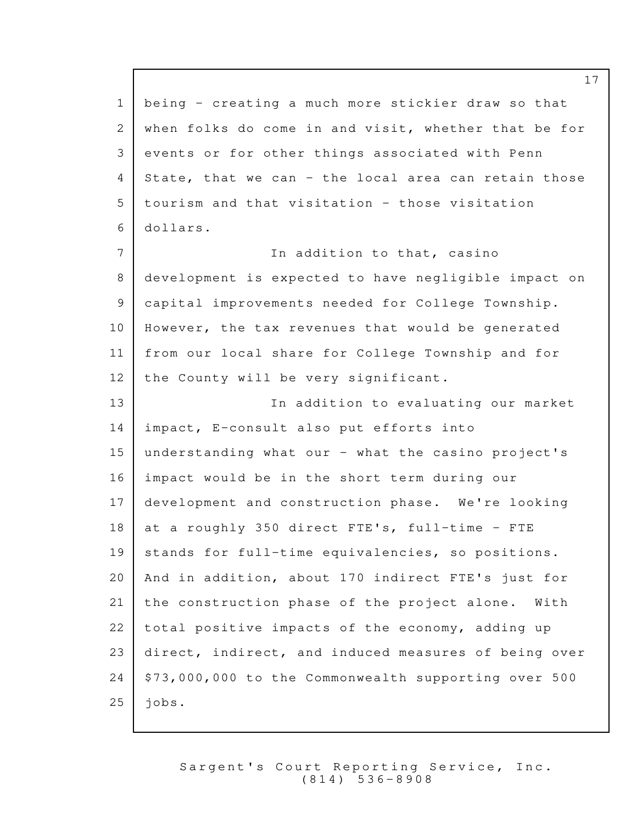1 being - creating a much more stickier draw so that 2 when folks do come in and visit, whether that be for 3 | events or for other things associated with Penn  $4$  State, that we can - the local area can retain those  $5$   $\overline{\phantom{a}}$  tourism and that visitation - those visitation dollars. 6 7 **In addition to that, casino** 8 development is expected to have negligible impact on 9 | capital improvements needed for College Township.  $10$  However, the tax revenues that would be generated 11 | from our local share for College Township and for 12 | the County will be very significant. 13 In addition to evaluating our market 14 | impact, E-consult also put efforts into 15 understanding what our - what the casino project's  $16$  impact would be in the short term during our 17 development and construction phase. We're looking 18 | at a roughly 350 direct FTE's, full-time - FTE 19 | stands for full-time equivalencies, so positions. 20 And in addition, about 170 indirect FTE's just for 21 the construction phase of the project alone. With  $22$  total positive impacts of the economy, adding up 23 direct, indirect, and induced measures of being over  $24$  | \$73,000,000 to the Commonwealth supporting over 500  $25$  jobs.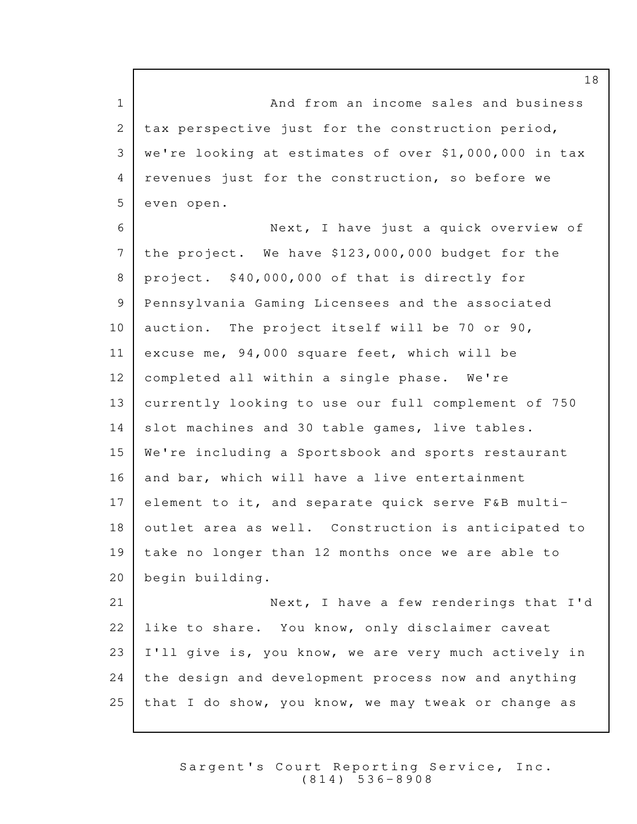1 and from an income sales and business  $2$  tax perspective just for the construction period, we're looking at estimates of over \$1,000,000 in tax 3 4 | revenues just for the construction, so before we 5 even open.

6 Next, I have just a quick overview of 7 the project. We have  $$123,000,000$  budget for the 8 | project. \$40,000,000 of that is directly for 9 Pennsylvania Gaming Licensees and the associated 10 | auction. The project itself will be 70 or 90, 11 | excuse me,  $94,000$  square feet, which will be  $12$  completed all within a single phase. We're 13 currently looking to use our full complement of 750 14 slot machines and 30 table games, live tables. 15 We're including a Sportsbook and sports restaurant 16 and bar, which will have a live entertainment  $17$  element to it, and separate quick serve F&B multi- $18$  outlet area as well. Construction is anticipated to  $19$  take no longer than 12 months once we are able to begin building. 20 21 Next, I have a few renderings that I'd

 like to share. You know, only disclaimer caveat I'll give is, you know, we are very much actively in 24 the design and development process now and anything that I do show, you know, we may tweak or change as

> Sargent's Court Reporting Service, Inc. ( 8 1 4 ) 5 3 6 - 8 9 0 8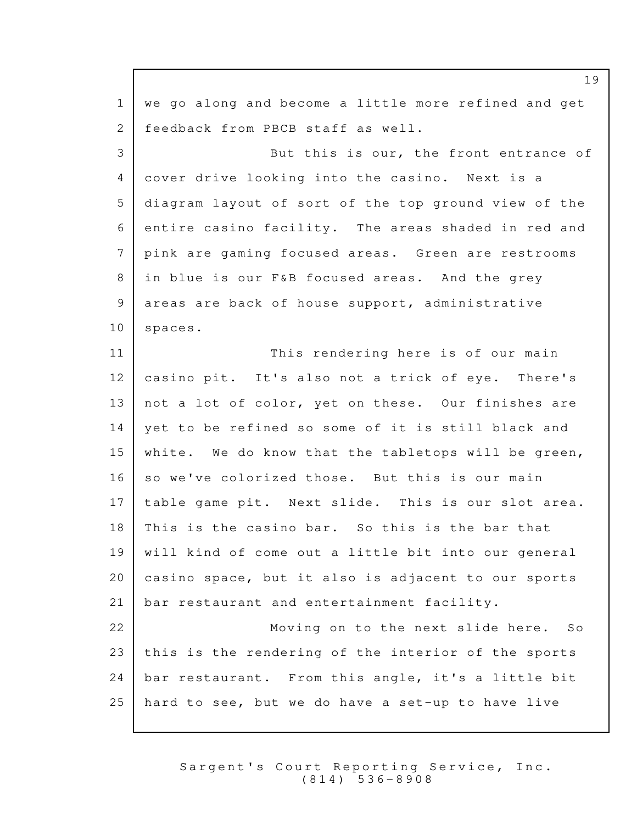$1$  we go along and become a little more refined and get 2 | feedback from PBCB staff as well. 3 But this is our, the front entrance of 4 cover drive looking into the casino. Next is a 5 diagram layout of sort of the top ground view of the  $6$  entire casino facility. The areas shaded in red and pink are gaming focused areas. Green are restrooms 7 8 in blue is our F&B focused areas. And the grey 9 areas are back of house support, administrative 10 | spaces. 11 This rendering here is of our main 12 | casino pit. It's also not a trick of eye. There's 13 | not a lot of color, yet on these. Our finishes are 14 | yet to be refined so some of it is still black and 15 | white. We do know that the tabletops will be green,  $16$  so we've colorized those. But this is our main  $17$  | table game pit. Next slide. This is our slot area.  $18$  | This is the casino bar. So this is the bar that 19 | will kind of come out a little bit into our general 20  $\vert$  casino space, but it also is adjacent to our sports 21 | bar restaurant and entertainment facility. 22 Moving on to the next slide here. So 23 this is the rendering of the interior of the sports  $24$  bar restaurant. From this angle, it's a little bit  $25$  hard to see, but we do have a set-up to have live

> Sargent's Court Reporting Service, Inc. ( 8 1 4 ) 5 3 6 - 8 9 0 8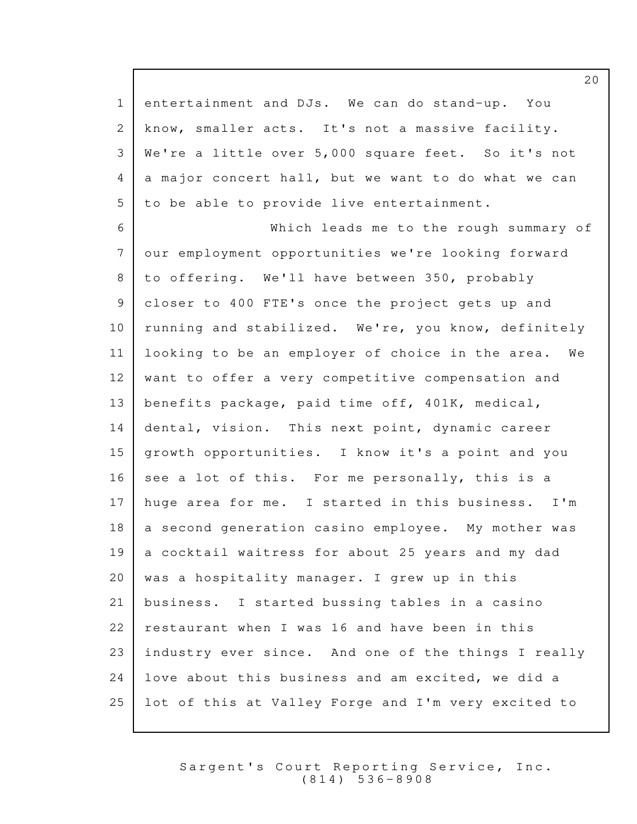1 entertainment and DJs. We can do stand-up. You 2 know, smaller acts. It's not a massive facility. 3 | We're a little over 5,000 square feet. So it's not  $4$  a major concert hall, but we want to do what we can 5 to be able to provide live entertainment.

6 Which leads me to the rough summary of 7 our employment opportunities we're looking forward 8 to offering. We'll have between 350, probably 9 | closer to 400 FTE's once the project gets up and 10 | running and stabilized. We're, you know, definitely  $11$  | looking to be an employer of choice in the area. We  $12$  want to offer a very competitive compensation and 13 | benefits package, paid time off,  $401K$ , medical, 14 dental, vision. This next point, dynamic career 15 growth opportunities. I know it's a point and you  $16$  see a lot of this. For me personally, this is a  $17$  huge area for me. I started in this business. I'm  $18$  a second generation casino employee. My mother was  $19$  a cocktail waitress for about 25 years and my dad 20 | was a hospitality manager. I grew up in this 21 business. I started bussing tables in a casino  $22$  restaurant when I was 16 and have been in this 23 industry ever since. And one of the things I really 24 love about this business and am excited, we did a  $25$  lot of this at Valley Forge and I'm very excited to

> Sargent's Court Reporting Service, Inc. ( 8 1 4 ) 5 3 6 - 8 9 0 8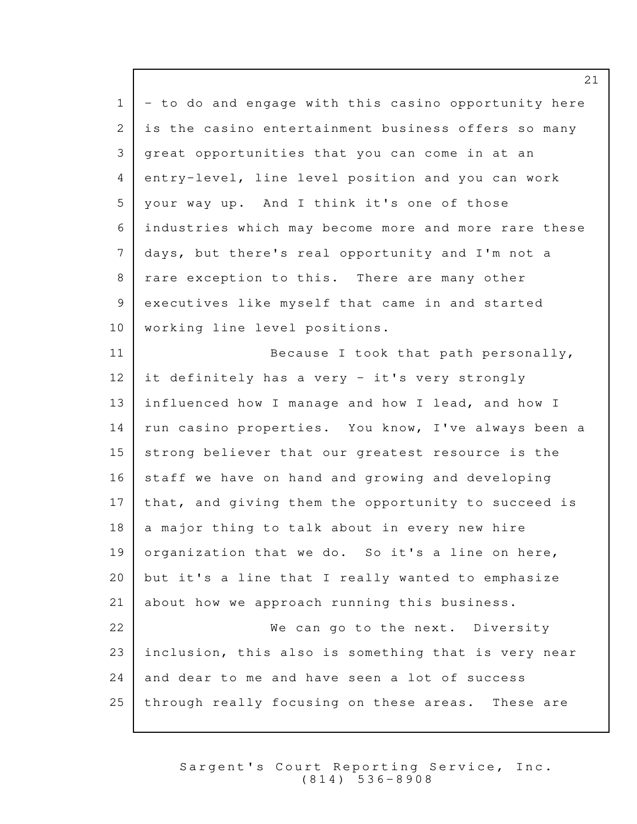$1$  - to do and engage with this casino opportunity here 2 is the casino entertainment business offers so many 3 great opportunities that you can come in at an 4 entry-level, line level position and you can work 5 | your way up. And I think it's one of those 6 industries which may become more and more rare these 7 days, but there's real opportunity and I'm not a 8 | rare exception to this. There are many other 9 executives like myself that came in and started 10 | working line level positions. 11 Because I took that path personally, 12 it definitely has a very - it's very strongly 13 influenced how I manage and how I lead, and how I 14 | run casino properties. You know, I've always been a 15 strong believer that our greatest resource is the  $16$  staff we have on hand and growing and developing  $17$  that, and giving them the opportunity to succeed is  $18$  a major thing to talk about in every new hire 19 organization that we do. So it's a line on here,  $20$  but it's a line that I really wanted to emphasize 21 about how we approach running this business. 22 We can go to the next. Diversity 23 inclusion, this also is something that is very near  $24$  and dear to me and have seen a lot of success 25 through really focusing on these areas. These are

> Sargent's Court Reporting Service, Inc. ( 8 1 4 ) 5 3 6 - 8 9 0 8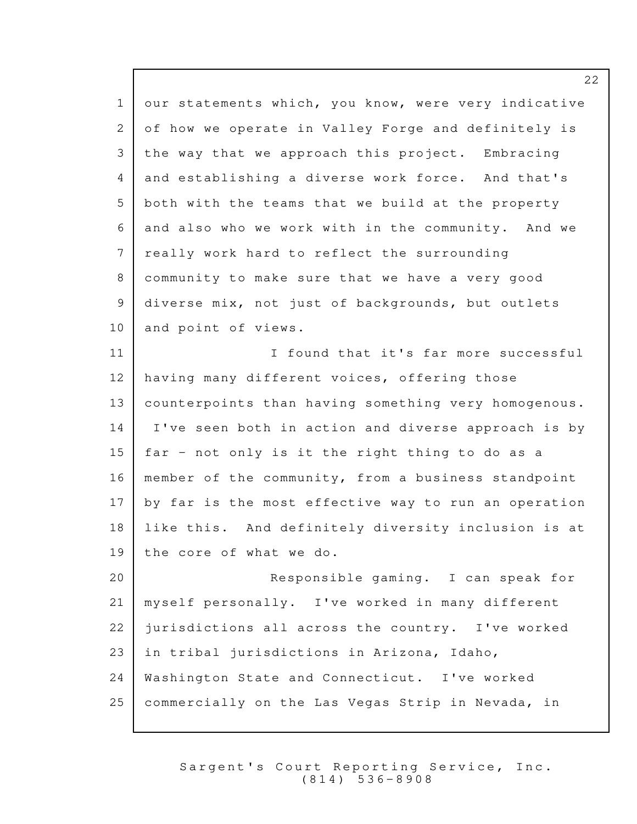1 our statements which, you know, were very indicative of how we operate in Valley Forge and definitely is 2 3 the way that we approach this project. Embracing 4 and establishing a diverse work force. And that's  $5$  both with the teams that we build at the property 6 and also who we work with in the community. And we 7 really work hard to reflect the surrounding 8 community to make sure that we have a very good 9 diverse mix, not just of backgrounds, but outlets 10 and point of views. 11 **I** found that it's far more successful 12 having many different voices, offering those 13 counterpoints than having something very homogenous. 14 | I've seen both in action and diverse approach is by 15 | far - not only is it the right thing to do as a 16 | member of the community, from a business standpoint  $17$  by far is the most effective way to run an operation 18 | like this. And definitely diversity inclusion is at  $19$  the core of what we do. 20 Responsible gaming. I can speak for 21 | myself personally. I've worked in many different 22 jurisdictions all across the country. I've worked 23 in tribal jurisdictions in Arizona, Idaho, 24 | Washington State and Connecticut. I've worked  $25$  commercially on the Las Vegas Strip in Nevada, in

> Sargent's Court Reporting Service, Inc. ( 8 1 4 ) 5 3 6 - 8 9 0 8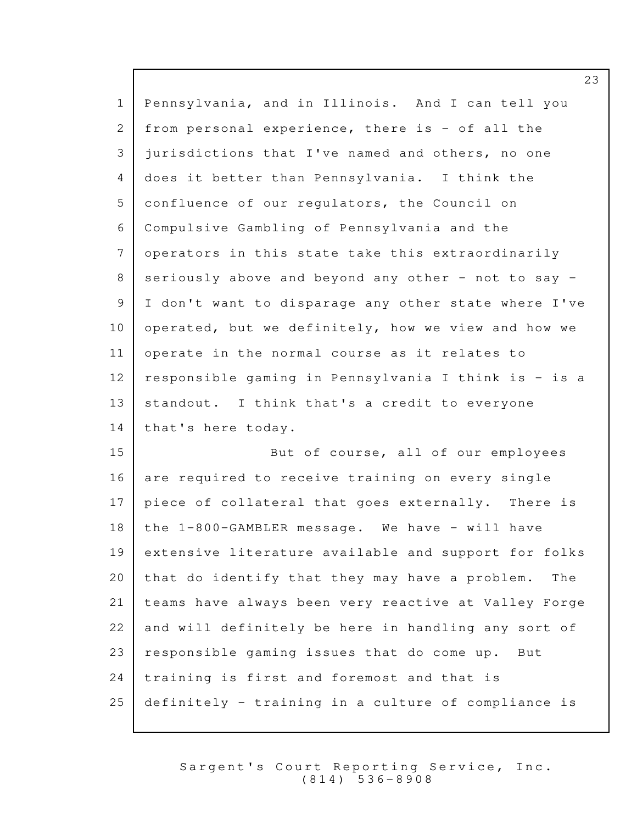1 Pennsylvania, and in Illinois. And I can tell you  $2$  from personal experience, there is - of all the 3 jurisdictions that I've named and others, no one 4 does it better than Pennsylvania. I think the 5 confluence of our requiators, the Council on 6 Compulsive Gambling of Pennsylvania and the 7 operators in this state take this extraordinarily 8 seriously above and beyond any other - not to say -9 | I don't want to disparage any other state where I've 10 | operated, but we definitely, how we view and how we  $11$  operate in the normal course as it relates to 12 | responsible gaming in Pennsylvania I think is  $-$  is a  $13$  standout. I think that's a credit to everyone 14 | that's here today. 15 But of course, all of our employees  $16$  are required to receive training on every single 17 | piece of collateral that goes externally. There is 18 | the  $1-800-GAMBLER$  message. We have - will have 19 extensive literature available and support for folks 20 | that do identify that they may have a problem. The 21 | teams have always been very reactive at Valley Forge  $22$  and will definitely be here in handling any sort of 23 | responsible gaming issues that do come up. But  $24$  training is first and foremost and that is 25 definitely - training in a culture of compliance is

> Sargent's Court Reporting Service, Inc. ( 8 1 4 ) 5 3 6 - 8 9 0 8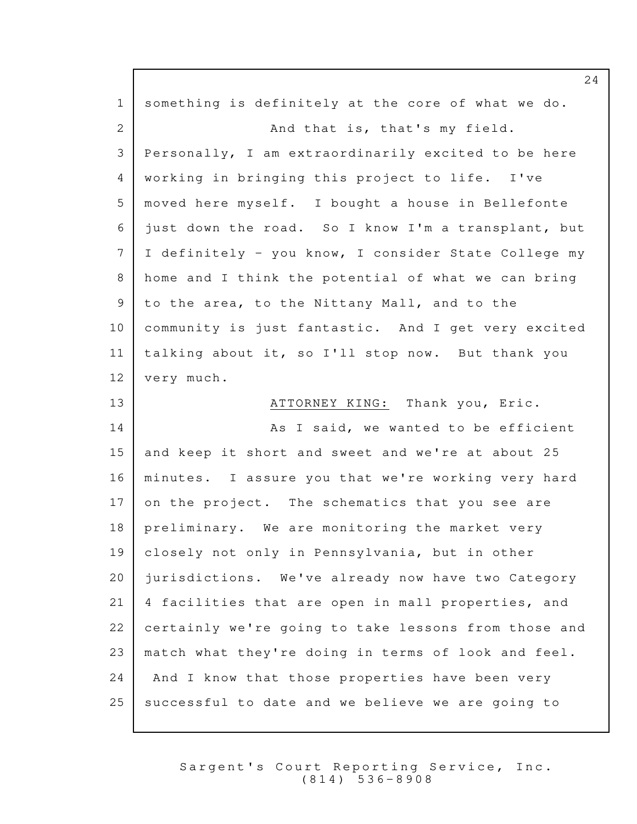| $\mathbf{1}$ | something is definitely at the core of what we do.   |
|--------------|------------------------------------------------------|
| 2            | And that is, that's my field.                        |
| 3            | Personally, I am extraordinarily excited to be here  |
| 4            | working in bringing this project to life. I've       |
| 5            | moved here myself. I bought a house in Bellefonte    |
| 6            | just down the road. So I know I'm a transplant, but  |
| 7            | I definitely - you know, I consider State College my |
| 8            | home and I think the potential of what we can bring  |
| 9            | to the area, to the Nittany Mall, and to the         |
| 10           | community is just fantastic. And I get very excited  |
| 11           | talking about it, so I'll stop now. But thank you    |
| 12           | very much.                                           |
| 13           | ATTORNEY KING: Thank you, Eric.                      |
| 14           | As I said, we wanted to be efficient                 |
| 15           | and keep it short and sweet and we're at about 25    |
| 16           | minutes. I assure you that we're working very hard   |
| 17           | on the project. The schematics that you see are      |
| 18           | preliminary. We are monitoring the market very       |
| 19           | closely not only in Pennsylvania, but in other       |
| 20           | jurisdictions. We've already now have two Category   |
| 21           | 4 facilities that are open in mall properties, and   |
| 22           | certainly we're going to take lessons from those and |
| 23           | match what they're doing in terms of look and feel.  |
| 24           | And I know that those properties have been very      |
| 25           | successful to date and we believe we are going to    |

Sargent's Court Reporting Service, Inc. ( 8 1 4 ) 5 3 6 - 8 9 0 8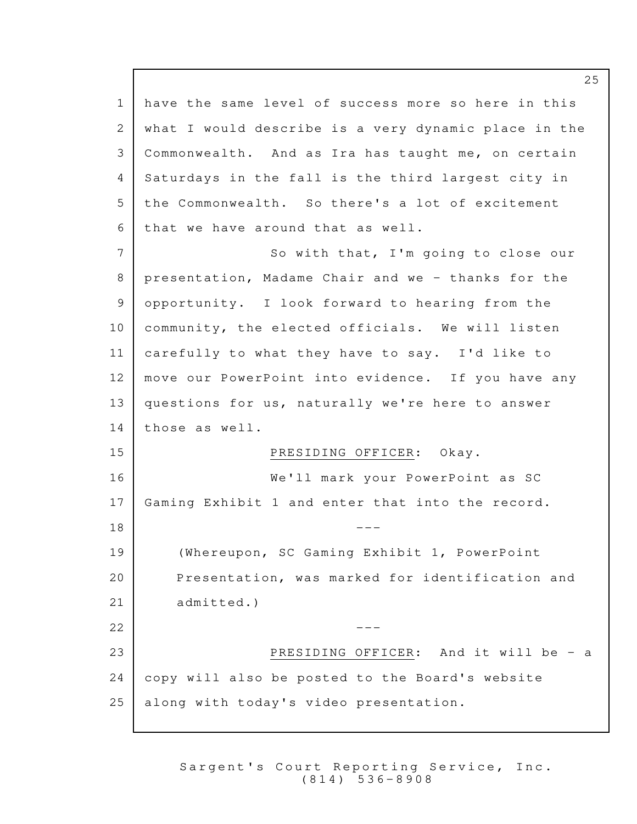1 have the same level of success more so here in this 2 what I would describe is a very dynamic place in the 3 Commonwealth. And as Ira has taught me, on certain 4 Saturdays in the fall is the third largest city in  $5$  the Commonwealth. So there's a lot of excitement 6 that we have around that as well. 7 So with that, I'm going to close our 8 presentation, Madame Chair and we - thanks for the 9 opportunity. I look forward to hearing from the  $10$  community, the elected officials. We will listen  $11$  carefully to what they have to say. I'd like to 12 | move our PowerPoint into evidence. If you have any  $13$  questions for us, naturally we're here to answer 14 those as well. 15 PRESIDING OFFICER: Okay. 16 **We'll mark your PowerPoint as SC** 17 Gaming Exhibit 1 and enter that into the record.  $18$   $---$ 19 | (Whereupon, SC Gaming Exhibit 1, PowerPoint 20 Presentation, was marked for identification and 21 admitted.)  $22$   $-$ 23 **PRESIDING OFFICER:** And it will be - a  $24$  copy will also be posted to the Board's website 25 | along with today's video presentation.

> Sargent's Court Reporting Service, Inc. ( 8 1 4 ) 5 3 6 - 8 9 0 8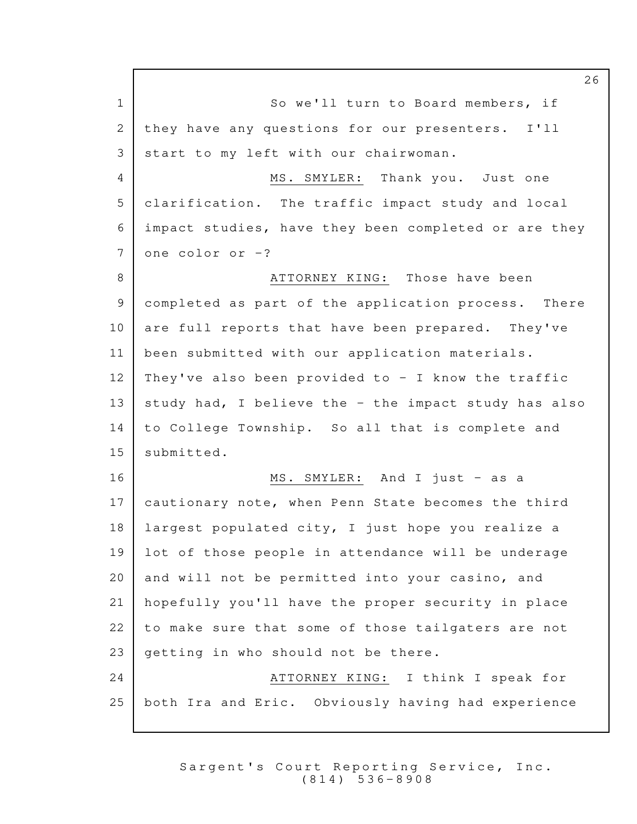1 So we'll turn to Board members, if 2 they have any questions for our presenters. I'll 3 start to my left with our chairwoman. 4 MS. SMYLER: Thank you. Just one 5 clarification. The traffic impact study and local impact studies, have they been completed or are they 6  $7$  one color or  $-?$ 8 ATTORNEY KING: Those have been 9 completed as part of the application process. There 10 are full reports that have been prepared. They've 11 | been submitted with our application materials. 12 | They've also been provided to  $-$  I know the traffic 13  $\vert$  study had, I believe the - the impact study has also 14 to College Township. So all that is complete and 15 submitted. 16 MS. SMYLER: And I just - as a 17 cautionary note, when Penn State becomes the third  $18$  largest populated city, I just hope you realize a 19 lot of those people in attendance will be underage 20 and will not be permitted into your casino, and 21 hopefully you'll have the proper security in place 22 to make sure that some of those tailgaters are not 23  $\sqrt{23}$  getting in who should not be there. 24 | ATTORNEY KING: I think I speak for 25 | both Ira and Eric. Obviously having had experience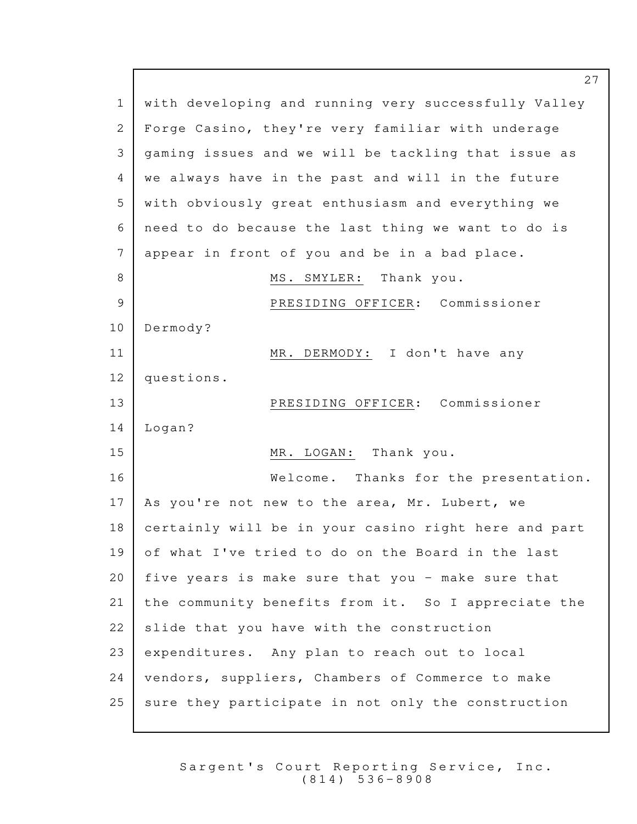1 | with developing and running very successfully Valley 2 | Forge Casino, they're very familiar with underage 3 | gaming issues and we will be tackling that issue as 4 | we always have in the past and will in the future 5 | with obviously great enthusiasm and everything we 6 need to do because the last thing we want to do is  $7$  appear in front of you and be in a bad place. 8 | MS. SMYLER: Thank you. 9 PRESIDING OFFICER: Commissioner 10 Dermody? 11 MR. DERMODY: I don't have any 12 questions. 13 PRESIDING OFFICER: Commissioner 14 | Logan? 15 MR. LOGAN: Thank you. 16 Welcome. Thanks for the presentation. 17 | As you're not new to the area, Mr. Lubert, we  $18$  certainly will be in your casino right here and part 19 of what I've tried to do on the Board in the last 20 five years is make sure that you - make sure that 21 the community benefits from it. So I appreciate the  $22$  slide that you have with the construction  $23$  expenditures. Any plan to reach out to local 24 | vendors, suppliers, Chambers of Commerce to make 25 sure they participate in not only the construction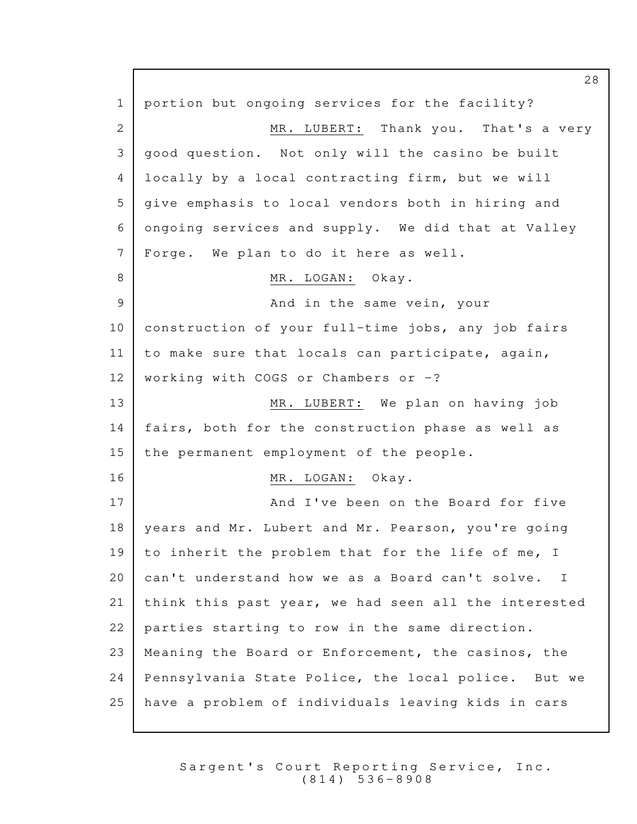1 | portion but ongoing services for the facility? 2 MR. LUBERT: Thank you. That's a very 3 | good question. Not only will the casino be built 4 locally by a local contracting firm, but we will 5 | give emphasis to local vendors both in hiring and 6 ongoing services and supply. We did that at Valley  $7$  Forge. We plan to do it here as well. 8 MR. LOGAN: Okay. 9 and in the same vein, your 10 construction of your full-time jobs, any job fairs 11 | to make sure that locals can participate, again, 12 | working with COGS or Chambers or  $-?$ 13 MR. LUBERT: We plan on having job 14 | fairs, both for the construction phase as well as 15 the permanent employment of the people. 16 MR. LOGAN: Okay. 17 and I've been on the Board for five 18 | years and Mr. Lubert and Mr. Pearson, you're going 19 to inherit the problem that for the life of me, I 20 can't understand how we as a Board can't solve. I  $21$  think this past year, we had seen all the interested  $22$  parties starting to row in the same direction. 23 | Meaning the Board or Enforcement, the casinos, the  $24$  | Pennsylvania State Police, the local police. But we 25 have a problem of individuals leaving kids in cars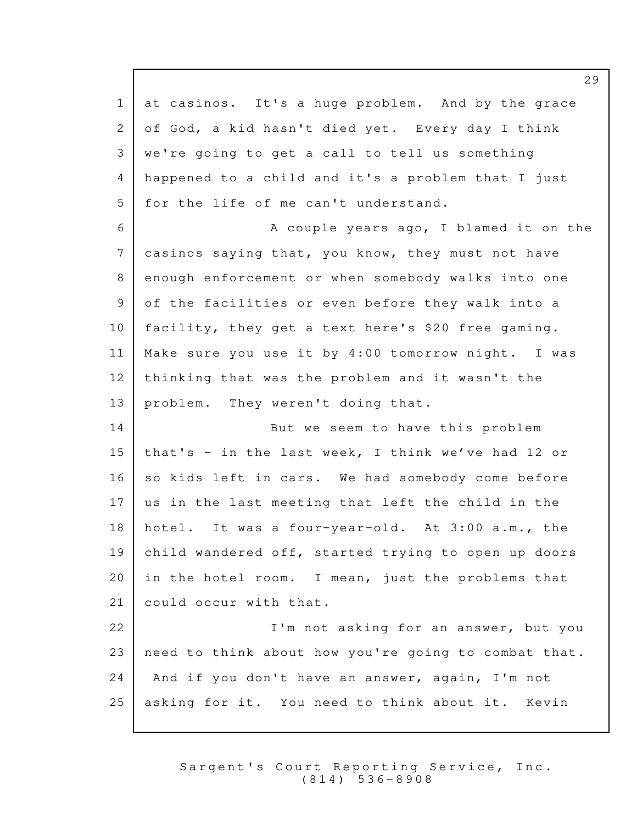$1$  at casinos. It's a huge problem. And by the grace 2 of God, a kid hasn't died yet. Every day I think 3 | we're going to get a call to tell us something 4 happened to a child and it's a problem that I just 5 | for the life of me can't understand. 6 | Recouple years ago, I blamed it on the  $7$  casinos saying that, you know, they must not have 8 enough enforcement or when somebody walks into one 9 of the facilities or even before they walk into a 10 facility, they get a text here's \$20 free gaming. 11 | Make sure you use it by  $4:00$  tomorrow night. I was  $12$  thinking that was the problem and it wasn't the 13 | problem. They weren't doing that. 14 But we seem to have this problem 15 that's - in the last week, I think we've had 12 or 16 so kids left in cars. We had somebody come before  $17$  us in the last meeting that left the child in the 18 hotel. It was a four-year-old. At 3:00 a.m., the 19 child wandered off, started trying to open up doors 20 in the hotel room. I mean, just the problems that 21 could occur with that. 22 **I'm not asking for an answer, but you**  $23$  need to think about how you're going to combat that. 24 | And if you don't have an answer, again, I'm not 25 asking for it. You need to think about it. Kevin

> Sargent's Court Reporting Service, Inc. ( 8 1 4 ) 5 3 6 - 8 9 0 8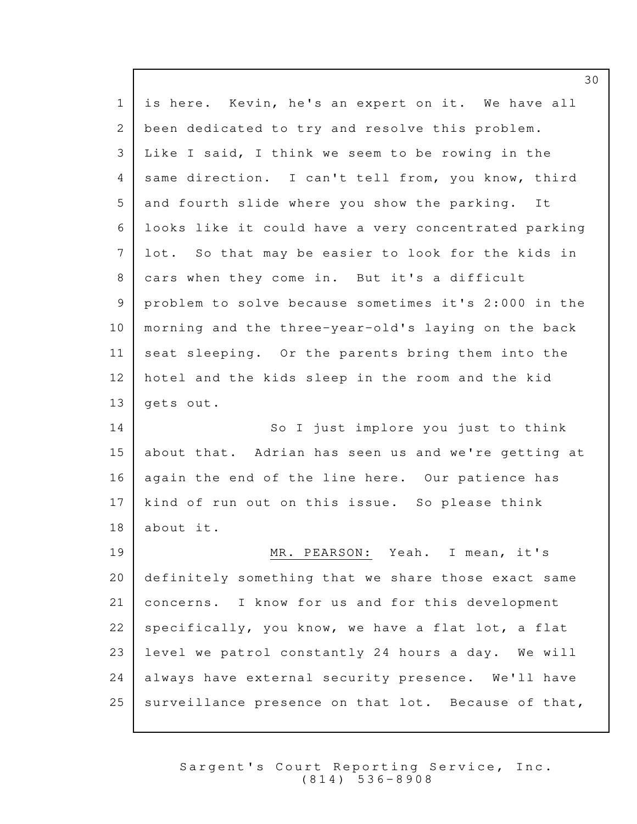| $\mathbf{1}$ | is here. Kevin, he's an expert on it. We have all    |
|--------------|------------------------------------------------------|
| 2            | been dedicated to try and resolve this problem.      |
| 3            | Like I said, I think we seem to be rowing in the     |
| 4            | same direction. I can't tell from, you know, third   |
| 5            | and fourth slide where you show the parking.<br>It   |
| 6            | looks like it could have a very concentrated parking |
| 7            | lot. So that may be easier to look for the kids in   |
| 8            | cars when they come in. But it's a difficult         |
| 9            | problem to solve because sometimes it's 2:000 in the |
| 10           | morning and the three-year-old's laying on the back  |
| 11           | seat sleeping. Or the parents bring them into the    |
| 12           | hotel and the kids sleep in the room and the kid     |
| 13           | gets out.                                            |
| 14           | So I just implore you just to think                  |
| 15           | about that. Adrian has seen us and we're getting at  |
| 16           | again the end of the line here. Our patience has     |
| 17           | kind of run out on this issue. So please think       |
| 18           | about it.                                            |
| 19           | MR. PEARSON: Yeah. I mean, it's                      |
| 20           | definitely something that we share those exact same  |
| 21           | concerns. I know for us and for this development     |
| 22           | specifically, you know, we have a flat lot, a flat   |
| 23           | level we patrol constantly 24 hours a day. We will   |
| 24           | always have external security presence. We'll have   |
| 25           | surveillance presence on that lot. Because of that,  |
|              |                                                      |

Sargent's Court Reporting Service, Inc. ( 8 1 4 ) 5 3 6 - 8 9 0 8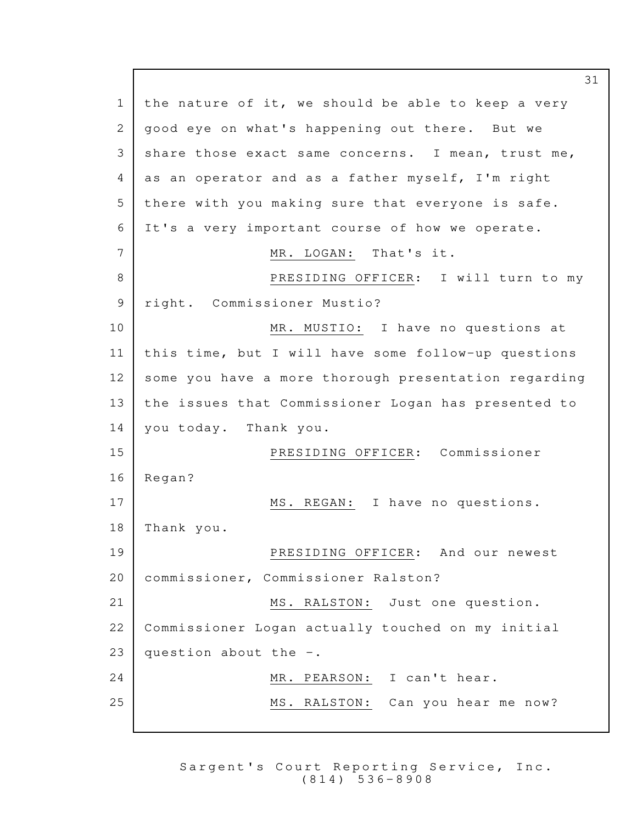1 | the nature of it, we should be able to keep a very 2 | good eye on what's happening out there. But we 3 share those exact same concerns. I mean, trust me, 4 as an operator and as a father myself, I'm right 5 there with you making sure that everyone is safe. 6 It's a very important course of how we operate. 7 MR. LOGAN: That's it. 8 PRESIDING OFFICER: I will turn to my 9 | right. Commissioner Mustio? 10 MR. MUSTIO: I have no questions at  $11$  | this time, but I will have some follow-up questions 12 some you have a more thorough presentation regarding 13 the issues that Commissioner Logan has presented to 14 you today. Thank you. 15 PRESIDING OFFICER: Commissioner 16 | Regan? 17 MS. REGAN: I have no questions. 18 | Thank you. 19 PRESIDING OFFICER: And our newest 20 | commissioner, Commissioner Ralston? 21 MS. RALSTON: Just one question. 22 | Commissioner Logan actually touched on my initial 23 question about the  $-$ . 24 | MR. PEARSON: I can't hear. 25 MS. RALSTON: Can you hear me now?

> Sargent's Court Reporting Service, Inc. ( 8 1 4 ) 5 3 6 - 8 9 0 8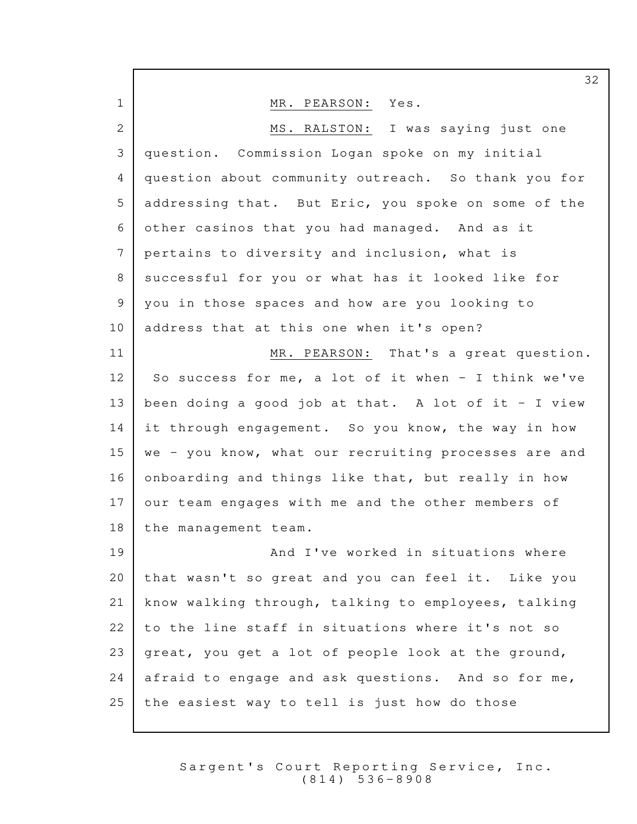|                       | 32                                                   |
|-----------------------|------------------------------------------------------|
| $\mathbf{1}$          | Yes.<br>MR. PEARSON:                                 |
| $\mathbf{2}^{\prime}$ | MS. RALSTON: I was saying just one                   |
| 3                     | question. Commission Logan spoke on my initial       |
| 4                     | question about community outreach. So thank you for  |
| 5                     | addressing that. But Eric, you spoke on some of the  |
| 6                     | other casinos that you had managed. And as it        |
| 7                     | pertains to diversity and inclusion, what is         |
| 8                     | successful for you or what has it looked like for    |
| 9                     | you in those spaces and how are you looking to       |
| 10                    | address that at this one when it's open?             |
| 11                    | MR. PEARSON: That's a great question.                |
| 12 <sub>2</sub>       | So success for me, a lot of it when - I think we've  |
| 13                    | been doing a good job at that. A lot of it - I view  |
| 14                    | it through engagement. So you know, the way in how   |
| 15                    | we - you know, what our recruiting processes are and |
| 16                    | onboarding and things like that, but really in how   |
| 17                    | our team engages with me and the other members of    |
| 18                    | the management team.                                 |
| 19                    | And I've worked in situations where                  |
| 20                    | that wasn't so great and you can feel it. Like you   |
| 21                    | know walking through, talking to employees, talking  |
| 22                    | to the line staff in situations where it's not so    |
| 23                    | great, you get a lot of people look at the ground,   |
| 24                    | afraid to engage and ask questions. And so for me,   |
| 25                    | the easiest way to tell is just how do those         |
|                       |                                                      |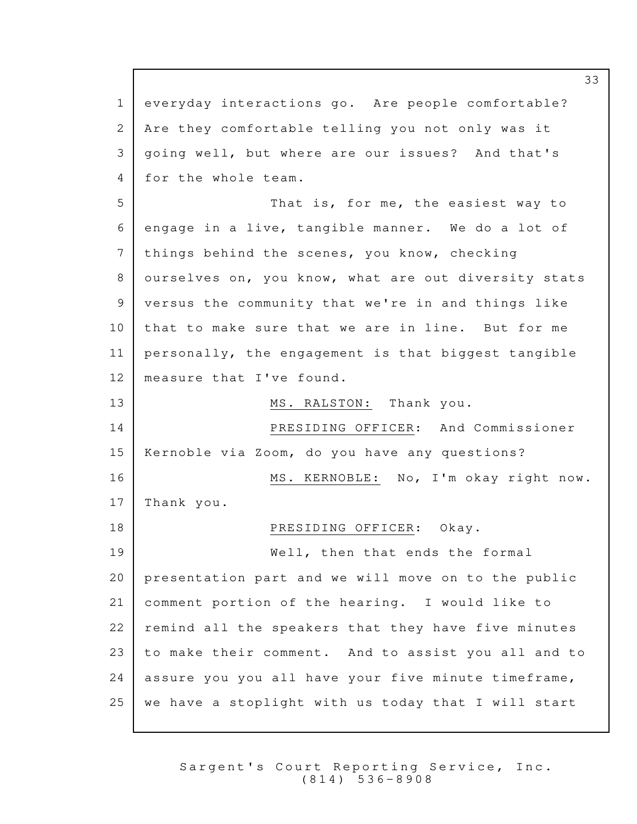1 everyday interactions go. Are people comfortable? 2 | Are they comfortable telling you not only was it 3 | going well, but where are our issues? And that's 4 for the whole team. 5 That is, for me, the easiest way to 6 engage in a live, tangible manner. We do a lot of 7 | things behind the scenes, you know, checking 8 ourselves on, you know, what are out diversity stats 9 versus the community that we're in and things like 10 that to make sure that we are in line. But for me  $11$  personally, the engagement is that biggest tangible 12 | measure that I've found. 13 MS. RALSTON: Thank you. 14 PRESIDING OFFICER: And Commissioner 15 | Kernoble via Zoom, do you have any questions? 16 MS. KERNOBLE: No, I'm okay right now. 17 | Thank you. 18 PRESIDING OFFICER: Okay. 19 Well, then that ends the formal  $20$  presentation part and we will move on to the public 21 comment portion of the hearing. I would like to  $22$  remind all the speakers that they have five minutes  $23$  to make their comment. And to assist you all and to  $24$  assure you you all have your five minute timeframe,  $25$  we have a stoplight with us today that I will start

> Sargent's Court Reporting Service, Inc. ( 8 1 4 ) 5 3 6 - 8 9 0 8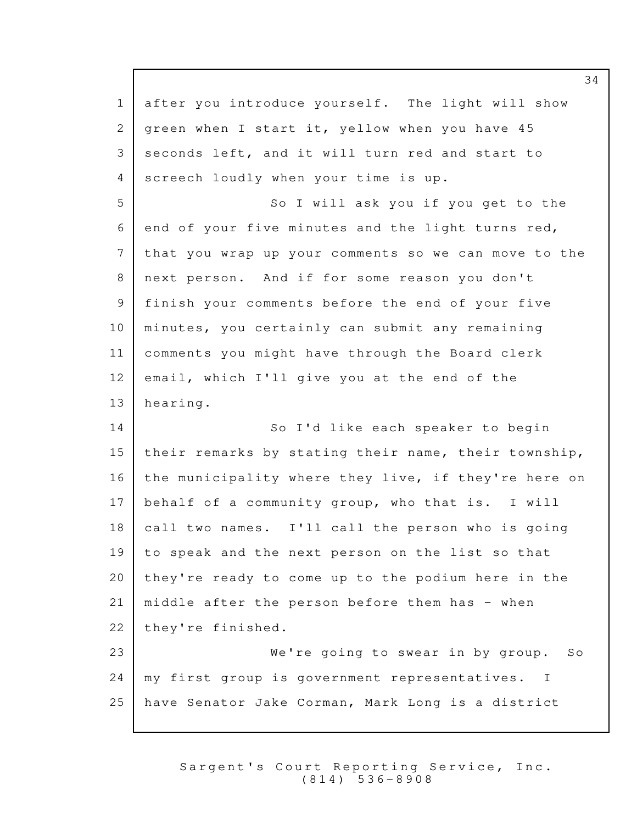1 after you introduce yourself. The light will show 2 green when I start it, yellow when you have 45 3 seconds left, and it will turn red and start to 4 screech loudly when your time is up. 5 So I will ask you if you get to the  $6$  end of your five minutes and the light turns red, 7 that you wrap up your comments so we can move to the 8 next person. And if for some reason you don't 9 | finish your comments before the end of your five 10 | minutes, you certainly can submit any remaining 11 comments you might have through the Board clerk 12 email, which I'll give you at the end of the 13 hearing. 14 So I'd like each speaker to begin 15 their remarks by stating their name, their township, 16 | the municipality where they live, if they're here on  $17$  behalf of a community group, who that is. I will 18 call two names. I'll call the person who is going  $19$  to speak and the next person on the list so that 20 they're ready to come up to the podium here in the 21 | middle after the person before them has  $-$  when 22 they're finished. 23 We're going to swear in by group. So 24 | my first group is government representatives. I 25 have Senator Jake Corman, Mark Long is a district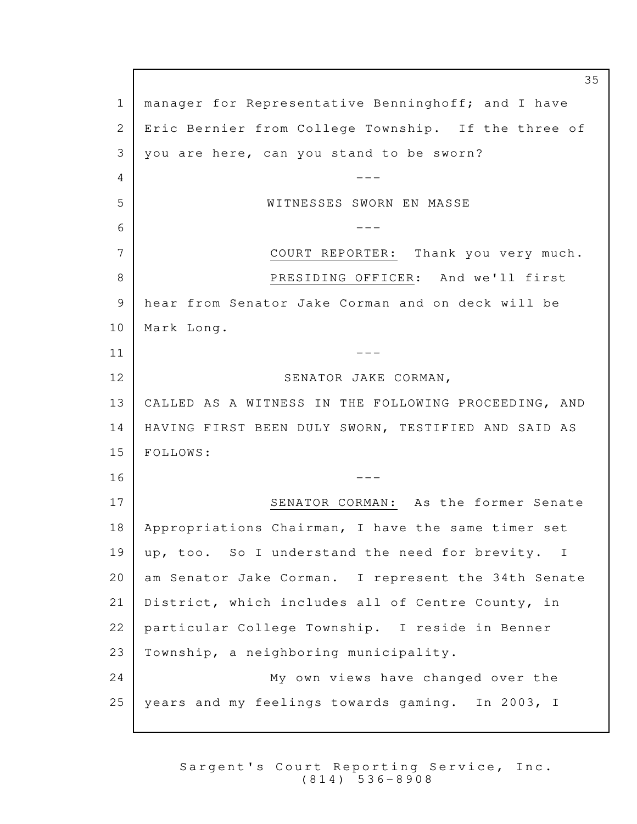1 | manager for Representative Benninghoff; and I have 2 Eric Bernier from College Township. If the three of 3 | you are here, can you stand to be sworn?  $4$   $---$ 5 NUTRESSES SWORN EN MASSE --- 6 7 COURT REPORTER: Thank you very much. 8 PRESIDING OFFICER: And we'll first 9 hear from Senator Jake Corman and on deck will be 10 | Mark Long.  $\overline{11}$   $\overline{1}$   $\overline{1}$   $\overline{1}$   $\overline{1}$   $\overline{1}$   $\overline{1}$   $\overline{1}$   $\overline{1}$   $\overline{1}$   $\overline{1}$   $\overline{1}$   $\overline{1}$   $\overline{1}$   $\overline{1}$   $\overline{1}$   $\overline{1}$   $\overline{1}$   $\overline{1}$   $\overline{1}$   $\overline{1}$   $\overline{1}$   $\overline{1}$   $\overline{1}$   $\overline$ 12 SENATOR JAKE CORMAN, 13 | CALLED AS A WITNESS IN THE FOLLOWING PROCEEDING, AND 14 | HAVING FIRST BEEN DULY SWORN, TESTIFIED AND SAID AS 15 | FOLLOWS:  $16$   $---$ 17 SENATOR CORMAN: As the former Senate 18 Appropriations Chairman, I have the same timer set 19 | up, too. So I understand the need for brevity. I 20 | am Senator Jake Corman. I represent the 34th Senate 21 | District, which includes all of Centre County, in 22 | particular College Township. I reside in Benner  $23$  Township, a neighboring municipality. 24 My own views have changed over the 25 | years and my feelings towards gaming. In 2003, I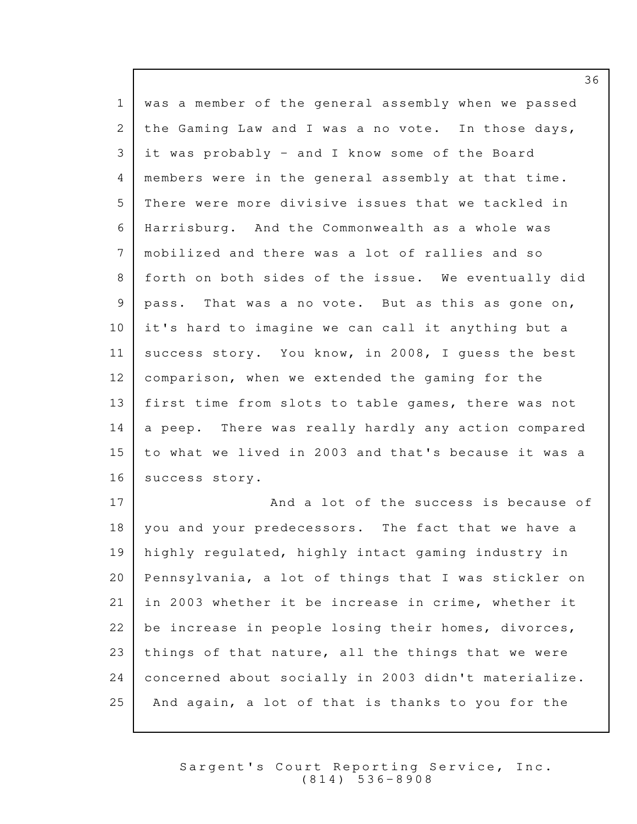| $\mathbf{1}$    | was a member of the general assembly when we passed  |
|-----------------|------------------------------------------------------|
| $\mathbf{2}$    | the Gaming Law and I was a no vote. In those days,   |
| 3               | it was probably - and I know some of the Board       |
| 4               | members were in the general assembly at that time.   |
| 5               | There were more divisive issues that we tackled in   |
| 6               | Harrisburg. And the Commonwealth as a whole was      |
| $7\phantom{.0}$ | mobilized and there was a lot of rallies and so      |
| 8               | forth on both sides of the issue. We eventually did  |
| 9               | pass. That was a no vote. But as this as gone on,    |
| 10 <sub>o</sub> | it's hard to imagine we can call it anything but a   |
| 11              | success story. You know, in 2008, I quess the best   |
| 12              | comparison, when we extended the gaming for the      |
| 13              | first time from slots to table games, there was not  |
| 14              | a peep. There was really hardly any action compared  |
| 15              | to what we lived in 2003 and that's because it was a |
| 16              | success story.                                       |
| 17              | And a lot of the success is because of               |
| 18              | you and your predecessors. The fact that we have a   |
| 19              | highly regulated, highly intact gaming industry in   |
| 20              | Pennsylvania, a lot of things that I was stickler on |
| 21              | in 2003 whether it be increase in crime, whether it  |
| 22              | be increase in people losing their homes, divorces,  |
| 23              | things of that nature, all the things that we were   |
| 24              | concerned about socially in 2003 didn't materialize. |
| 25              | And again, a lot of that is thanks to you for the    |

Sargent's Court Reporting Service, Inc. ( 8 1 4 ) 5 3 6 - 8 9 0 8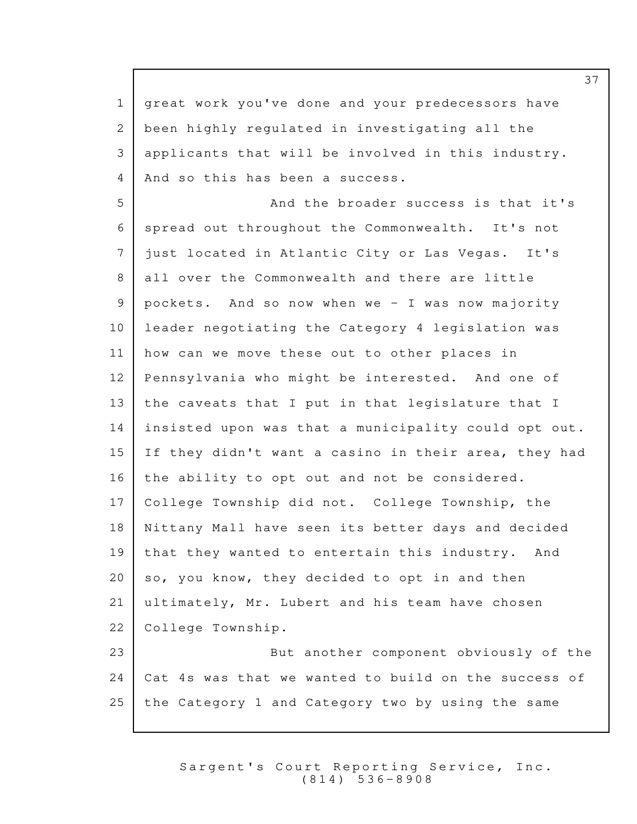1 | great work you've done and your predecessors have 2 been highly regulated in investigating all the 3 applicants that will be involved in this industry. 4 | And so this has been a success. 5 And the broader success is that it's 6 | spread out throughout the Commonwealth. It's not 7 | just located in Atlantic City or Las Vegas. It's 8 all over the Commonwealth and there are little  $9$  pockets. And so now when we - I was now majority 10 leader negotiating the Category 4 legislation was  $11$  how can we move these out to other places in 12 Pennsylvania who might be interested. And one of  $13$  the caveats that I put in that legislature that I  $14$  insisted upon was that a municipality could opt out. 15 If they didn't want a casino in their area, they had 16 the ability to opt out and not be considered. 17 | College Township did not. College Township, the 18 Nittany Mall have seen its better days and decided 19 that they wanted to entertain this industry. And  $20$  so, you know, they decided to opt in and then 21 ultimately, Mr. Lubert and his team have chosen 22 | College Township. 23 **But another component obviously of the** 24  $\vert$  Cat 4s was that we wanted to build on the success of  $25$  the Category 1 and Category two by using the same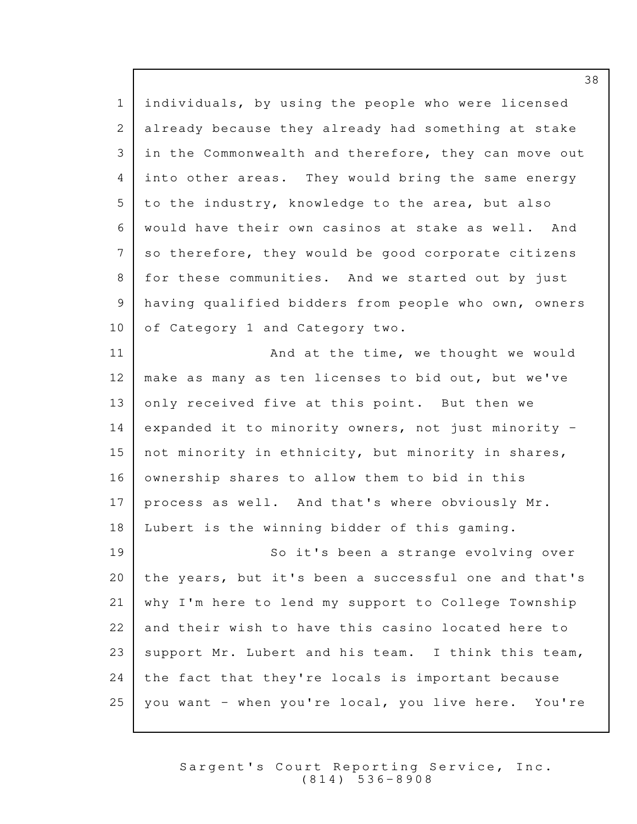1 individuals, by using the people who were licensed 2 already because they already had something at stake 3 in the Commonwealth and therefore, they can move out 4 into other areas. They would bring the same energy  $5$  to the industry, knowledge to the area, but also 6 | would have their own casinos at stake as well. And 7 so therefore, they would be good corporate citizens 8 for these communities. And we started out by just 9 having qualified bidders from people who own, owners 10 of Category 1 and Category two. 11 | And at the time, we thought we would 12 | make as many as ten licenses to bid out, but we've  $13$  only received five at this point. But then we  $14$  expanded it to minority owners, not just minority -15 not minority in ethnicity, but minority in shares,  $16$  ownership shares to allow them to bid in this  $17$  process as well. And that's where obviously Mr.  $18$  | Lubert is the winning bidder of this gaming. 19 So it's been a strange evolving over 20 | the years, but it's been a successful one and that's 21 | why I'm here to lend my support to College Township 22 and their wish to have this casino located here to 23 | support Mr. Lubert and his team. I think this team,  $24$  the fact that they're locals is important because

> Sargent's Court Reporting Service, Inc. ( 8 1 4 ) 5 3 6 - 8 9 0 8

 $25$  you want - when you're local, you live here. You're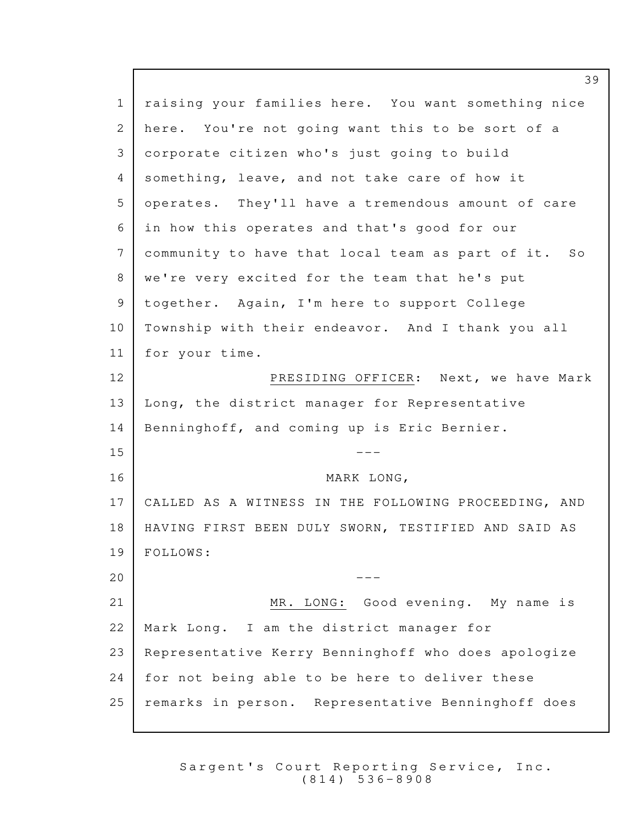1 | raising your families here. You want something nice 2 here. You're not going want this to be sort of a corporate citizen who's just going to build 3 4 Something, leave, and not take care of how it 5 | operates. They'll have a tremendous amount of care 6 in how this operates and that's good for our 7 | community to have that local team as part of it. So 8 | we're very excited for the team that he's put 9 | together. Again, I'm here to support College 10 | Township with their endeavor. And I thank you all 11 | for your time. 12 PRESIDING OFFICER: Next, we have Mark  $13$  Long, the district manager for Representative 14 | Benninghoff, and coming up is Eric Bernier.  $15$   $---$ MARK LONG, 16 17 | CALLED AS A WITNESS IN THE FOLLOWING PROCEEDING, AND 18 | HAVING FIRST BEEN DULY SWORN, TESTIFIED AND SAID AS FOLLOWS: 19  $20$   $-$ 21 MR. LONG: Good evening. My name is 22 | Mark Long. I am the district manager for 23 | Representative Kerry Benninghoff who does apologize  $24$  for not being able to be here to deliver these 25 | remarks in person. Representative Benninghoff does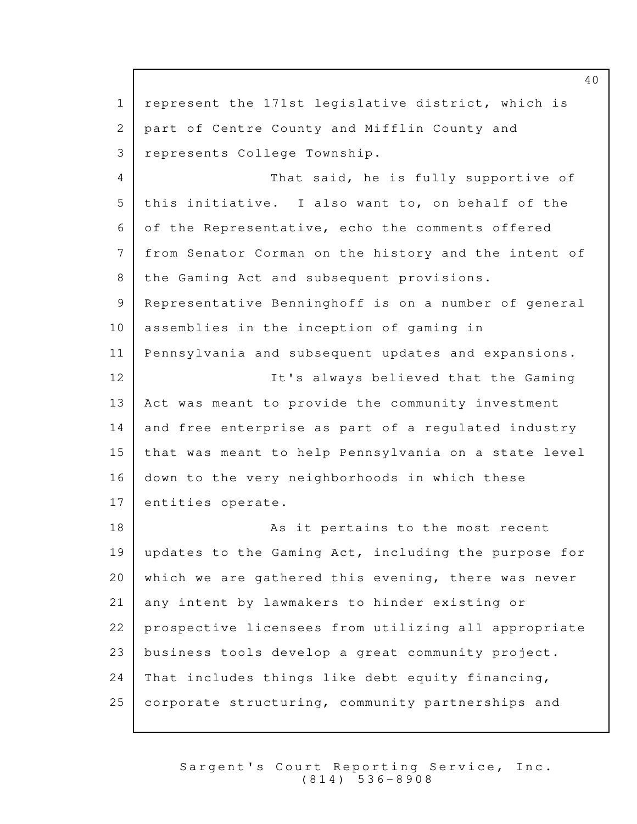1 represent the 171st legislative district, which is 2 | part of Centre County and Mifflin County and 3 | represents College Township. 4 That said, he is fully supportive of 5 this initiative. I also want to, on behalf of the  $6$  of the Representative, echo the comments offered 7 from Senator Corman on the history and the intent of 8 | the Gaming Act and subsequent provisions. 9 Representative Benninghoff is on a number of general  $10$  assemblies in the inception of gaming in 11 | Pennsylvania and subsequent updates and expansions. 12 | The It's always believed that the Gaming  $13$  Act was meant to provide the community investment 14 and free enterprise as part of a regulated industry 15 | that was meant to help Pennsylvania on a state level  $16$  down to the very neighborhoods in which these 17 entities operate. 18 | Reserve to the most recent to the most recent 19 | updates to the Gaming Act, including the purpose for 20 | which we are gathered this evening, there was never 21 any intent by lawmakers to hinder existing or 22 | prospective licensees from utilizing all appropriate 23 business tools develop a great community project.  $24$  That includes things like debt equity financing,  $25$  corporate structuring, community partnerships and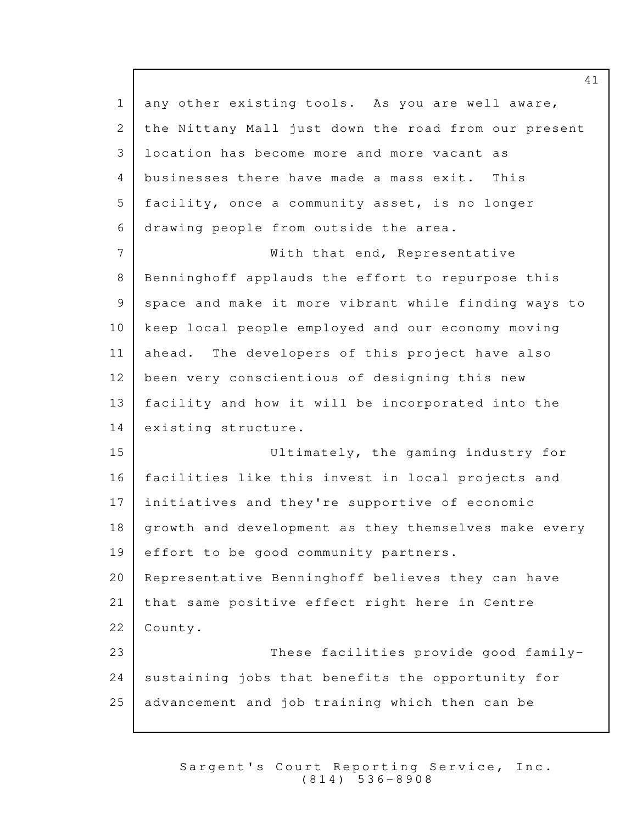$1$  any other existing tools. As you are well aware, 2 the Nittany Mall just down the road from our present 3 location has become more and more vacant as 4 businesses there have made a mass exit. This  $5$  facility, once a community asset, is no longer 6 drawing people from outside the area. 7 | With that end, Representative 8 Benninghoff applauds the effort to repurpose this 9 | space and make it more vibrant while finding ways to 10 keep local people employed and our economy moving 11 ahead. The developers of this project have also 12 | been very conscientious of designing this new 13 | facility and how it will be incorporated into the 14 existing structure. 15 Ultimately, the gaming industry for 16 facilities like this invest in local projects and 17 | initiatives and they're supportive of economic 18 | growth and development as they themselves make every  $19$  effort to be good community partners.  $20$  Representative Benninghoff believes they can have 21 | that same positive effect right here in Centre 22 County. 23 These facilities provide good family-24 sustaining jobs that benefits the opportunity for  $25$  advancement and job training which then can be

> Sargent's Court Reporting Service, Inc. ( 8 1 4 ) 5 3 6 - 8 9 0 8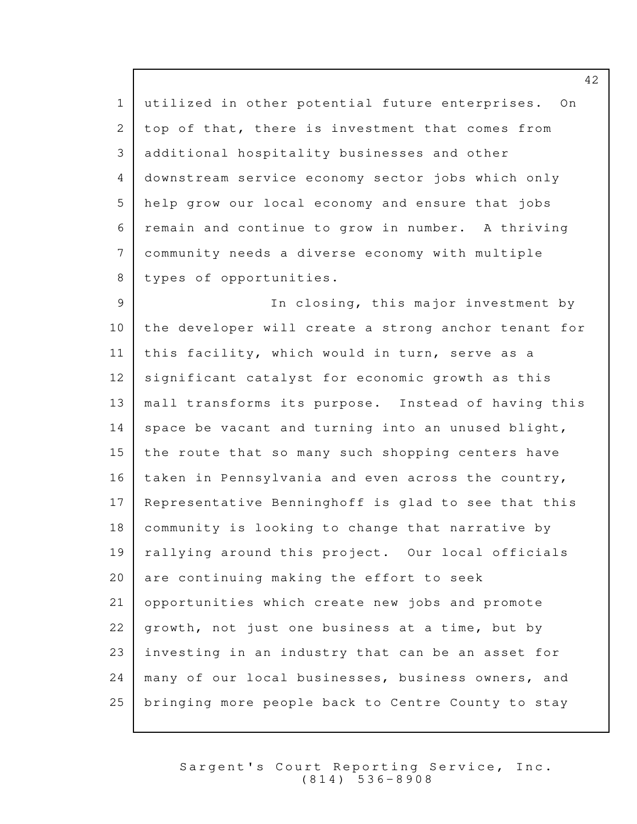1 utilized in other potential future enterprises. On 2 top of that, there is investment that comes from 3 additional hospitality businesses and other 4 downstream service economy sector jobs which only 5 help grow our local economy and ensure that jobs 6 remain and continue to grow in number. A thriving community needs a diverse economy with multiple 7 8 types of opportunities.

9 | The Closing, this major investment by  $10$  the developer will create a strong anchor tenant for 11 | this facility, which would in turn, serve as a  $12$  significant catalyst for economic growth as this 13 | mall transforms its purpose. Instead of having this 14 space be vacant and turning into an unused blight,  $15$  the route that so many such shopping centers have 16 | taken in Pennsylvania and even across the country,  $17$  Representative Benninghoff is glad to see that this  $18$  community is looking to change that narrative by 19 | rallying around this project. Our local officials  $20$  are continuing making the effort to seek 21 opportunities which create new jobs and promote  $22$  growth, not just one business at a time, but by  $23$  investing in an industry that can be an asset for 24 many of our local businesses, business owners, and 25 bringing more people back to Centre County to stay

> Sargent's Court Reporting Service, Inc. ( 8 1 4 ) 5 3 6 - 8 9 0 8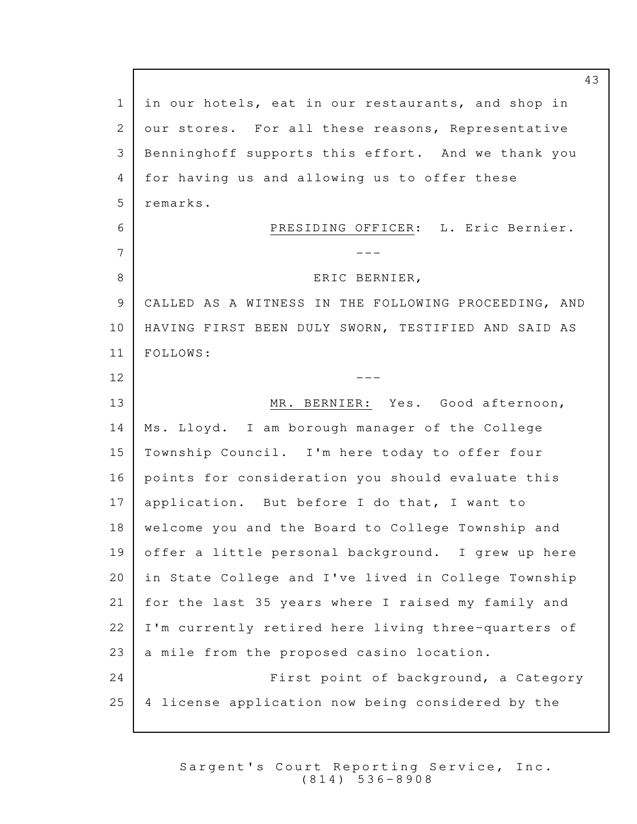1 in our hotels, eat in our restaurants, and shop in 2 our stores. For all these reasons, Representative 3 Benninghoff supports this effort. And we thank you 4 for having us and allowing us to offer these 5 remarks. 6 PRESIDING OFFICER: L. Eric Bernier. --- 7 8 BRIC BERNIER, 9 | CALLED AS A WITNESS IN THE FOLLOWING PROCEEDING, AND 10 | HAVING FIRST BEEN DULY SWORN, TESTIFIED AND SAID AS FOLLOWS: 11  $12$   $---$ 13 MR. BERNIER: Yes. Good afternoon,  $14$  | Ms. Lloyd. I am borough manager of the College  $15$  Township Council. I'm here today to offer four 16 points for consideration you should evaluate this  $17$  application. But before I do that, I want to 18 | welcome you and the Board to College Township and 19 offer a little personal background. I grew up here 20 | in State College and I've lived in College Township 21 for the last 35 years where I raised my family and 22 | I'm currently retired here living three-quarters of  $23$  a mile from the proposed casino location. 24 **First point of background, a Category**  $25$  | 4 license application now being considered by the

> Sargent's Court Reporting Service, Inc. ( 8 1 4 ) 5 3 6 - 8 9 0 8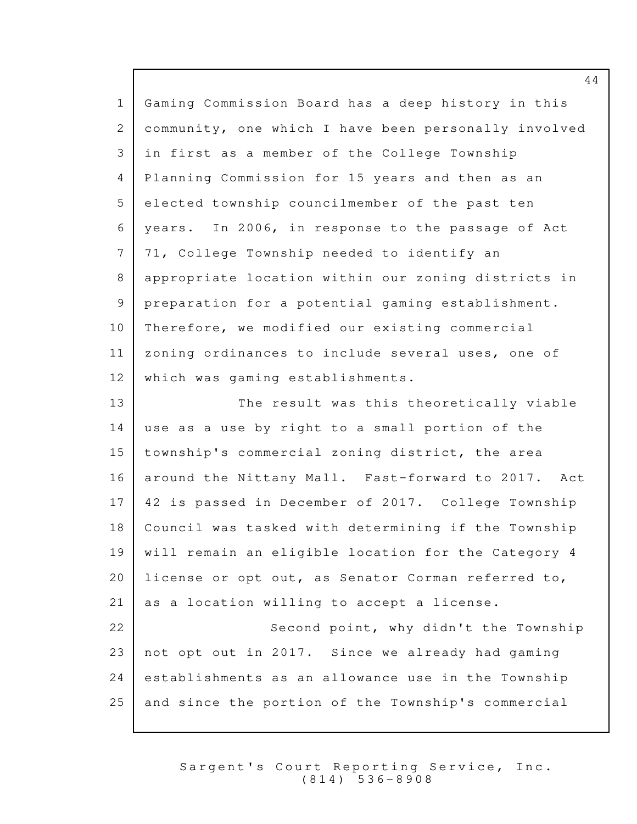| $\mathbf{1}$   | Gaming Commission Board has a deep history in this   |
|----------------|------------------------------------------------------|
| $\mathbf{2}$   | community, one which I have been personally involved |
| 3              | in first as a member of the College Township         |
| $\overline{4}$ | Planning Commission for 15 years and then as an      |
| 5              | elected township councilmember of the past ten       |
| 6              | years. In 2006, in response to the passage of Act    |
| 7              | 71, College Township needed to identify an           |
| 8              | appropriate location within our zoning districts in  |
| 9              | preparation for a potential gaming establishment.    |
| 10             | Therefore, we modified our existing commercial       |
| 11             | zoning ordinances to include several uses, one of    |
| 12             | which was gaming establishments.                     |
| 13             | The result was this theoretically viable             |
| 14             | use as a use by right to a small portion of the      |
| 15             | township's commercial zoning district, the area      |
| 16             | around the Nittany Mall. Fast-forward to 2017. Act   |
| 17             | 42 is passed in December of 2017. College Township   |
| 18             | Council was tasked with determining if the Township  |
| 19             | will remain an eligible location for the Category 4  |
| 20             | license or opt out, as Senator Corman referred to,   |
| 21             | as a location willing to accept a license.           |
| 22             | Second point, why didn't the Township                |
| 23             | not opt out in 2017. Since we already had gaming     |
| 24             | establishments as an allowance use in the Township   |
| 25             | and since the portion of the Township's commercial   |

Sargent's Court Reporting Service, Inc. ( 8 1 4 ) 5 3 6 - 8 9 0 8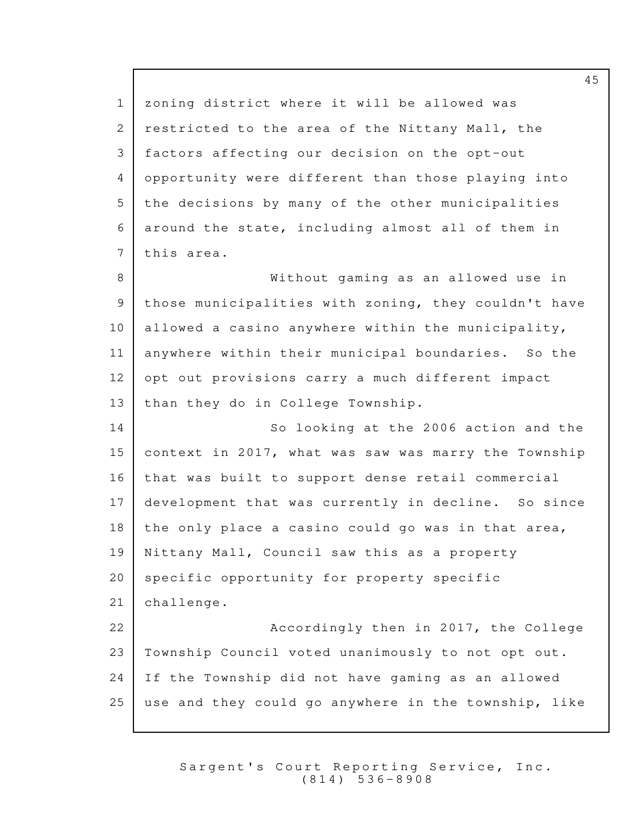1 | zoning district where it will be allowed was 2 restricted to the area of the Nittany Mall, the 3 | factors affecting our decision on the opt-out 4 opportunity were different than those playing into 5 the decisions by many of the other municipalities  $6$  around the state, including almost all of them in 7 this area. 8 | Southout gaming as an allowed use in  $9$  those municipalities with zoning, they couldn't have 10 allowed a casino anywhere within the municipality, 11 anywhere within their municipal boundaries. So the  $12$  opt out provisions carry a much different impact 13 than they do in College Township. 14 So looking at the 2006 action and the 15 context in 2017, what was saw was marry the Township 16 that was built to support dense retail commercial 17 development that was currently in decline. So since 18 the only place a casino could go was in that area,  $19$  Nittany Mall, Council saw this as a property 20 | specific opportunity for property specific 21 challenge. 22 **Accordingly then in 2017, the College** 23 | Township Council voted unanimously to not opt out.  $24$  If the Township did not have gaming as an allowed  $25$  use and they could go anywhere in the township, like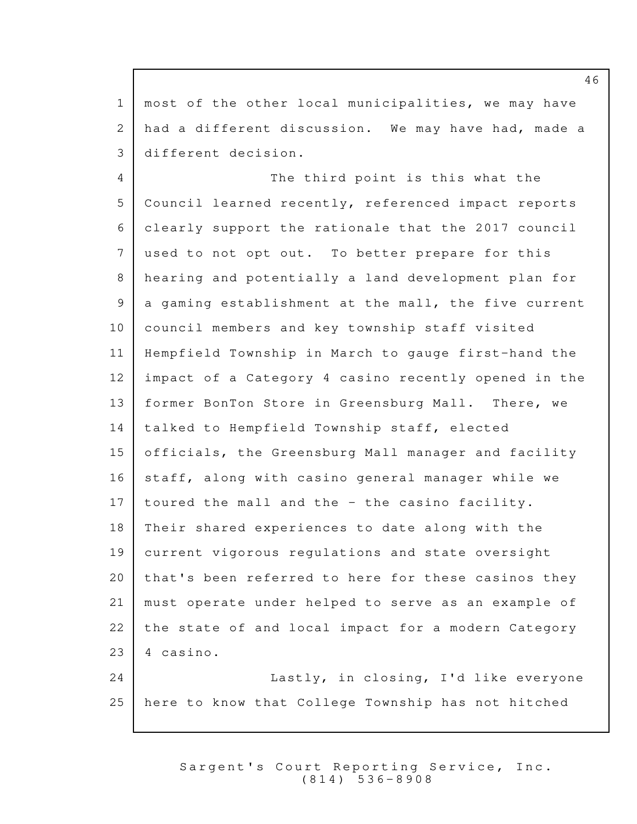$1$  most of the other local municipalities, we may have 2 had a different discussion. We may have had, made a 3 different decision. 4 The third point is this what the 5 Council learned recently, referenced impact reports clearly support the rationale that the 2017 council 6 7 used to not opt out. To better prepare for this 8 | hearing and potentially a land development plan for  $9$  a gaming establishment at the mall, the five current 10 | council members and key township staff visited 11 | Hempfield Township in March to gauge first-hand the 12 impact of a Category 4 casino recently opened in the 13 former BonTon Store in Greensburg Mall. There, we  $14$  talked to Hempfield Township staff, elected 15 officials, the Greensburg Mall manager and facility 16 staff, along with casino general manager while we  $17$  toured the mall and the - the casino facility. 18 Their shared experiences to date along with the 19 current vigorous regulations and state oversight  $20$  | that's been referred to here for these casinos they 21 | must operate under helped to serve as an example of 22 | the state of and local impact for a modern Category  $23$  | 4 casino. 24 | Lastly, in closing, I'd like everyone 25 here to know that College Township has not hitched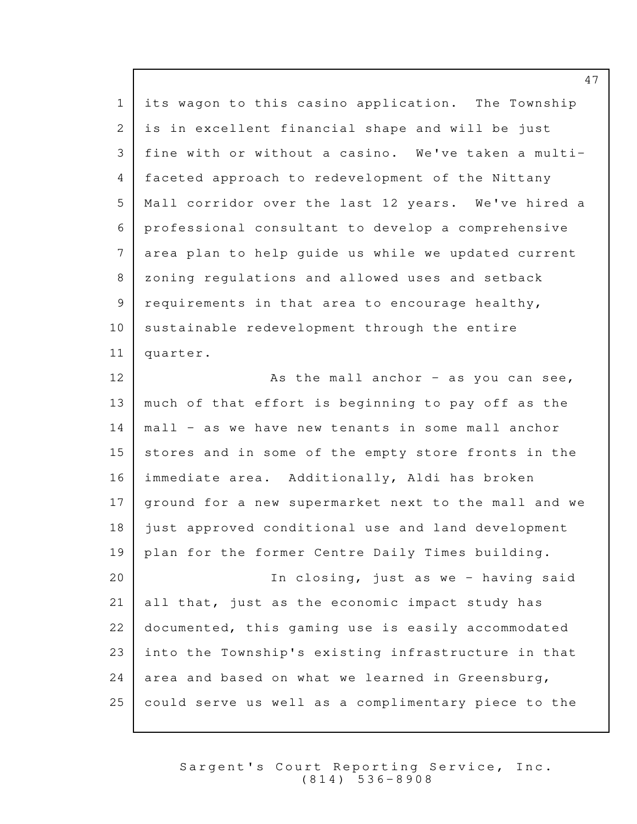1 | its wagon to this casino application. The Township  $2$  is in excellent financial shape and will be just fine with or without a casino. We've taken a multi-3 4 | faceted approach to redevelopment of the Nittany 5 | Mall corridor over the last 12 years. We've hired a 6 professional consultant to develop a comprehensive 7 area plan to help quide us while we updated current 8 | zoning regulations and allowed uses and setback  $9$  requirements in that area to encourage healthy,  $10$  sustainable redevelopment through the entire 11 | quarter.  $12$   $\sim$  As the mall anchor - as you can see, 13 much of that effort is beginning to pay off as the  $14$  mall - as we have new tenants in some mall anchor  $15$  stores and in some of the empty store fronts in the 16 | immediate area. Additionally, Aldi has broken 17 | ground for a new supermarket next to the mall and we 18 just approved conditional use and land development 19 | plan for the former Centre Daily Times building. 20 | The Closing, just as we - having said  $21$  all that, just as the economic impact study has 22 documented, this gaming use is easily accommodated  $23$  into the Township's existing infrastructure in that 24 area and based on what we learned in Greensburg,  $25$  could serve us well as a complimentary piece to the

> Sargent's Court Reporting Service, Inc. ( 8 1 4 ) 5 3 6 - 8 9 0 8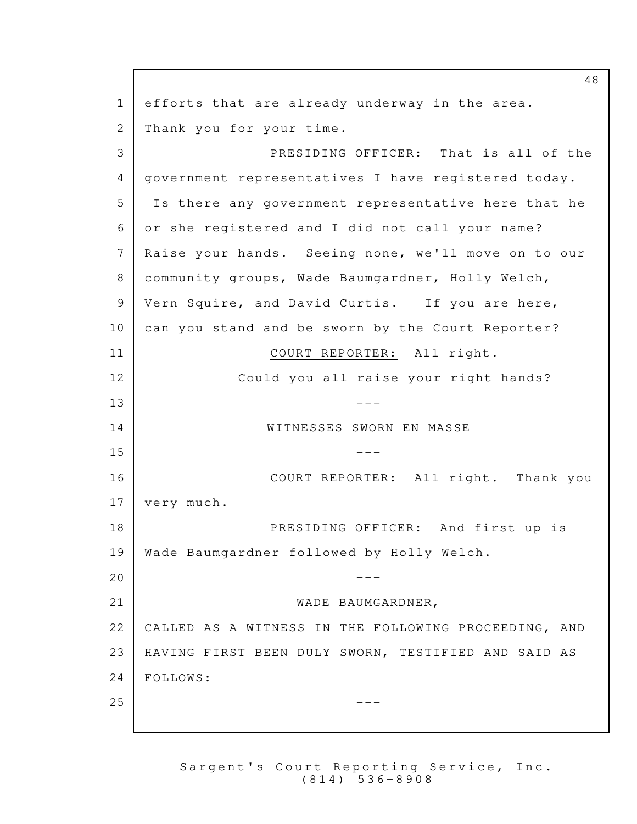48  $1$  efforts that are already underway in the area. 2 Thank you for your time. 3 PRESIDING OFFICER: That is all of the 4 | government representatives I have registered today. 5 Is there any government representative here that he or she registered and I did not call your name? 6 7 | Raise your hands. Seeing none, we'll move on to our 8 | community groups, Wade Baumgardner, Holly Welch, 9 | Vern Squire, and David Curtis. If you are here, 10 can you stand and be sworn by the Court Reporter? 11 | COURT REPORTER: All right. 12 Could you all raise your right hands?  $13$   $---$ 14 WITNESSES SWORN EN MASSE  $15$   $---$ 16 | COURT REPORTER: All right. Thank you 17 very much. 18 PRESIDING OFFICER: And first up is 19 | Wade Baumgardner followed by Holly Welch.  $20$   $-$ 21 WADE BAUMGARDNER, 22 | CALLED AS A WITNESS IN THE FOLLOWING PROCEEDING, AND 23 | HAVING FIRST BEEN DULY SWORN, TESTIFIED AND SAID AS 24 | FOLLOWS:  $25$   $-$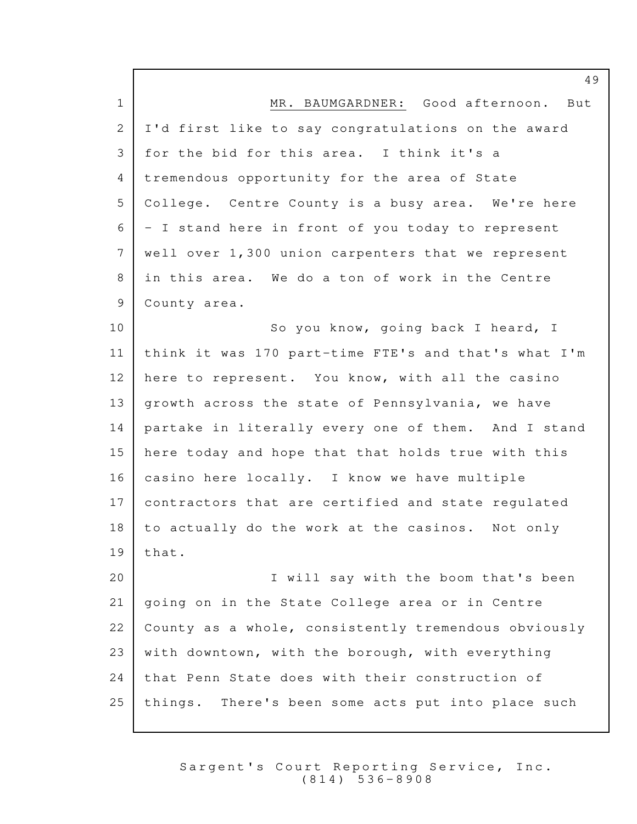1 MR. BAUMGARDNER: Good afternoon. But 2 I'd first like to say congratulations on the award 3 | for the bid for this area. I think it's a 4 tremendous opportunity for the area of State 5 | College. Centre County is a busy area. We're here  $6$  - I stand here in front of you today to represent 7 well over 1,300 union carpenters that we represent 8 in this area. We do a ton of work in the Centre 9 County area. 10 So you know, going back I heard, I 11 | think it was 170 part-time FTE's and that's what I'm 12 here to represent. You know, with all the casino 13 | growth across the state of Pennsylvania, we have 14 | partake in literally every one of them. And I stand 15 here today and hope that that holds true with this 16  $|$  casino here locally. I know we have multiple 17 contractors that are certified and state regulated  $18$  to actually do the work at the casinos. Not only  $19$  that. 20 | T will say with the boom that's been  $21$  going on in the State College area or in Centre 22 | County as a whole, consistently tremendous obviously 23 | with downtown, with the borough, with everything  $24$  that Penn State does with their construction of 25 | things. There's been some acts put into place such

> Sargent's Court Reporting Service, Inc. ( 8 1 4 ) 5 3 6 - 8 9 0 8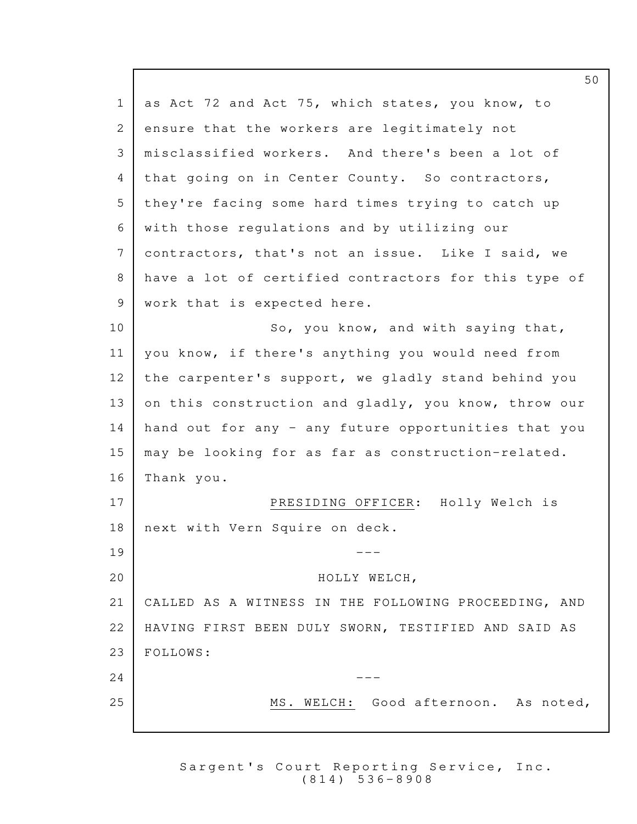1 as Act 72 and Act 75, which states, you know, to 2 ensure that the workers are legitimately not misclassified workers. And there's been a lot of 3 4 that going on in Center County. So contractors, 5 they're facing some hard times trying to catch up 6 | with those regulations and by utilizing our 7 contractors, that's not an issue. Like I said, we 8 have a lot of certified contractors for this type of  $9$  work that is expected here. 10 So, you know, and with saying that, 11 | you know, if there's anything you would need from  $12$  the carpenter's support, we gladly stand behind you 13 on this construction and gladly, you know, throw our  $14$  hand out for any - any future opportunities that you  $15$  may be looking for as far as construction-related. 16 Thank you. 17 PRESIDING OFFICER: Holly Welch is 18 | next with Vern Squire on deck.  $19$   $---$ 20 HOLLY WELCH, 21 | CALLED AS A WITNESS IN THE FOLLOWING PROCEEDING, AND 22 | HAVING FIRST BEEN DULY SWORN, TESTIFIED AND SAID AS 23 FOLLOWS:  $24$   $---$ 25 MS. WELCH: Good afternoon. As noted,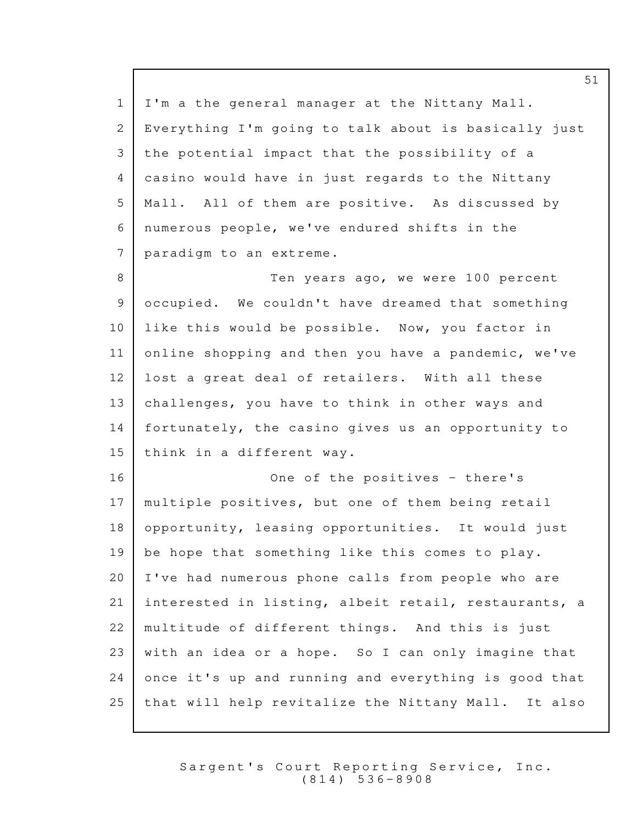1 | I'm a the general manager at the Nittany Mall. 2 Everything I'm going to talk about is basically just 3 the potential impact that the possibility of a 4 casino would have in just regards to the Nittany 5 | Mall. All of them are positive. As discussed by  $6$  numerous people, we've endured shifts in the 7 paradigm to an extreme. 8 Ten years ago, we were 100 percent 9 occupied. We couldn't have dreamed that something  $10$  like this would be possible. Now, you factor in  $11$  online shopping and then you have a pandemic, we've  $12$  lost a great deal of retailers. With all these 13 challenges, you have to think in other ways and 14 fortunately, the casino gives us an opportunity to  $15$  think in a different way. 16 One of the positives - there's 17 | multiple positives, but one of them being retail 18 opportunity, leasing opportunities. It would just 19 | be hope that something like this comes to play.  $20$  I've had numerous phone calls from people who are 21 interested in listing, albeit retail, restaurants, a 22 | multitude of different things. And this is just 23 | with an idea or a hope. So I can only imagine that  $24$  once it's up and running and everything is good that 25 | that will help revitalize the Nittany Mall. It also

> Sargent's Court Reporting Service, Inc. ( 8 1 4 ) 5 3 6 - 8 9 0 8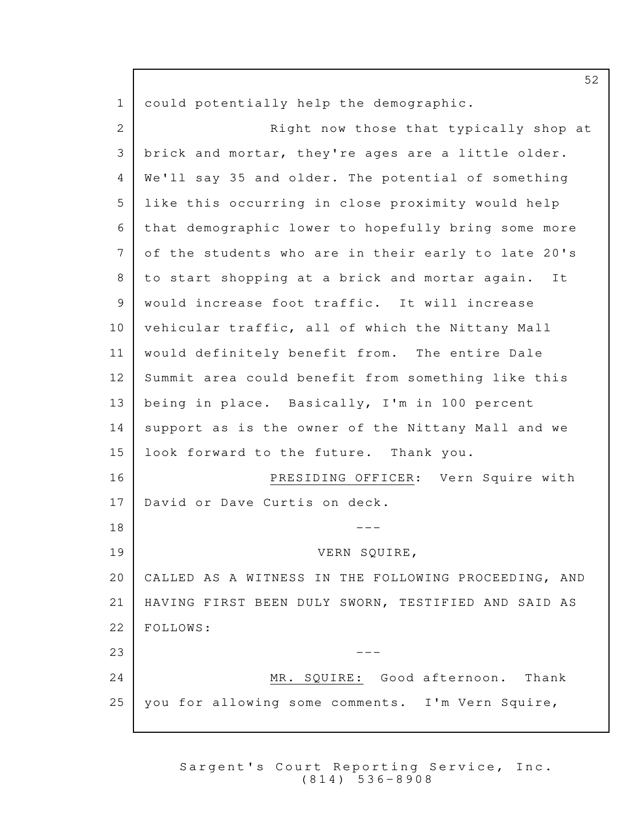1 could potentially help the demographic. 2 Right now those that typically shop at 3 | brick and mortar, they're ages are a little older. 4 We'll say 35 and older. The potential of something 5 Iike this occurring in close proximity would help 6 | that demographic lower to hopefully bring some more 7 of the students who are in their early to late 20's 8 to start shopping at a brick and mortar again. It 9 | would increase foot traffic. It will increase  $10$  vehicular traffic, all of which the Nittany Mall 11 | would definitely benefit from. The entire Dale 12 Summit area could benefit from something like this 13 | being in place. Basically, I'm in 100 percent 14 support as is the owner of the Nittany Mall and we 15 | look forward to the future. Thank you. 16 PRESIDING OFFICER: Vern Squire with 17 David or Dave Curtis on deck.  $18$   $---$ VERN SQUIRE, 19 20 | CALLED AS A WITNESS IN THE FOLLOWING PROCEEDING, AND 21 | HAVING FIRST BEEN DULY SWORN, TESTIFIED AND SAID AS 22 | FOLLOWS:  $23$   $---$ 24 MR. SQUIRE: Good afternoon. Thank 25 | you for allowing some comments. I'm Vern Squire,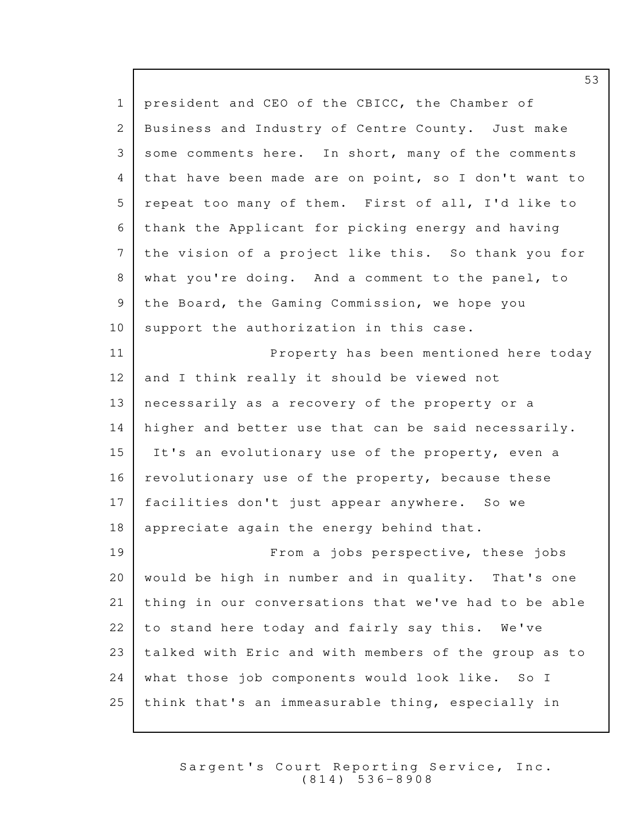1 | president and CEO of the CBICC, the Chamber of 2 Business and Industry of Centre County. Just make 3 some comments here. In short, many of the comments 4 that have been made are on point, so I don't want to 5 repeat too many of them. First of all, I'd like to 6 thank the Applicant for picking energy and having  $7$  the vision of a project like this. So thank you for 8 what you're doing. And a comment to the panel, to 9 | the Board, the Gaming Commission, we hope you  $10$  support the authorization in this case. 11 Property has been mentioned here today  $12$  and I think really it should be viewed not  $13$  | necessarily as a recovery of the property or a  $14$  higher and better use that can be said necessarily. 15 It's an evolutionary use of the property, even a  $16$  | revolutionary use of the property, because these 17 | facilities don't just appear anywhere. So we 18 | appreciate again the energy behind that. 19 **From a** jobs perspective, these jobs  $20$  would be high in number and in quality. That's one  $21$  thing in our conversations that we've had to be able  $22$  to stand here today and fairly say this. We've 23 | talked with Eric and with members of the group as to  $24$  what those job components would look like. So I  $25$  think that's an immeasurable thing, especially in

> Sargent's Court Reporting Service, Inc. ( 8 1 4 ) 5 3 6 - 8 9 0 8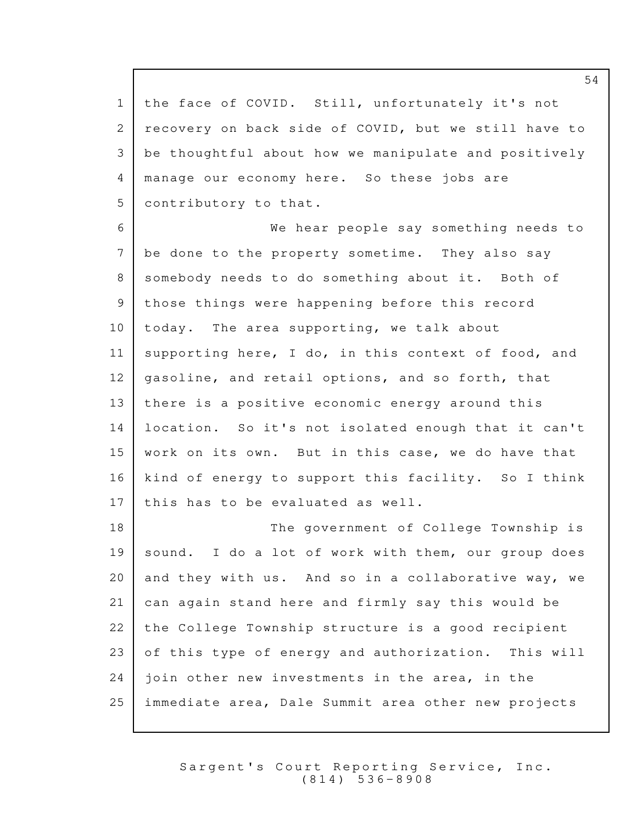1 the face of COVID. Still, unfortunately it's not 2 recovery on back side of COVID, but we still have to 3 be thoughtful about how we manipulate and positively 4 | manage our economy here. So these jobs are 5 | contributory to that.

6 **6 We hear people say something needs to**  $7$  be done to the property sometime. They also say 8 somebody needs to do something about it. Both of 9 | those things were happening before this record  $10$  | today. The area supporting, we talk about 11 supporting here, I do, in this context of food, and  $12$  gasoline, and retail options, and so forth, that  $13$  there is a positive economic energy around this 14 | location. So it's not isolated enough that it can't  $15$  work on its own. But in this case, we do have that 16 | kind of energy to support this facility. So I think  $17$  | this has to be evaluated as well.

18 The government of College Township is  $19$  sound. I do a lot of work with them, our group does 20 and they with us. And so in a collaborative way, we 21 can again stand here and firmly say this would be 22 the College Township structure is a good recipient  $23$  of this type of energy and authorization. This will  $24$  ioin other new investments in the area, in the  $25$  immediate area, Dale Summit area other new projects

> Sargent's Court Reporting Service, Inc. ( 8 1 4 ) 5 3 6 - 8 9 0 8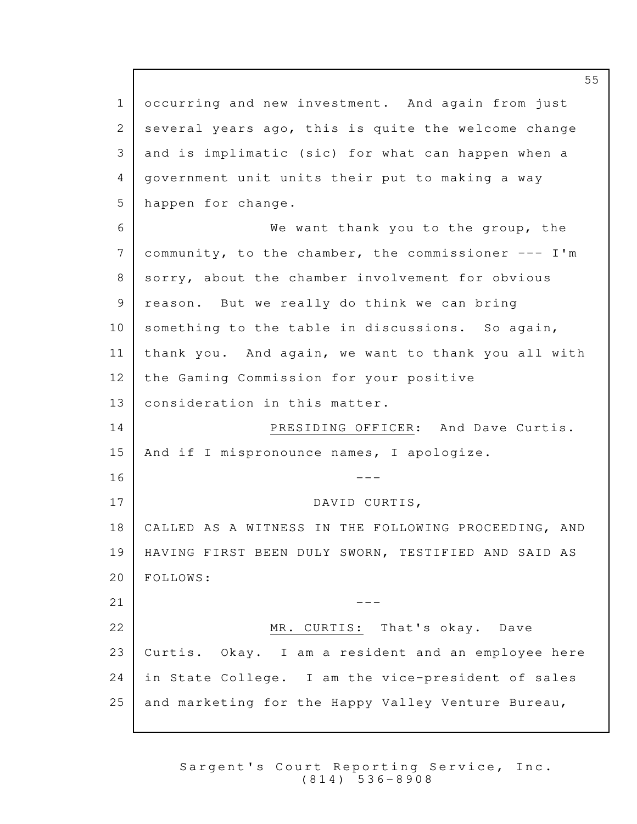1 occurring and new investment. And again from just 2 several years ago, this is quite the welcome change 3 and is implimatic (sic) for what can happen when a 4 | government unit units their put to making a way 5 | happen for change. 6 We want thank you to the group, the 7 community, to the chamber, the commissioner  $---$  I'm 8 sorry, about the chamber involvement for obvious 9 | reason. But we really do think we can bring  $10$  something to the table in discussions. So again,  $11$  | thank you. And again, we want to thank you all with 12 | the Gaming Commission for your positive  $13$  consideration in this matter. 14 PRESIDING OFFICER: And Dave Curtis. 15 | And if I mispronounce names, I apologize.  $16$   $---$ 17 DAVID CURTIS, 18 | CALLED AS A WITNESS IN THE FOLLOWING PROCEEDING, AND 19 | HAVING FIRST BEEN DULY SWORN, TESTIFIED AND SAID AS 20 | FOLLOWS:  $21$   $-$ 22 MR. CURTIS: That's okay. Dave  $23$  Curtis. Okay. I am a resident and an employee here 24 | in State College. I am the vice-president of sales 25 and marketing for the Happy Valley Venture Bureau,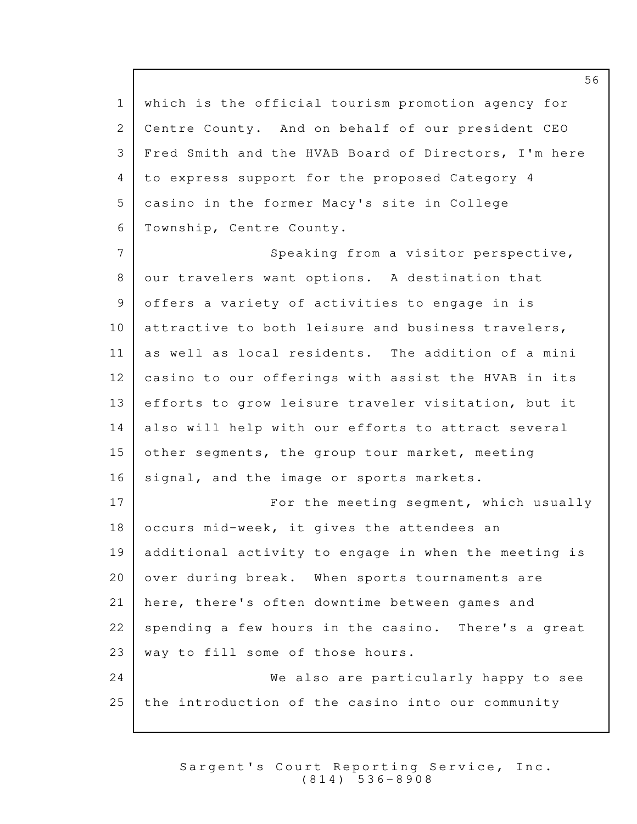1 which is the official tourism promotion agency for 2 Centre County. And on behalf of our president CEO 3 | Fred Smith and the HVAB Board of Directors, I'm here 4 to express support for the proposed Category 4 5 casino in the former Macy's site in College 6 Township, Centre County. 7 Speaking from a visitor perspective, 8 our travelers want options. A destination that 9 offers a variety of activities to engage in is 10 attractive to both leisure and business travelers,  $11$  as well as local residents. The addition of a mini  $12$  casino to our offerings with assist the HVAB in its  $13$  efforts to grow leisure traveler visitation, but it 14 also will help with our efforts to attract several 15 other segments, the group tour market, meeting 16 | signal, and the image or sports markets. 17 For the meeting segment, which usually  $18$  occurs mid-week, it gives the attendees an 19 | additional activity to engage in when the meeting is  $20$  over during break. When sports tournaments are 21 here, there's often downtime between games and  $22$  spending a few hours in the casino. There's a great  $23$  way to fill some of those hours. 24 We also are particularly happy to see  $25$  the introduction of the casino into our community

> Sargent's Court Reporting Service, Inc. ( 8 1 4 ) 5 3 6 - 8 9 0 8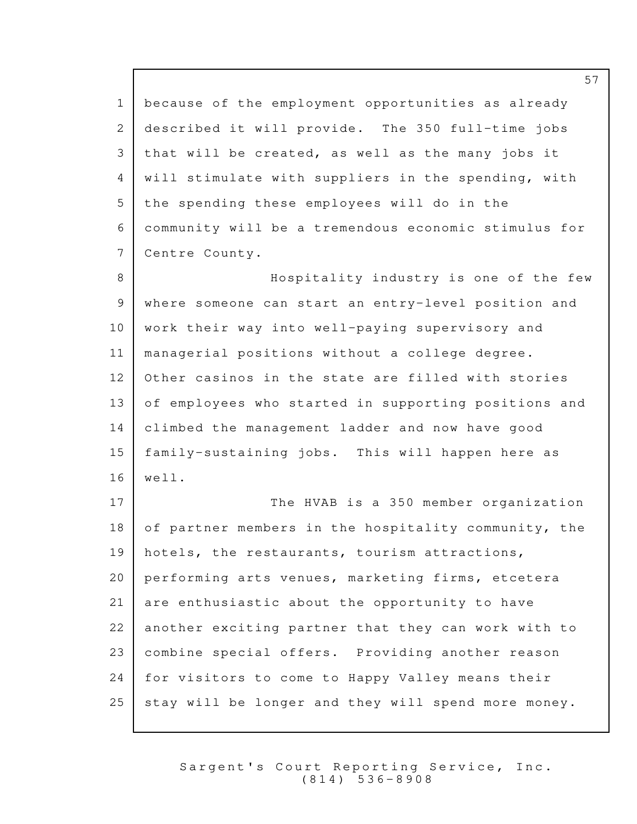1 because of the employment opportunities as already 2 described it will provide. The 350 full-time jobs 3 | that will be created, as well as the many jobs it 4 | will stimulate with suppliers in the spending, with  $5$  the spending these employees will do in the  $6$  community will be a tremendous economic stimulus for Centre County. 7 8 B Mospitality industry is one of the few 9 | where someone can start an entry-level position and  $10$  work their way into well-paying supervisory and 11 | managerial positions without a college degree. 12 Other casinos in the state are filled with stories 13 | of employees who started in supporting positions and 14 climbed the management ladder and now have good 5 family-sustaining jobs. This will happen here as 1  $16$  well. 17 The HVAB is a 350 member organization 18 of partner members in the hospitality community, the 19 | hotels, the restaurants, tourism attractions,  $20$  performing arts venues, marketing firms, etcetera  $21$  are enthusiastic about the opportunity to have 22 another exciting partner that they can work with to 23 combine special offers. Providing another reason 24 | for visitors to come to Happy Valley means their 25 stay will be longer and they will spend more money.

> Sargent's Court Reporting Service, Inc. ( 8 1 4 ) 5 3 6 - 8 9 0 8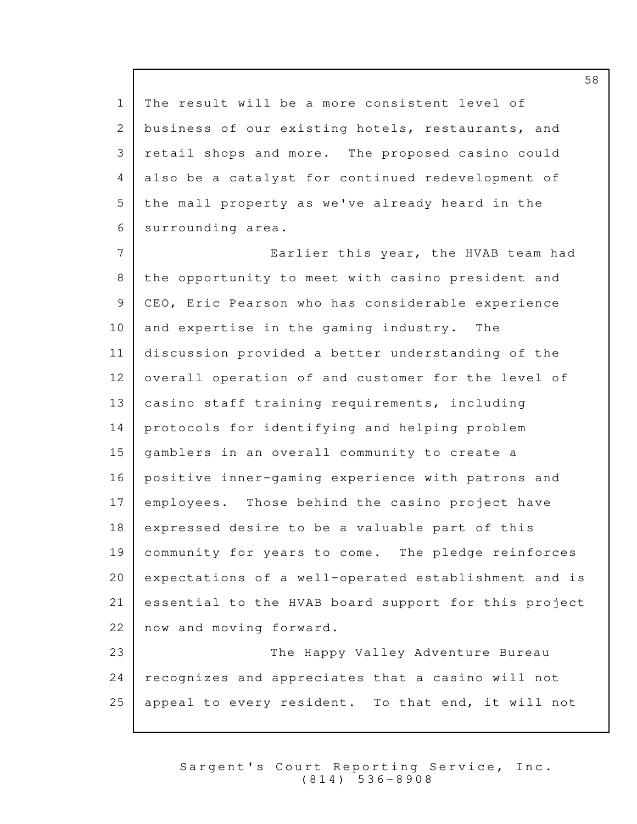1 | The result will be a more consistent level of 2 business of our existing hotels, restaurants, and 3 | retail shops and more. The proposed casino could 4 also be a catalyst for continued redevelopment of 5 | the mall property as we've already heard in the 6 surrounding area.

7 Earlier this year, the HVAB team had 8 the opportunity to meet with casino president and 9 | CEO, Eric Pearson who has considerable experience  $10$  and expertise in the gaming industry. The 11 discussion provided a better understanding of the 12 overall operation of and customer for the level of 13 | casino staff training requirements, including 14 | protocols for identifying and helping problem 15 | gamblers in an overall community to create a 16 positive inner-gaming experience with patrons and 17 employees. Those behind the casino project have  $18$  expressed desire to be a valuable part of this 19 community for years to come. The pledge reinforces 20 | expectations of a well-operated establishment and is  $21$  essential to the HVAB board support for this project 22 now and moving forward. 23 | The Happy Valley Adventure Bureau

24 | recognizes and appreciates that a casino will not  $25$  appeal to every resident. To that end, it will not

> Sargent's Court Reporting Service, Inc. ( 8 1 4 ) 5 3 6 - 8 9 0 8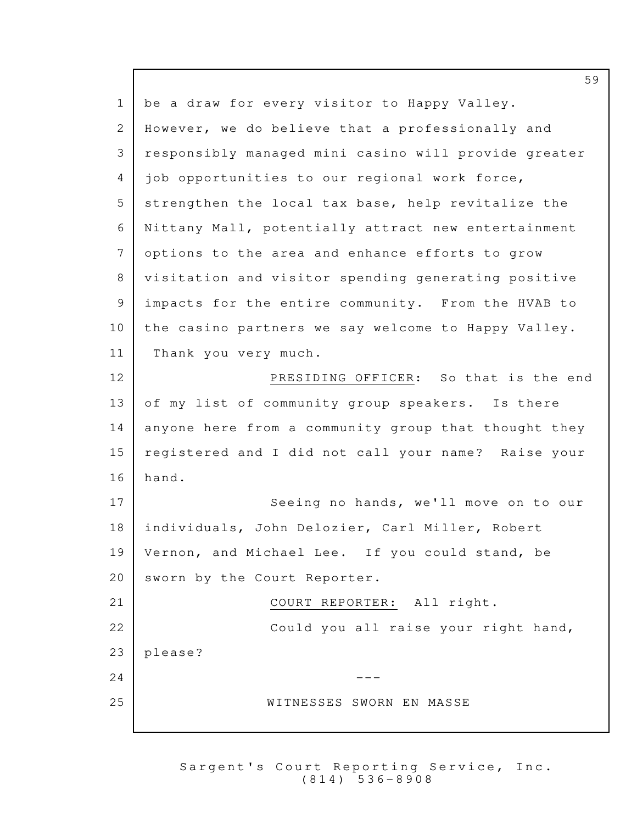| $\mathbf{1}$  | be a draw for every visitor to Happy Valley.         |
|---------------|------------------------------------------------------|
| 2             | However, we do believe that a professionally and     |
| 3             | responsibly managed mini casino will provide greater |
| 4             | job opportunities to our regional work force,        |
| 5             | strengthen the local tax base, help revitalize the   |
| 6             | Nittany Mall, potentially attract new entertainment  |
| 7             | options to the area and enhance efforts to grow      |
| 8             | visitation and visitor spending generating positive  |
| $\mathcal{G}$ | impacts for the entire community. From the HVAB to   |
| 10            | the casino partners we say welcome to Happy Valley.  |
| 11            | Thank you very much.                                 |
| 12            | PRESIDING OFFICER: So that is the end                |
| 13            | of my list of community group speakers. Is there     |
| 14            | anyone here from a community group that thought they |
| 15            | registered and I did not call your name? Raise your  |
| 16            | hand.                                                |
| 17            | Seeing no hands, we'll move on to our                |
| 18            | individuals, John Delozier, Carl Miller, Robert      |
| 19            | Vernon, and Michael Lee. If you could stand, be      |
| 20            | sworn by the Court Reporter.                         |
| 21            | COURT REPORTER: All right.                           |
| 22            | Could you all raise your right hand,                 |
| 23            | please?                                              |
| 24            |                                                      |
| 25            | WITNESSES SWORN EN MASSE                             |
|               |                                                      |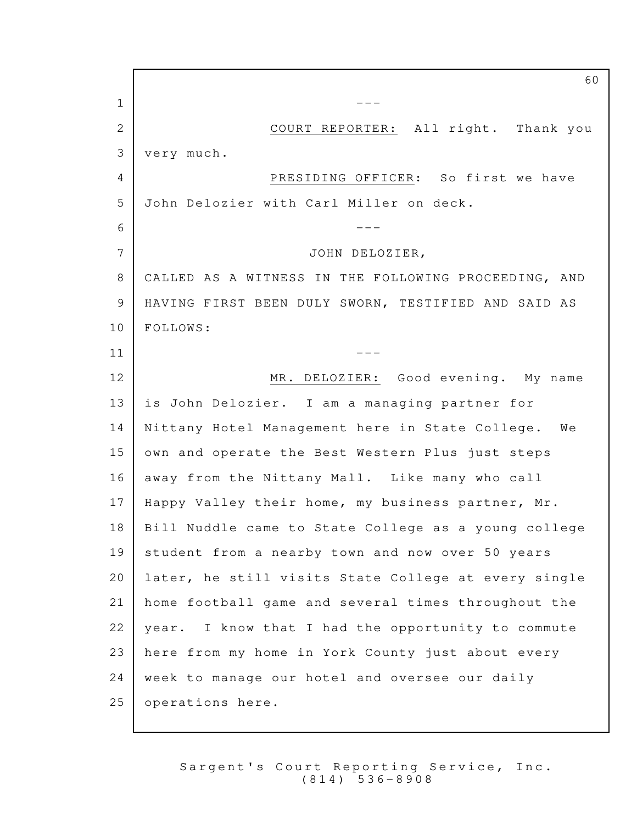$\overline{1}$   $\overline{1}$   $\overline{1}$   $\overline{1}$   $\overline{1}$   $\overline{1}$   $\overline{1}$   $\overline{1}$   $\overline{1}$   $\overline{1}$   $\overline{1}$   $\overline{1}$   $\overline{1}$   $\overline{1}$   $\overline{1}$   $\overline{1}$   $\overline{1}$   $\overline{1}$   $\overline{1}$   $\overline{1}$   $\overline{1}$   $\overline{1}$   $\overline{1}$   $\overline{1}$   $\overline{$ 2 COURT REPORTER: All right. Thank you very much. 3 4 PRESIDING OFFICER: So first we have 5 John Delozier with Carl Miller on deck. --- 6 7 JOHN DELOZIER, 8 | CALLED AS A WITNESS IN THE FOLLOWING PROCEEDING, AND 9 | HAVING FIRST BEEN DULY SWORN, TESTIFIED AND SAID AS 10 | FOLLOWS:  $\overline{11}$   $\overline{1}$   $\overline{1}$   $\overline{1}$   $\overline{1}$   $\overline{1}$   $\overline{1}$   $\overline{1}$   $\overline{1}$   $\overline{1}$   $\overline{1}$   $\overline{1}$   $\overline{1}$   $\overline{1}$   $\overline{1}$   $\overline{1}$   $\overline{1}$   $\overline{1}$   $\overline{1}$   $\overline{1}$   $\overline{1}$   $\overline{1}$   $\overline{1}$   $\overline{1}$   $\overline$ 12 MR. DELOZIER: Good evening. My name 13 | is John Delozier. I am a managing partner for 14 | Nittany Hotel Management here in State College. We 15 own and operate the Best Western Plus just steps 16 away from the Nittany Mall. Like many who call 17 | Happy Valley their home, my business partner, Mr. 18 | Bill Nuddle came to State College as a young college 19 student from a nearby town and now over 50 years 20 | later, he still visits State College at every single 21 | home football game and several times throughout the  $22$  | year. I know that I had the opportunity to commute 23 here from my home in York County just about every  $24$  week to manage our hotel and oversee our daily 25 operations here.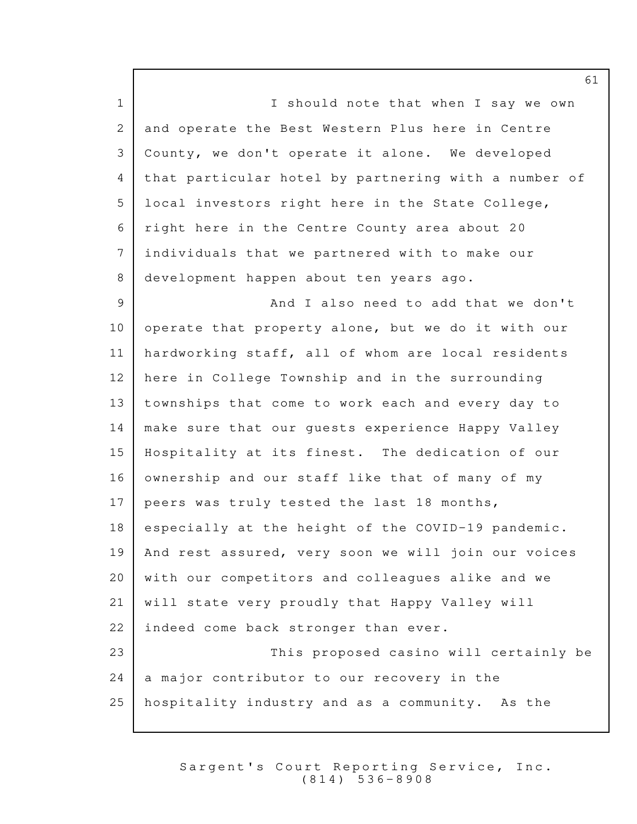1 | Should note that when I say we own 2 and operate the Best Western Plus here in Centre 3 | County, we don't operate it alone. We developed 4 that particular hotel by partnering with a number of 5 local investors right here in the State College, 6 | right here in the Centre County area about 20  $7$  individuals that we partnered with to make our 8 development happen about ten years ago. 9 **And I also need to add that we don't** 10 | operate that property alone, but we do it with our 11 hardworking staff, all of whom are local residents  $12$  here in College Township and in the surrounding 13 townships that come to work each and every day to 14 | make sure that our guests experience Happy Valley 15 | Hospitality at its finest. The dedication of our 16 ownership and our staff like that of many of my 17 | peers was truly tested the last 18 months,  $18$  especially at the height of the COVID-19 pandemic. 19 | And rest assured, very soon we will join our voices  $20$  with our competitors and colleagues alike and we 21 | will state very proudly that Happy Valley will 22 | indeed come back stronger than ever. 23 | This proposed casino will certainly be  $24$  a major contributor to our recovery in the  $25$  hospitality industry and as a community. As the

> Sargent's Court Reporting Service, Inc.  $(814) 536 - 8908$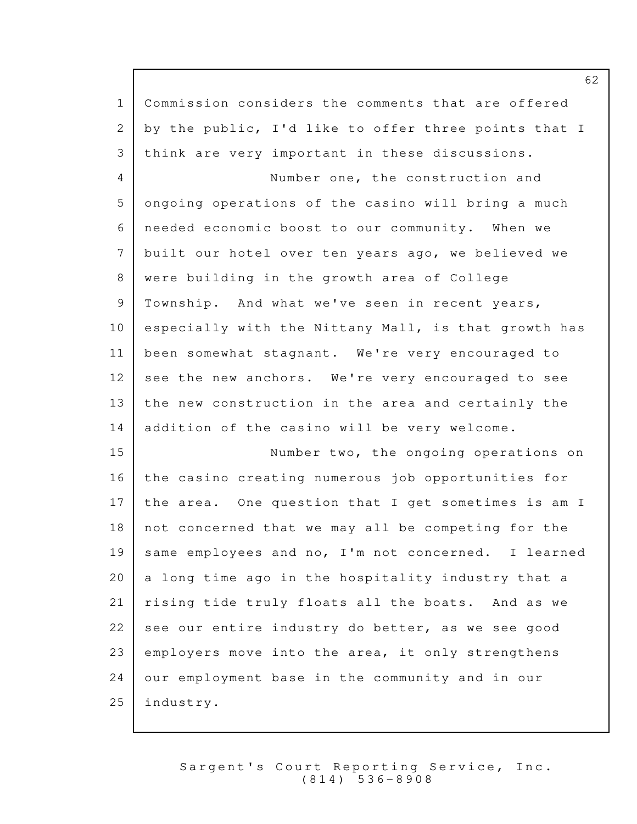| $\mathbf{1}$ | Commission considers the comments that are offered   |
|--------------|------------------------------------------------------|
| 2            | by the public, I'd like to offer three points that I |
| 3            | think are very important in these discussions.       |
| 4            | Number one, the construction and                     |
| 5            | ongoing operations of the casino will bring a much   |
| 6            | needed economic boost to our community. When we      |
| 7            | built our hotel over ten years ago, we believed we   |
| 8            | were building in the growth area of College          |
| 9            | Township. And what we've seen in recent years,       |
| 10           | especially with the Nittany Mall, is that growth has |
| 11           | been somewhat stagnant. We're very encouraged to     |
| 12           | see the new anchors. We're very encouraged to see    |
| 13           | the new construction in the area and certainly the   |
| 14           | addition of the casino will be very welcome.         |
| 15           | Number two, the ongoing operations on                |
| 16           | the casino creating numerous job opportunities for   |
| 17           | the area. One question that I get sometimes is am I  |
| 18           | not concerned that we may all be competing for the   |
| 19           | same employees and no, I'm not concerned. I learned  |
| 20           | a long time ago in the hospitality industry that a   |
| 21           | rising tide truly floats all the boats. And as we    |
| 22           | see our entire industry do better, as we see good    |
| 23           | employers move into the area, it only strengthens    |
| 24           | our employment base in the community and in our      |
| 25           | industry.                                            |

Sargent's Court Reporting Service, Inc. ( 8 1 4 ) 5 3 6 - 8 9 0 8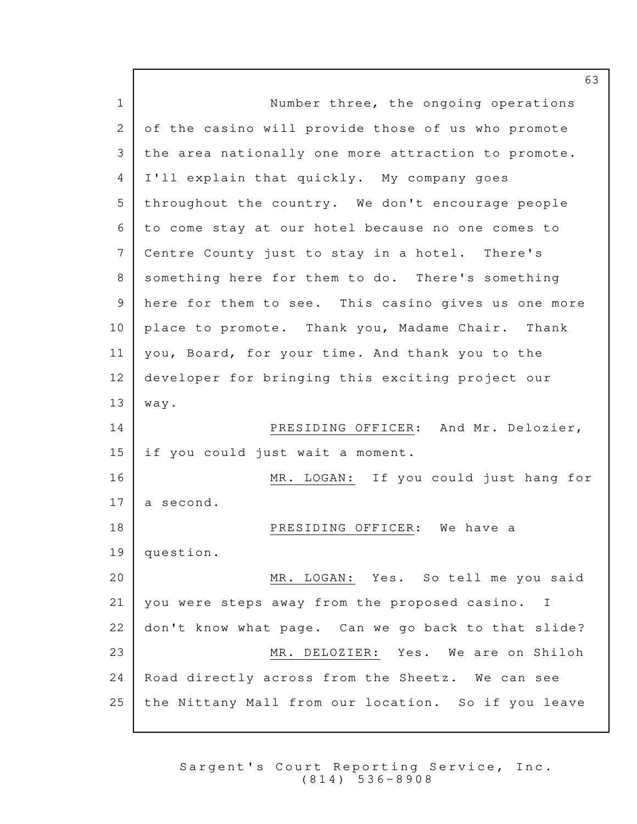1 Number three, the ongoing operations 2 of the casino will provide those of us who promote 3 | the area nationally one more attraction to promote. 4 I'll explain that quickly. My company goes 5 throughout the country. We don't encourage people to come stay at our hotel because no one comes to 6 7 Centre County just to stay in a hotel. There's 8 something here for them to do. There's something  $9$  here for them to see. This casino gives us one more 10 place to promote. Thank you, Madame Chair. Thank 11 | you, Board, for your time. And thank you to the 12 developer for bringing this exciting project our  $13$  way. 14 PRESIDING OFFICER: And Mr. Delozier,  $15$  if you could just wait a moment. 16 MR. LOGAN: If you could just hang for  $17$  a second. 18 PRESIDING OFFICER: We have a 19 question. 20 MR. LOGAN: Yes. So tell me you said  $21$  you were steps away from the proposed casino. I  $22$  don't know what page. Can we go back to that slide? 23 MR. DELOZIER: Yes. We are on Shiloh  $24$  Road directly across from the Sheetz. We can see 25 | the Nittany Mall from our location. So if you leave

> Sargent's Court Reporting Service, Inc. ( 8 1 4 ) 5 3 6 - 8 9 0 8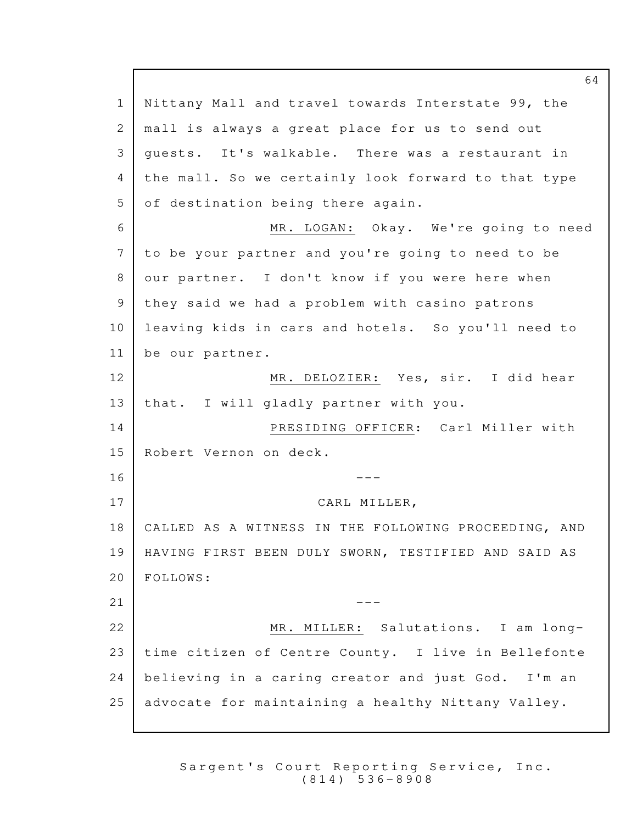1 Nittany Mall and travel towards Interstate 99, the 2 | mall is always a great place for us to send out 3 guests. It's walkable. There was a restaurant in 4 the mall. So we certainly look forward to that type 5 of destination being there again. 6 MR. LOGAN: Okay. We're going to need  $7$  to be your partner and you're going to need to be 8 our partner. I don't know if you were here when  $9$  they said we had a problem with casino patrons 10 leaving kids in cars and hotels. So you'll need to 11 be our partner. 12 MR. DELOZIER: Yes, sir. I did hear 13 | that. I will gladly partner with you. 14 PRESIDING OFFICER: Carl Miller with 15 Robert Vernon on deck.  $16$   $---$ 17 CARL MILLER, 18 | CALLED AS A WITNESS IN THE FOLLOWING PROCEEDING, AND 19 | HAVING FIRST BEEN DULY SWORN, TESTIFIED AND SAID AS 20 | FOLLOWS:  $21$   $-$ 22 MR. MILLER: Salutations. I am long-23 | time citizen of Centre County. I live in Bellefonte  $24$  believing in a caring creator and just God. I'm an 25 advocate for maintaining a healthy Nittany Valley.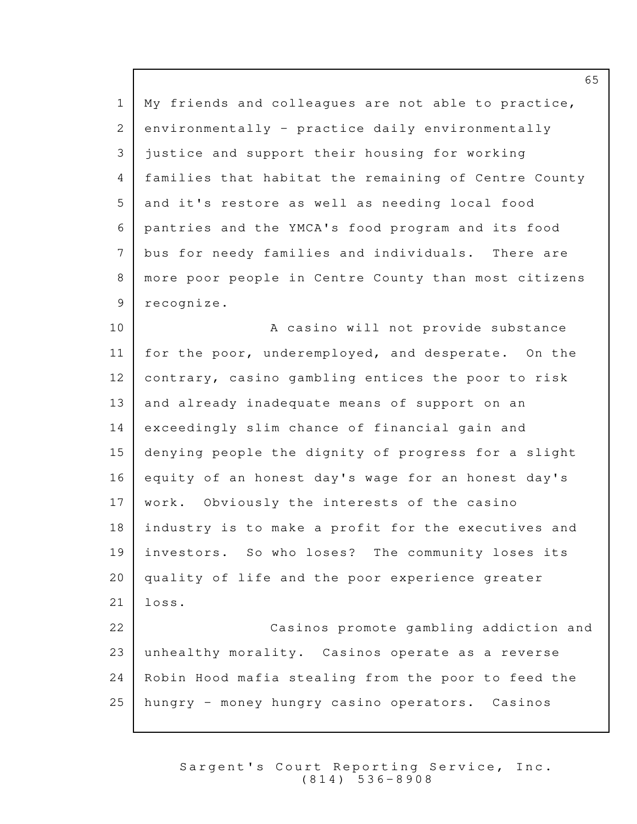1 | My friends and colleagues are not able to practice, 2 environmentally - practice daily environmentally 3 justice and support their housing for working 4 | families that habitat the remaining of Centre County  $5$  and it's restore as well as needing local food 6 | pantries and the YMCA's food program and its food 7 bus for needy families and individuals. There are 8 | more poor people in Centre County than most citizens 9 recognize. 10 | Reasino will not provide substance 11 | for the poor, underemployed, and desperate. On the 12 contrary, casino gambling entices the poor to risk  $13$  and already inadequate means of support on an  $14$  exceedingly slim chance of financial gain and  $15$  denying people the dignity of progress for a slight 16 equity of an honest day's wage for an honest day's 17 | work. Obviously the interests of the casino  $18$  industry is to make a profit for the executives and 19 investors. So who loses? The community loses its  $20$  quality of life and the poor experience greater  $21$  loss.

 Casinos promote gambling addiction and 22 23 unhealthy morality. Casinos operate as a reverse  $24$  Robin Hood mafia stealing from the poor to feed the  $25$  hungry - money hungry casino operators. Casinos

> Sargent's Court Reporting Service, Inc. ( 8 1 4 ) 5 3 6 - 8 9 0 8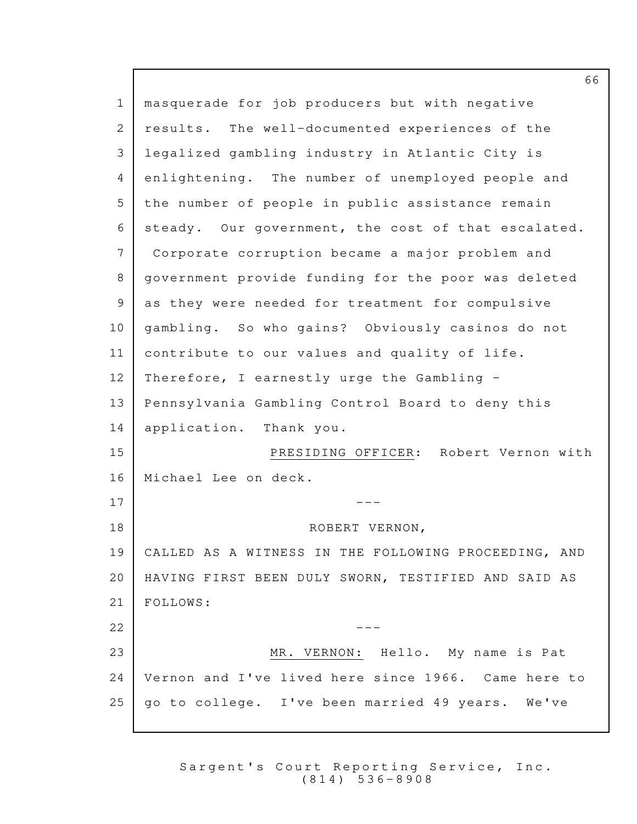| $\mathbf{1}$ | masquerade for job producers but with negative       |
|--------------|------------------------------------------------------|
| 2            | results. The well-documented experiences of the      |
| 3            | legalized gambling industry in Atlantic City is      |
| 4            | enlightening. The number of unemployed people and    |
| 5            | the number of people in public assistance remain     |
| 6            | steady. Our government, the cost of that escalated.  |
| 7            | Corporate corruption became a major problem and      |
| 8            | government provide funding for the poor was deleted  |
| $\mathsf 9$  | as they were needed for treatment for compulsive     |
| 10           | gambling. So who gains? Obviously casinos do not     |
| 11           | contribute to our values and quality of life.        |
| 12           | Therefore, I earnestly urge the Gambling -           |
| 13           | Pennsylvania Gambling Control Board to deny this     |
| 14           | application. Thank you.                              |
| 15           | Robert Vernon with<br>PRESIDING OFFICER:             |
| 16           | Michael Lee on deck.                                 |
| 17           |                                                      |
| 18           | ROBERT VERNON,                                       |
| 19           | CALLED AS A WITNESS IN THE FOLLOWING PROCEEDING, AND |
| 20           | HAVING FIRST BEEN DULY SWORN, TESTIFIED AND SAID AS  |
| 21           | FOLLOWS:                                             |
| 22           |                                                      |
| 23           | MR. VERNON: Hello. My name is Pat                    |
| 24           | Vernon and I've lived here since 1966. Came here to  |
| 25           | go to college. I've been married 49 years.<br>We've  |
|              |                                                      |

Sargent's Court Reporting Service, Inc. ( 8 1 4 ) 5 3 6 - 8 9 0 8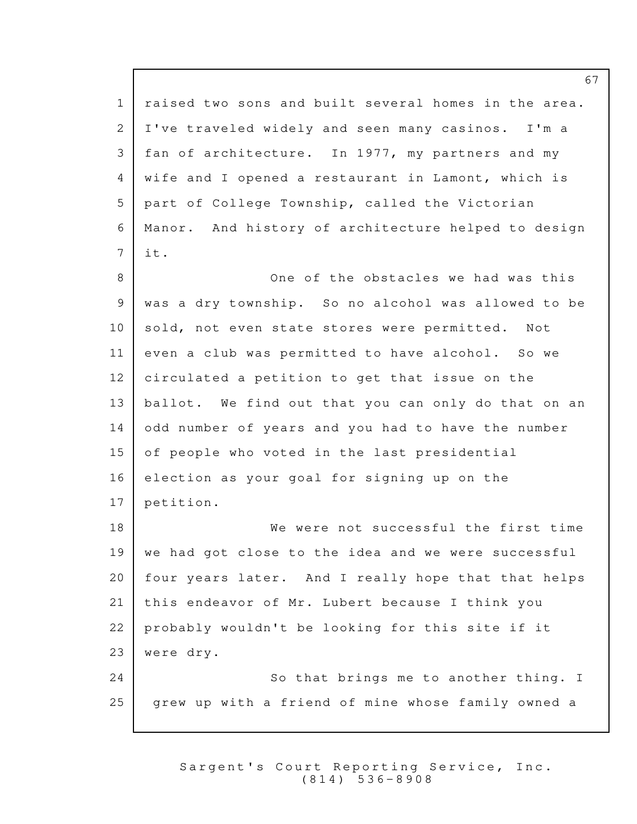1 | raised two sons and built several homes in the area. 2 I've traveled widely and seen many casinos. I'm a 3 | fan of architecture. In 1977, my partners and my 4 wife and I opened a restaurant in Lamont, which is  $5$  part of College Township, called the Victorian 6 | Manor. And history of architecture helped to design  $7$  it. One of the obstacles we had was this 8 9 | was a dry township. So no alcohol was allowed to be 10 sold, not even state stores were permitted. Not 11 even a club was permitted to have alcohol. So we 12 circulated a petition to get that issue on the 13 | ballot. We find out that you can only do that on an 14 odd number of years and you had to have the number  $15$  of people who voted in the last presidential  $16$  election as your goal for signing up on the 17 petition. 18 We were not successful the first time  $19$  we had got close to the idea and we were successful 20 | four years later. And I really hope that that helps 21 | this endeavor of Mr. Lubert because I think you  $22$  probably wouldn't be looking for this site if it 23 | were dry. 24 So that brings me to another thing. I 25 | grew up with a friend of mine whose family owned a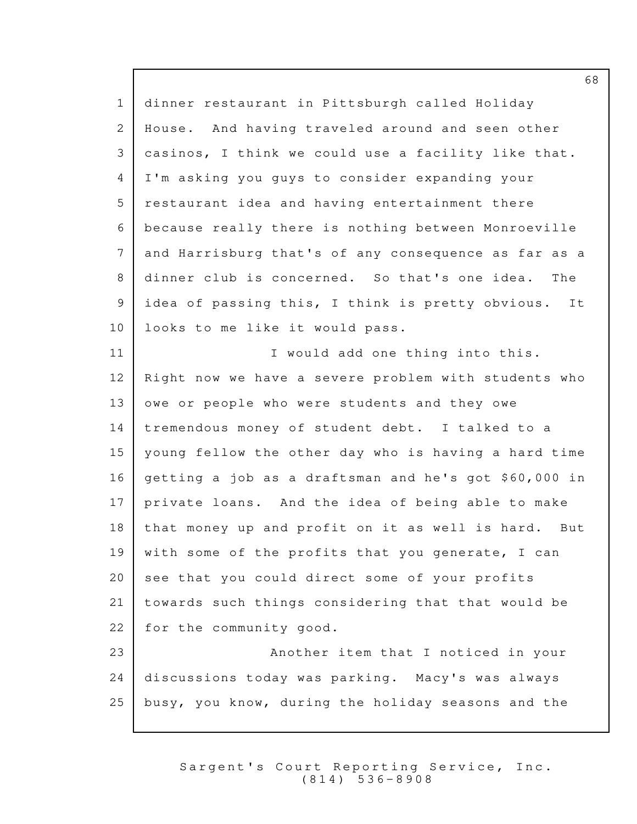1 dinner restaurant in Pittsburgh called Holiday 2 | House. And having traveled around and seen other 3 | casinos, I think we could use a facility like that. I'm asking you guys to consider expanding your 4  $5$  restaurant idea and having entertainment there because really there is nothing between Monroeville 6 and Harrisburg that's of any consequence as far as a 7 8 dinner club is concerned. So that's one idea. The 9 idea of passing this, I think is pretty obvious. It 10 | looks to me like it would pass. 11 | **I** would add one thing into this.  $12$  Right now we have a severe problem with students who  $13$  owe or people who were students and they owe  $14$  | tremendous money of student debt. I talked to a  $15$  | young fellow the other day who is having a hard time 16 | getting a job as a draftsman and he's got \$60,000 in 17 private loans. And the idea of being able to make  $18$  that money up and profit on it as well is hard. But 19 | with some of the profits that you generate, I can  $20$  see that you could direct some of your profits 21 towards such things considering that that would be  $22$  for the community good. 23 | Another item that I noticed in your 24 discussions today was parking. Macy's was always 25 busy, you know, during the holiday seasons and the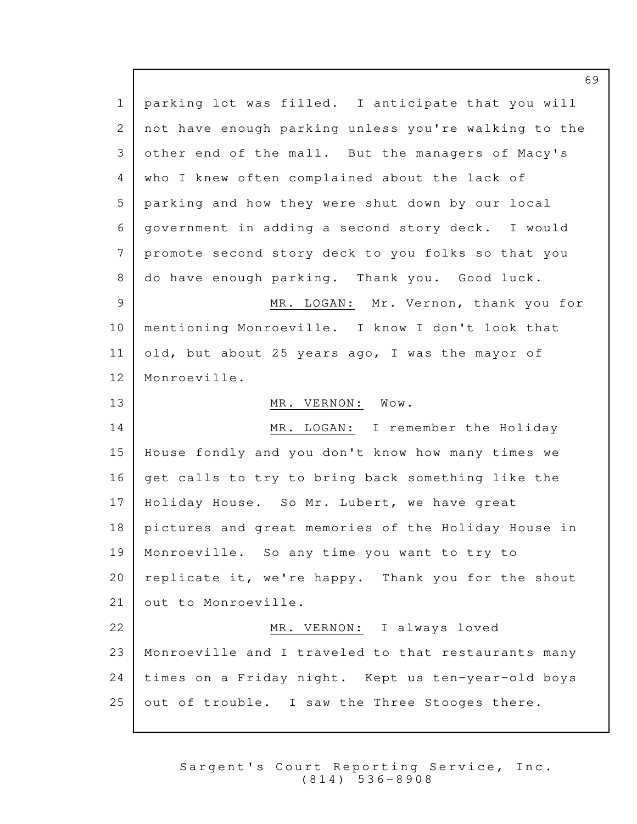1 | parking lot was filled. I anticipate that you will 2 not have enough parking unless you're walking to the 3 other end of the mall. But the managers of Macy's 4 who I knew often complained about the lack of 5 | parking and how they were shut down by our local 6 government in adding a second story deck. I would 7 promote second story deck to you folks so that you 8 do have enough parking. Thank you. Good luck. 9 MR. LOGAN: Mr. Vernon, thank you for 10 | mentioning Monroeville. I know I don't look that 11 old, but about 25 years ago, I was the mayor of 12 | Monroeville. 13 MR. VERNON: Wow. 14 MR. LOGAN: I remember the Holiday 15 | House fondly and you don't know how many times we  $16$  qet calls to try to bring back something like the 17 | Holiday House. So Mr. Lubert, we have great 18 | pictures and great memories of the Holiday House in 19 | Monroeville. So any time you want to try to  $20$  replicate it, we're happy. Thank you for the shout 21 out to Monroeville. 22 MR. VERNON: I always loved 23 | Monroeville and I traveled to that restaurants many  $24$  | times on a Friday night. Kept us ten-year-old boys  $25$  out of trouble. I saw the Three Stooges there.

> Sargent's Court Reporting Service, Inc. ( 8 1 4 ) 5 3 6 - 8 9 0 8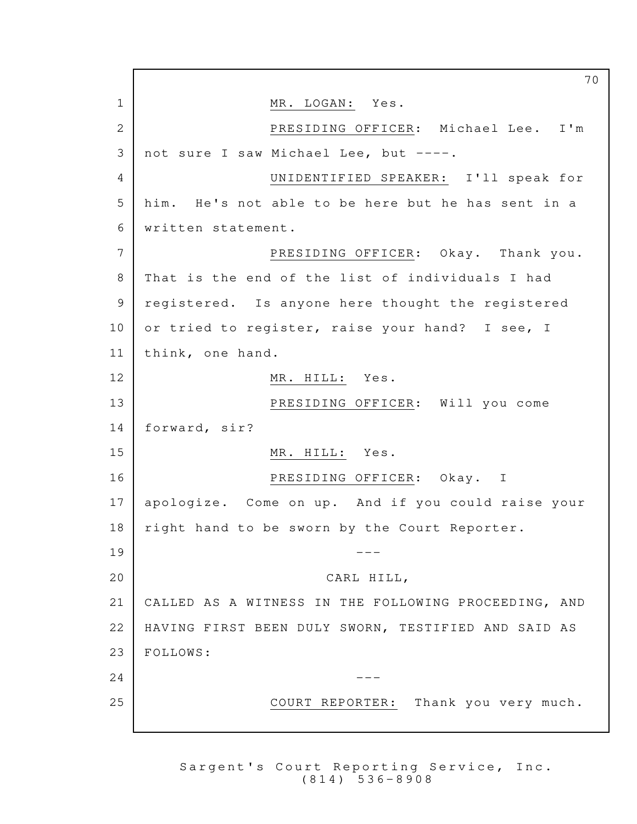70 1 MR. LOGAN: Yes. 2 PRESIDING OFFICER: Michael Lee. I'm  $3$  not sure I saw Michael Lee, but  $---$ . 4 UNIDENTIFIED SPEAKER: I'll speak for 5 | him. He's not able to be here but he has sent in a written statement. 6 7 PRESIDING OFFICER: Okay. Thank you. 8 That is the end of the list of individuals I had 9 registered. Is anyone here thought the registered 10 or tried to register, raise your hand? I see, I 11 | think, one hand. 12 MR. HILL: Yes. 13 PRESIDING OFFICER: Will you come 14 | forward, sir? 15 MR. HILL: Yes. 16 PRESIDING OFFICER: Okay. I 17 apologize. Come on up. And if you could raise your  $18$  right hand to be sworn by the Court Reporter.  $19$   $---$ 20 CARL HILL, 21 | CALLED AS A WITNESS IN THE FOLLOWING PROCEEDING, AND 22 | HAVING FIRST BEEN DULY SWORN, TESTIFIED AND SAID AS 23 FOLLOWS:  $24$   $---$ 25 COURT REPORTER: Thank you very much.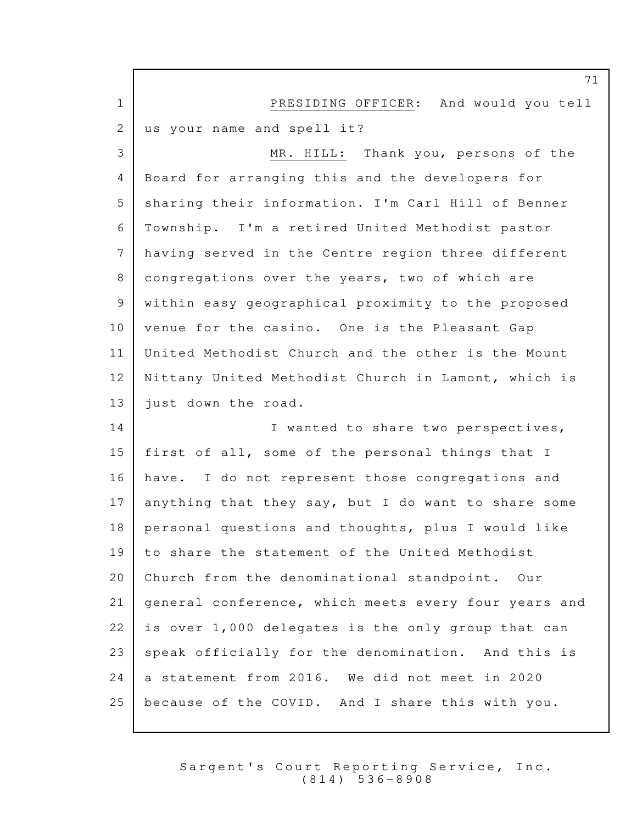|                | 71                                                   |
|----------------|------------------------------------------------------|
| $\mathbf 1$    | PRESIDING OFFICER: And would you tell                |
| 2              | us your name and spell it?                           |
| 3              | MR. HILL: Thank you, persons of the                  |
| 4              | Board for arranging this and the developers for      |
| 5              | sharing their information. I'm Carl Hill of Benner   |
| 6              | Township. I'm a retired United Methodist pastor      |
| 7              | having served in the Centre region three different   |
| 8              | congregations over the years, two of which are       |
| $\overline{9}$ | within easy geographical proximity to the proposed   |
| 10             | venue for the casino. One is the Pleasant Gap        |
| 11             | United Methodist Church and the other is the Mount   |
| 12             | Nittany United Methodist Church in Lamont, which is  |
| 13             | just down the road.                                  |
| 14             | I wanted to share two perspectives,                  |
| 15             | first of all, some of the personal things that I     |
| 16             | have. I do not represent those congregations and     |
| 17             | anything that they say, but I do want to share some  |
| 18             | personal questions and thoughts, plus I would like   |
| 19             | to share the statement of the United Methodist       |
| 20             | Church from the denominational standpoint. Our       |
| 21             | general conference, which meets every four years and |
| 22             | is over 1,000 delegates is the only group that can   |
| 23             | speak officially for the denomination. And this is   |
| 24             | a statement from 2016. We did not meet in 2020       |
| 25             | because of the COVID. And I share this with you.     |

Г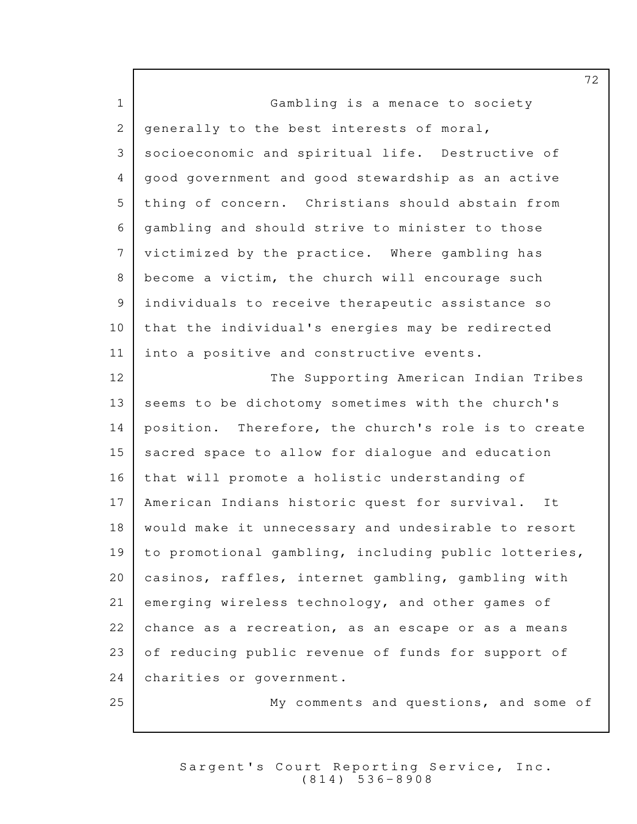| $\mathbf 1$ | Gambling is a menace to society                      |
|-------------|------------------------------------------------------|
| 2           | generally to the best interests of moral,            |
| 3           | socioeconomic and spiritual life. Destructive of     |
| 4           | good government and good stewardship as an active    |
| 5           | thing of concern. Christians should abstain from     |
| 6           | gambling and should strive to minister to those      |
| 7           | victimized by the practice. Where gambling has       |
| 8           | become a victim, the church will encourage such      |
| 9           | individuals to receive therapeutic assistance so     |
| 10          | that the individual's energies may be redirected     |
| 11          | into a positive and constructive events.             |
| 12          | The Supporting American Indian Tribes                |
| 13          | seems to be dichotomy sometimes with the church's    |
| 14          | position. Therefore, the church's role is to create  |
| 15          | sacred space to allow for dialogue and education     |
| 16          | that will promote a holistic understanding of        |
| 17          | American Indians historic quest for survival. It     |
| 18          | would make it unnecessary and undesirable to resort  |
| 19          | to promotional gambling, including public lotteries, |
| 20          | casinos, raffles, internet gambling, gambling with   |
| 21          | emerging wireless technology, and other games of     |
| 22          | chance as a recreation, as an escape or as a means   |
| 23          | of reducing public revenue of funds for support of   |
| 24          | charities or government.                             |
| 25          | My comments and questions, and some of               |

Г

Sargent's Court Reporting Service, Inc. ( 8 1 4 ) 5 3 6 - 8 9 0 8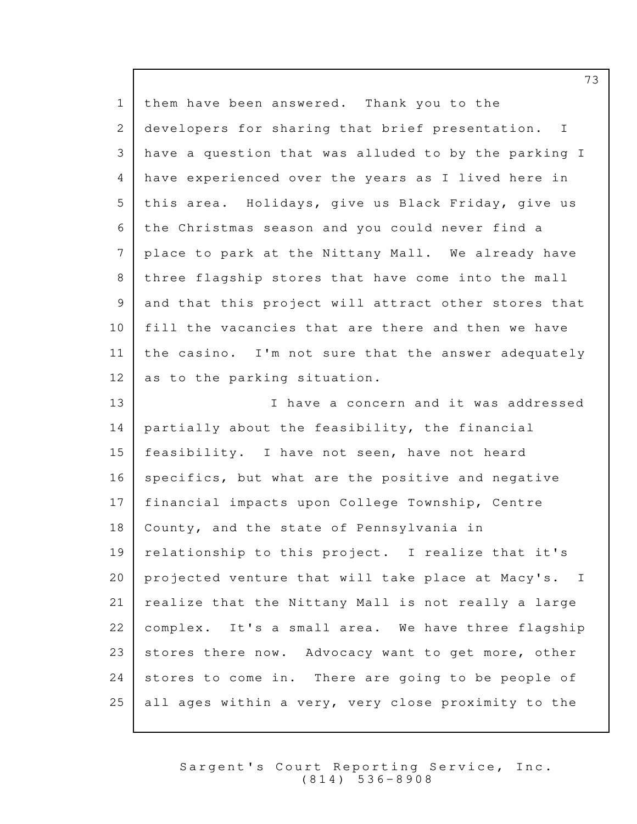| $\mathbf{1}$ | them have been answered. Thank you to the            |
|--------------|------------------------------------------------------|
| 2            | developers for sharing that brief presentation. I    |
| 3            | have a question that was alluded to by the parking I |
| 4            | have experienced over the years as I lived here in   |
| 5            | this area. Holidays, give us Black Friday, give us   |
| 6            | the Christmas season and you could never find a      |
| 7            | place to park at the Nittany Mall. We already have   |
| 8            | three flagship stores that have come into the mall   |
| 9            | and that this project will attract other stores that |
| 10           | fill the vacancies that are there and then we have   |
| 11           | the casino. I'm not sure that the answer adequately  |
| 12           | as to the parking situation.                         |
| 13           | I have a concern and it was addressed                |
| 14           | partially about the feasibility, the financial       |
| 15           | feasibility. I have not seen, have not heard         |
| 16           | specifics, but what are the positive and negative    |
| 17           | financial impacts upon College Township, Centre      |
| 18           | County, and the state of Pennsylvania in             |
| 19           | relationship to this project. I realize that it's    |
| 20           | projected venture that will take place at Macy's. I  |
| 21           | realize that the Nittany Mall is not really a large  |
| 22           | complex. It's a small area. We have three flagship   |
| 23           | stores there now. Advocacy want to get more, other   |
| 24           | stores to come in. There are going to be people of   |
| 25           | all ages within a very, very close proximity to the  |

Sargent's Court Reporting Service, Inc. ( 8 1 4 ) 5 3 6 - 8 9 0 8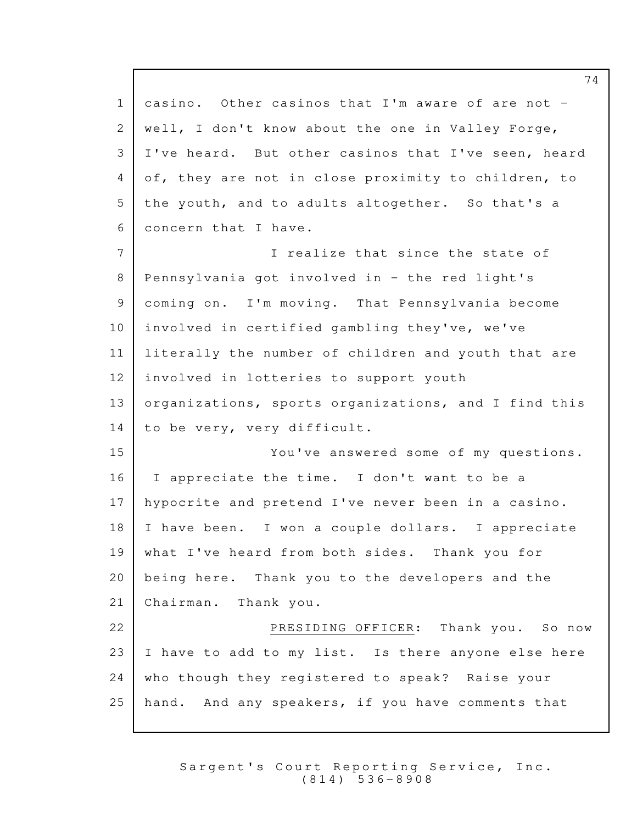1 casino. Other casinos that I'm aware of are not - 2 | well, I don't know about the one in Valley Forge,  $3$  I've heard. But other casinos that I've seen, heard 4 of, they are not in close proximity to children, to  $5$  the youth, and to adults altogether. So that's a 6 concern that I have. 7 I realize that since the state of 8 Pennsylvania got involved in - the red light's 9 coming on. I'm moving. That Pennsylvania become  $10$  involved in certified gambling they've, we've 11 | literally the number of children and youth that are  $12$  involved in lotteries to support youth 13 organizations, sports organizations, and I find this  $14$  to be very, very difficult. 15 You've answered some of my questions.  $16$  I appreciate the time. I don't want to be a 17 | hypocrite and pretend I've never been in a casino.  $18$  | I have been. I won a couple dollars. I appreciate 19 what I've heard from both sides. Thank you for  $20$  being here. Thank you to the developers and the 21 Chairman. Thank you. 22 PRESIDING OFFICER: Thank you. So now  $23$  I have to add to my list. Is there anyone else here  $24$  who though they registered to speak? Raise your 25 hand. And any speakers, if you have comments that

> Sargent's Court Reporting Service, Inc. ( 8 1 4 ) 5 3 6 - 8 9 0 8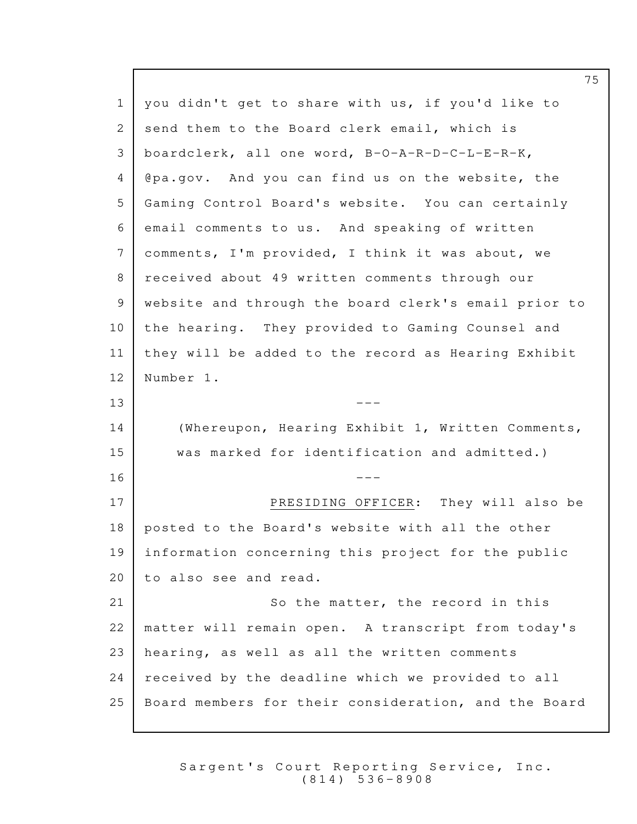1 | you didn't get to share with us, if you'd like to 2 send them to the Board clerk email, which is boardclerk, all one word, B-O-A-R-D-C-L-E-R-K, 3 4 | @pa.gov. And you can find us on the website, the 5 Gaming Control Board's website. You can certainly  $6$  email comments to us. And speaking of written  $7$  comments, I'm provided, I think it was about, we 8 | received about 49 written comments through our 9 | website and through the board clerk's email prior to 10 the hearing. They provided to Gaming Counsel and  $11$  | they will be added to the record as Hearing Exhibit 12 Number 1.  $13$   $---$ 14 (Whereupon, Hearing Exhibit 1, Written Comments, 15 | was marked for identification and admitted.)  $16$   $---$ 17 PRESIDING OFFICER: They will also be  $18$  posted to the Board's website with all the other 19 information concerning this project for the public 20 to also see and read. 21 So the matter, the record in this 22 | matter will remain open. A transcript from today's 23 | hearing, as well as all the written comments 24 | received by the deadline which we provided to all 25 | Board members for their consideration, and the Board

> Sargent's Court Reporting Service, Inc. ( 8 1 4 ) 5 3 6 - 8 9 0 8

75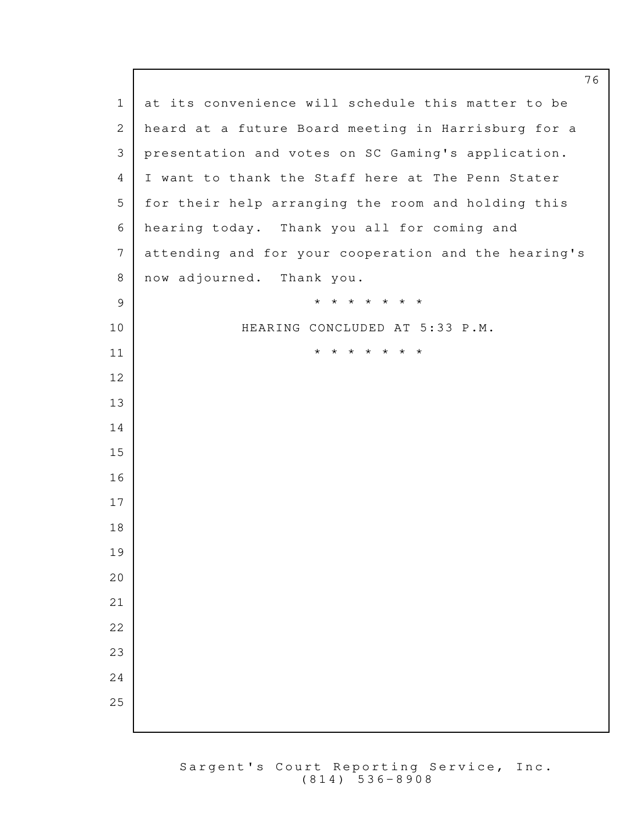76 1 at its convenience will schedule this matter to be 2 | heard at a future Board meeting in Harrisburg for a 3 | presentation and votes on SC Gaming's application. 4 I want to thank the Staff here at The Penn Stater 5 for their help arranging the room and holding this 6 hearing today. Thank you all for coming and 7 attending and for your cooperation and the hearing's 8 | now adjourned. Thank you. 9 **\* \* \* \* \* \* \* \*** 10 | HEARING CONCLUDED AT 5:33 P.M. 11 **\* \* \* \* \* \* \***  $12$  13 14  $15$  16 17 18 19 20 21 | **1999 | 1999 | 1999 | 1999 | 1999 | 1999 | 1999 | 1999 | 1999 | 1999 | 1999 | 1999 | 1999 | 1999 | 1999 |** 22  $\vert$ 23  $\vert$  $24$  $25$